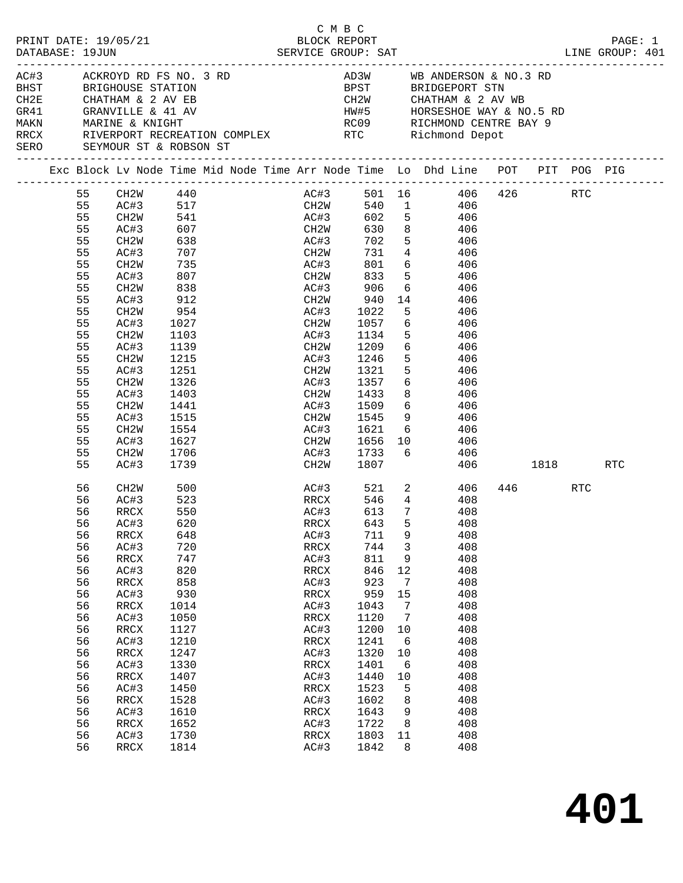| PRINT DATE: 19/05/21<br>DATABASE: 19JUN |                                                                                                                                              |                                                                                                                                                                                                                      |                                                                                                                                                                             |                                            | C M B C                                                                                                                                              | BLOCK REPORT                                                                                                                                                                                                |                                                                                                                            |                                                                                                                                                                                                                                                                                                                                                             |     |     | PAGE: 1 |
|-----------------------------------------|----------------------------------------------------------------------------------------------------------------------------------------------|----------------------------------------------------------------------------------------------------------------------------------------------------------------------------------------------------------------------|-----------------------------------------------------------------------------------------------------------------------------------------------------------------------------|--------------------------------------------|------------------------------------------------------------------------------------------------------------------------------------------------------|-------------------------------------------------------------------------------------------------------------------------------------------------------------------------------------------------------------|----------------------------------------------------------------------------------------------------------------------------|-------------------------------------------------------------------------------------------------------------------------------------------------------------------------------------------------------------------------------------------------------------------------------------------------------------------------------------------------------------|-----|-----|---------|
|                                         |                                                                                                                                              |                                                                                                                                                                                                                      |                                                                                                                                                                             |                                            |                                                                                                                                                      |                                                                                                                                                                                                             |                                                                                                                            |                                                                                                                                                                                                                                                                                                                                                             |     |     |         |
|                                         |                                                                                                                                              | AC#3 ACKROYD RD FS NO. 3 RD<br>BHST BRIGHOUSE STATION<br>SERO SEYMOUR ST & ROBSON ST                                                                                                                                 |                                                                                                                                                                             |                                            |                                                                                                                                                      |                                                                                                                                                                                                             |                                                                                                                            | AD3W WB ANDERSON & NO.3 RD<br>BPST BRIDGEPORT STN<br>CH2W        CHATHAM & 2 AV WB<br>HW#5       HORSESHOE WAY & NO.5 RD<br>RC09       RICHMOND CENTRE BAY 9<br>RRCX RIVERPORT RECREATION COMPLEX RTC Richmond Depot                                                                                                                                        |     |     |         |
|                                         |                                                                                                                                              |                                                                                                                                                                                                                      |                                                                                                                                                                             |                                            |                                                                                                                                                      |                                                                                                                                                                                                             |                                                                                                                            | Exc Block Lv Node Time Mid Node Time Arr Node Time Lo Dhd Line POT PIT POG PIG                                                                                                                                                                                                                                                                              |     |     |         |
|                                         | 55<br>55<br>55<br>55<br>55<br>55<br>55<br>55<br>55<br>55<br>55<br>55<br>55<br>55<br>55<br>55<br>55<br>55<br>55<br>55<br>55<br>55<br>55<br>55 | CH2W 440<br>CH2W<br>AC#3<br>CH2W<br>AC#3<br>CH2W<br>AC#3<br>CH2W<br>AC#3<br>CH2W<br>AC#3<br>CH2W<br>AC#3<br>CH2W<br>AC#3<br>CH2W<br>AC#3<br>CH2W<br>AC#3<br>CH2W                                                     | 638<br>707<br>735<br>807<br>838<br>912<br>954<br>1027<br>1103<br>1139<br>$113 >$<br>1215<br>^51<br>1326<br>1403<br>1441<br>1515<br>1554<br>1627<br>1706                     | -----:<br>AC#3 517<br>CH2W 541<br>AC#3 607 | CH <sub>2</sub> W<br>AC#3<br>AC#3<br>CH2W<br>AC#3<br>AC#3<br>AC#3                                                                                    | 702<br>906<br>940<br>940<br>1022<br>CH2W 1057<br>AC#3 1134<br>CH2W 1209<br>1246<br>$CH2W$ 1321<br>AC#3 1357<br>CH2W 1433<br>AC#3 1509<br>CH2W 1545<br>AC#3 1621<br>CH2W 1656 10<br>AC#3 1733 6<br>CH2W 1807 | 5 <sub>5</sub>                                                                                                             | AC#3 501 16 406 426 RTC<br>CH2W 540 1 406<br>AC#3 602 5 406<br>630 8 406<br>5 406<br>CH2W 731 4 406<br>AC#3 801 6 406<br>CH2W 833 5 406<br>6 406<br>14 406<br>406<br>6 406<br>5 406<br>6 406<br>5 406<br>5 406<br>$6\overline{}$<br>406<br>8 406<br>$\begin{array}{ccc} 6 & 406 \\ 9 & 406 \end{array}$<br>$6\overline{6}$<br>406<br>406<br>406<br>406 1818 |     |     |         |
|                                         | 56<br>56<br>56<br>56<br>56<br>56<br>56<br>56<br>56<br>56<br>56<br>56<br>56<br>56<br>56<br>56<br>56<br>56<br>56<br>56<br>56<br>56<br>56       | AC#3<br>CH2W<br>AC#3<br>RRCX<br>AC#3 620<br>RRCX<br>AC#3<br>$\mathop{\mathrm{RRCX}}$<br>AC#3<br>RRCX<br>AC#3<br>RRCX<br>AC#3<br>RRCX<br>AC#3<br>RRCX<br>AC#3<br>RRCX<br>AC#3<br>RRCX<br>AC#3<br>RRCX<br>AC#3<br>RRCX | 1739<br>500<br>523<br>550<br>648<br>720<br>747<br>820<br>858<br>930<br>1014<br>1050<br>1127<br>1210<br>1247<br>1330<br>1407<br>1450<br>1528<br>1610<br>1652<br>1730<br>1814 |                                            | AC#3<br>RRCX<br>AC#3<br>RRCX<br>AC#3<br>RRCX<br>AC#3<br>RRCX<br>AC#3<br>RRCX<br>AC#3<br>RRCX<br>AC#3<br>RRCX<br>AC#3<br>RRCX<br>AC#3<br>RRCX<br>AC#3 | RRCX 546 4<br>AC#3 613 7<br>RRCX 643<br>711<br>744<br>811<br>846<br>923<br>959<br>1043<br>1120<br>1200<br>1241<br>1320<br>1401<br>1440<br>1523<br>1602<br>1643<br>1722<br>1803<br>1842                      | 9<br>$\mathbf{3}$<br>9<br>12<br>7<br>15<br>$7\phantom{.0}$<br>7<br>10<br>6<br>10<br>6<br>10<br>5<br>8<br>9<br>8<br>11<br>8 | AC#3 521 2 406<br>408<br>408<br>5 408<br>408<br>408<br>408<br>408<br>408<br>408<br>408<br>408<br>408<br>408<br>408<br>408<br>408<br>408<br>408<br>408<br>408<br>408<br>408                                                                                                                                                                                  | 446 | RTC | RTC     |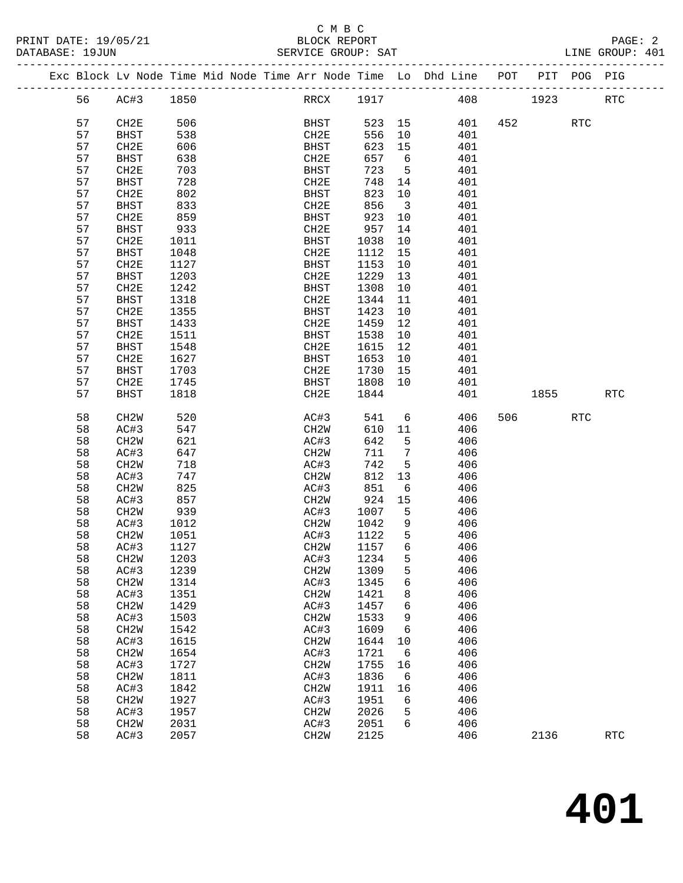## C M B C<br>BLOCK REPORT

PRINT DATE: 19/05/21 BLOCK REPORT PAGE: 2 LINE GROUP: 401 ------------------------------------------------------------------------------------------------- Exc Block Lv Node Time Mid Node Time Arr Node Time Lo Dhd Line POT PIT POG PIG

| 56 | AC#3              | 1850 | RRCX              | 1917   |                         | 408 | 1923    |            | <b>RTC</b> |
|----|-------------------|------|-------------------|--------|-------------------------|-----|---------|------------|------------|
| 57 | CH2E              | 506  | BHST              | 523 15 |                         | 401 | 452     | <b>RTC</b> |            |
| 57 | <b>BHST</b>       | 538  | CH2E              | 556    | 10                      | 401 |         |            |            |
| 57 | CH2E              | 606  | <b>BHST</b>       | 623    | 15                      | 401 |         |            |            |
| 57 | <b>BHST</b>       | 638  | CH2E              | 657    | 6                       | 401 |         |            |            |
| 57 | CH2E              | 703  | BHST              | 723    | $5^{\circ}$             | 401 |         |            |            |
| 57 | <b>BHST</b>       | 728  | CH2E              | 748    | 14                      | 401 |         |            |            |
| 57 | CH2E              | 802  | <b>BHST</b>       | 823    | 10                      | 401 |         |            |            |
| 57 | BHST              | 833  | CH2E              | 856    | $\overline{\mathbf{3}}$ | 401 |         |            |            |
| 57 | CH2E              | 859  | BHST              | 923    | 10                      | 401 |         |            |            |
| 57 | BHST              | 933  | CH2E              | 957    | 14                      | 401 |         |            |            |
| 57 | CH2E              | 1011 | BHST              | 1038   | 10                      | 401 |         |            |            |
| 57 | BHST              | 1048 | CH2E              | 1112   | 15                      | 401 |         |            |            |
| 57 | CH2E              | 1127 |                   | 1153   | 10                      | 401 |         |            |            |
|    |                   |      | BHST              |        |                         |     |         |            |            |
| 57 | <b>BHST</b>       | 1203 | CH2E              | 1229   | 13                      | 401 |         |            |            |
| 57 | CH2E              | 1242 | <b>BHST</b>       | 1308   | 10                      | 401 |         |            |            |
| 57 | BHST              | 1318 | CH2E              | 1344   | 11                      | 401 |         |            |            |
| 57 | CH2E              | 1355 | BHST              | 1423   | 10                      | 401 |         |            |            |
| 57 | BHST              | 1433 | CH2E              | 1459   | 12                      | 401 |         |            |            |
| 57 | CH2E              | 1511 | BHST              | 1538   | 10                      | 401 |         |            |            |
| 57 | BHST              | 1548 | CH2E              | 1615   | 12                      | 401 |         |            |            |
| 57 | CH2E              | 1627 | BHST              | 1653   | 10                      | 401 |         |            |            |
| 57 | <b>BHST</b>       | 1703 | CH2E              | 1730   | 15                      | 401 |         |            |            |
| 57 | CH2E              | 1745 | BHST              | 1808   | 10                      | 401 |         |            |            |
| 57 | BHST              | 1818 | CH2E              | 1844   |                         | 401 | 1855    |            | <b>RTC</b> |
|    |                   |      |                   |        |                         |     |         |            |            |
| 58 | CH2W              | 520  | AC#3              | 541    | $6\overline{6}$         | 406 | 506 700 | RTC        |            |
| 58 | AC#3              | 547  | CH2W              | 610    | 11                      | 406 |         |            |            |
| 58 | CH <sub>2</sub> W | 621  | AC#3              | 642    | 5                       | 406 |         |            |            |
| 58 | AC#3              | 647  | CH2W              | 711    | $7\phantom{.0}$         | 406 |         |            |            |
| 58 | CH2W              | 718  | AC#3              | 742    | 5                       | 406 |         |            |            |
| 58 | AC#3              | 747  | CH2W              | 812    | 13                      | 406 |         |            |            |
| 58 | CH <sub>2</sub> W | 825  | AC#3              | 851    | 6                       | 406 |         |            |            |
| 58 | AC#3              | 857  | CH2W              | 924    | 15                      | 406 |         |            |            |
| 58 | CH2W              | 939  | AC#3              | 1007   | 5                       | 406 |         |            |            |
| 58 | AC#3              | 1012 | CH2W              | 1042   | 9                       | 406 |         |            |            |
| 58 | CH <sub>2</sub> W | 1051 | AC#3              | 1122   | 5                       | 406 |         |            |            |
| 58 | AC#3              | 1127 | CH2W              | 1157   | 6                       | 406 |         |            |            |
| 58 | CH2W              | 1203 | AC#3              | 1234   | 5                       | 406 |         |            |            |
| 58 | AC#3              | 1239 | CH <sub>2</sub> W | 1309   | 5                       | 406 |         |            |            |
| 58 | CH2W              | 1314 | AC#3 1345         |        | 6                       | 406 |         |            |            |
| 58 | AC#3              | 1351 | CH <sub>2</sub> W | 1421   | 8                       | 406 |         |            |            |
| 58 | CH <sub>2</sub> W | 1429 | AC#3              | 1457   | 6                       | 406 |         |            |            |
| 58 | AC#3              | 1503 | CH <sub>2</sub> M | 1533   | 9                       | 406 |         |            |            |
| 58 | CH <sub>2</sub> W | 1542 | AC#3              | 1609   | 6                       | 406 |         |            |            |
| 58 | AC#3              | 1615 | CH <sub>2</sub> M | 1644   | 10                      | 406 |         |            |            |
| 58 | CH <sub>2</sub> W | 1654 | AC#3              | 1721   | 6                       | 406 |         |            |            |
| 58 | AC#3              | 1727 | CH <sub>2</sub> M | 1755   | 16                      | 406 |         |            |            |
| 58 | CH <sub>2</sub> W | 1811 | AC#3              | 1836   | 6                       | 406 |         |            |            |
| 58 | AC#3              | 1842 | CH <sub>2</sub> M | 1911   | 16                      | 406 |         |            |            |
| 58 | CH <sub>2</sub> W | 1927 | AC#3              | 1951   | 6                       | 406 |         |            |            |
| 58 | AC#3              | 1957 | CH2W              | 2026   | 5                       | 406 |         |            |            |
| 58 | CH <sub>2</sub> W | 2031 | AC#3              | 2051   | 6                       | 406 |         |            |            |
| 58 | AC#3              | 2057 | CH2W              | 2125   |                         | 406 | 2136    |            | <b>RTC</b> |
|    |                   |      |                   |        |                         |     |         |            |            |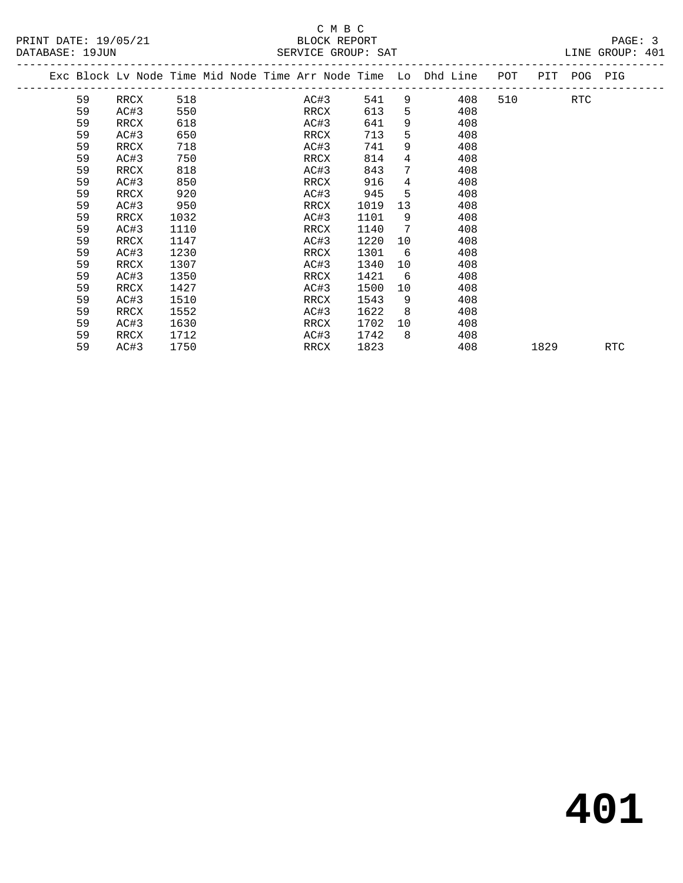|  |    |      |      |  |      |      |                | Exc Block Lv Node Time Mid Node Time Arr Node Time Lo Dhd Line | POT | PIT  | POG PIG |     |
|--|----|------|------|--|------|------|----------------|----------------------------------------------------------------|-----|------|---------|-----|
|  | 59 | RRCX | 518  |  | AC#3 | 541  | 9              | 408                                                            | 510 |      | RTC     |     |
|  | 59 | AC#3 | 550  |  | RRCX | 613  | 5              | 408                                                            |     |      |         |     |
|  | 59 | RRCX | 618  |  | AC#3 | 641  | 9              | 408                                                            |     |      |         |     |
|  | 59 | AC#3 | 650  |  | RRCX | 713  | 5              | 408                                                            |     |      |         |     |
|  | 59 | RRCX | 718  |  | AC#3 | 741  | 9              | 408                                                            |     |      |         |     |
|  | 59 | AC#3 | 750  |  | RRCX | 814  | $\overline{4}$ | 408                                                            |     |      |         |     |
|  | 59 | RRCX | 818  |  | AC#3 | 843  | 7              | 408                                                            |     |      |         |     |
|  | 59 | AC#3 | 850  |  | RRCX | 916  | 4              | 408                                                            |     |      |         |     |
|  | 59 | RRCX | 920  |  | AC#3 | 945  | 5              | 408                                                            |     |      |         |     |
|  | 59 | AC#3 | 950  |  | RRCX | 1019 | 13             | 408                                                            |     |      |         |     |
|  | 59 | RRCX | 1032 |  | AC#3 | 1101 | 9              | 408                                                            |     |      |         |     |
|  | 59 | AC#3 | 1110 |  | RRCX | 1140 | 7              | 408                                                            |     |      |         |     |
|  | 59 | RRCX | 1147 |  | AC#3 | 1220 | 10             | 408                                                            |     |      |         |     |
|  | 59 | AC#3 | 1230 |  | RRCX | 1301 | 6              | 408                                                            |     |      |         |     |
|  | 59 | RRCX | 1307 |  | AC#3 | 1340 | 10             | 408                                                            |     |      |         |     |
|  | 59 | AC#3 | 1350 |  | RRCX | 1421 | 6              | 408                                                            |     |      |         |     |
|  | 59 | RRCX | 1427 |  | AC#3 | 1500 | 10             | 408                                                            |     |      |         |     |
|  | 59 | AC#3 | 1510 |  | RRCX | 1543 | 9              | 408                                                            |     |      |         |     |
|  | 59 | RRCX | 1552 |  | AC#3 | 1622 | 8              | 408                                                            |     |      |         |     |
|  | 59 | AC#3 | 1630 |  | RRCX | 1702 | 10             | 408                                                            |     |      |         |     |
|  | 59 | RRCX | 1712 |  | AC#3 | 1742 | 8              | 408                                                            |     |      |         |     |
|  | 59 | AC#3 | 1750 |  | RRCX | 1823 |                | 408                                                            |     | 1829 |         | RTC |
|  |    |      |      |  |      |      |                |                                                                |     |      |         |     |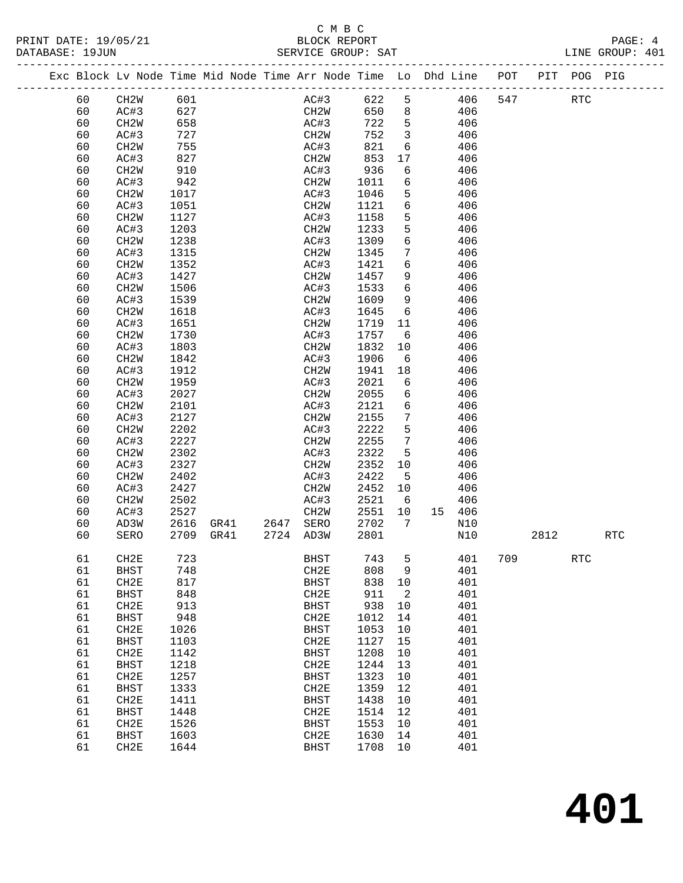## C M B C

| DATABASE: 19JUN |    |                   |      |  | SERVICE GROUP: SAT                                                             |       |                         |        |         |            |     | LINE GROUP: 401 |  |
|-----------------|----|-------------------|------|--|--------------------------------------------------------------------------------|-------|-------------------------|--------|---------|------------|-----|-----------------|--|
|                 |    |                   |      |  | Exc Block Lv Node Time Mid Node Time Arr Node Time Lo Dhd Line POT PIT POG PIG |       |                         |        |         |            |     |                 |  |
|                 | 60 | CH2W 601          |      |  | AC#3                                                                           | 622 5 |                         |        | 406 547 | <b>RTC</b> |     |                 |  |
|                 | 60 | AC#3              | 627  |  | CH2W                                                                           | 650 8 |                         | 406    |         |            |     |                 |  |
|                 | 60 | CH2W              | 658  |  | AC#3                                                                           | 722   | $5\overline{)}$         | 406    |         |            |     |                 |  |
|                 | 60 | AC#3              | 727  |  | CH2W                                                                           | 752   | $\overline{\mathbf{3}}$ | 406    |         |            |     |                 |  |
|                 | 60 | CH2W              | 755  |  | AC#3                                                                           | 821   | 6                       | 406    |         |            |     |                 |  |
|                 | 60 | AC#3              | 827  |  | CH2W                                                                           | 853   | 17                      | 406    |         |            |     |                 |  |
|                 | 60 | CH2W              | 910  |  | AC#3                                                                           | 936   | 6                       | 406    |         |            |     |                 |  |
|                 | 60 | AC#3              | 942  |  | CH2W                                                                           | 1011  | 6                       | 406    |         |            |     |                 |  |
|                 | 60 | CH2W              | 1017 |  | AC#3                                                                           | 1046  | 5                       | 406    |         |            |     |                 |  |
|                 | 60 | AC#3              | 1051 |  | CH2W                                                                           | 1121  | 6                       | 406    |         |            |     |                 |  |
|                 | 60 | CH2W              | 1127 |  | AC#3                                                                           | 1158  | 5                       | 406    |         |            |     |                 |  |
|                 | 60 | AC#3              | 1203 |  | CH2W                                                                           | 1233  | 5                       | 406    |         |            |     |                 |  |
|                 | 60 | CH2W              | 1238 |  | AC#3                                                                           | 1309  | 6                       | 406    |         |            |     |                 |  |
|                 | 60 | AC#3              | 1315 |  | CH2W                                                                           | 1345  | 7                       | 406    |         |            |     |                 |  |
|                 | 60 | CH2W              | 1352 |  | AC#3                                                                           | 1421  | 6                       | 406    |         |            |     |                 |  |
|                 | 60 | AC#3              | 1427 |  | CH2W                                                                           | 1457  | 9                       | 406    |         |            |     |                 |  |
|                 | 60 | CH2W              | 1506 |  | AC#3                                                                           | 1533  | 6                       | 406    |         |            |     |                 |  |
|                 | 60 | AC#3              | 1539 |  | CH2W                                                                           | 1609  | 9                       | 406    |         |            |     |                 |  |
|                 | 60 | CH2W              | 1618 |  | AC#3                                                                           | 1645  | 6                       | 406    |         |            |     |                 |  |
|                 | 60 | AC#3              | 1651 |  | CH2W                                                                           | 1719  | 11                      | 406    |         |            |     |                 |  |
|                 | 60 | CH <sub>2</sub> W | 1730 |  | AC#3                                                                           | 1757  | 6                       | 406    |         |            |     |                 |  |
|                 | 60 | AC#3              | 1803 |  | CH2W                                                                           | 1832  | 10                      | 406    |         |            |     |                 |  |
|                 | 60 | CH2W              | 1842 |  | AC#3                                                                           | 1906  | 6                       | 406    |         |            |     |                 |  |
|                 | 60 | AC#3              | 1912 |  | CH2W                                                                           | 1941  | 18                      | 406    |         |            |     |                 |  |
|                 | 60 | CH2W              | 1959 |  | AC#3                                                                           | 2021  | 6                       | 406    |         |            |     |                 |  |
|                 | 60 | AC#3              | 2027 |  | CH2W                                                                           | 2055  | 6                       | 406    |         |            |     |                 |  |
|                 | 60 | CH <sub>2</sub> W | 2101 |  | AC#3                                                                           | 2121  | 6                       | 406    |         |            |     |                 |  |
|                 | 60 | AC#3              | 2127 |  | CH2W                                                                           | 2155  | $7\phantom{.}$          | 406    |         |            |     |                 |  |
|                 | 60 | CH <sub>2</sub> W | 2202 |  | AC#3                                                                           | 2222  | 5                       | 406    |         |            |     |                 |  |
|                 | 60 | AC#3              | 2227 |  | CH2W                                                                           | 2255  | $7\phantom{.0}$         | 406    |         |            |     |                 |  |
|                 | 60 | CH2W              | 2302 |  | AC#3                                                                           | 2322  | 5                       | 406    |         |            |     |                 |  |
|                 | 60 | AC#3              | 2327 |  | CH2W                                                                           | 2352  | 10                      | 406    |         |            |     |                 |  |
|                 | 60 | CH2W              | 2402 |  | AC#3                                                                           | 2422  | 5                       | 406    |         |            |     |                 |  |
|                 | 60 | AC#3              | 2427 |  | CH2W                                                                           | 2452  | 10                      | 406    |         |            |     |                 |  |
|                 | 60 | CH2W              | 2502 |  | AC#3                                                                           | 2521  | 6                       | 406    |         |            |     |                 |  |
|                 | 60 | AC#3              | 2527 |  | CH2W                                                                           | 2551  | 10                      | 15 406 |         |            |     |                 |  |
|                 | 60 | AD3W              | 2616 |  | GR41 2647 SERO                                                                 | 2702  | $\overline{7}$          | N10    |         |            |     |                 |  |
|                 | 60 | SERO              |      |  | 2709 GR41 2724 AD3W                                                            | 2801  |                         | N10    |         | 2812       |     | RTC             |  |
|                 |    |                   |      |  |                                                                                |       |                         |        |         |            |     |                 |  |
|                 | 61 | CH2E              | 723  |  | <b>BHST</b>                                                                    | 743   | 5                       | 401    | 709     |            | RTC |                 |  |
|                 | 61 | <b>BHST</b>       | 748  |  | CH2E                                                                           | 808   | 9                       | 401    |         |            |     |                 |  |
|                 | 61 | CH2E              | 817  |  | <b>BHST</b>                                                                    | 838   | 10                      | 401    |         |            |     |                 |  |
|                 | 61 | <b>BHST</b>       | 848  |  | CH2E                                                                           | 911   | 2                       | 401    |         |            |     |                 |  |
|                 | 61 | CH2E              | 913  |  | <b>BHST</b>                                                                    | 938   | 10                      | 401    |         |            |     |                 |  |
|                 | 61 | <b>BHST</b>       | 948  |  | CH2E                                                                           | 1012  | 14                      | 401    |         |            |     |                 |  |
|                 | 61 | CH2E              | 1026 |  | <b>BHST</b>                                                                    | 1053  | 10                      | 401    |         |            |     |                 |  |
|                 | 61 | BHST              | 1103 |  | CH2E                                                                           | 1127  | 15                      | 401    |         |            |     |                 |  |
|                 | 61 | CH2E              | 1142 |  | <b>BHST</b>                                                                    | 1208  | 10                      | 401    |         |            |     |                 |  |
|                 | 61 | <b>BHST</b>       | 1218 |  | CH2E                                                                           | 1244  | 13                      | 401    |         |            |     |                 |  |
|                 | 61 | CH2E              | 1257 |  | <b>BHST</b>                                                                    | 1323  | 10                      | 401    |         |            |     |                 |  |
|                 | 61 | BHST              | 1333 |  | CH2E                                                                           | 1359  | 12                      | 401    |         |            |     |                 |  |
|                 | 61 | CH2E              | 1411 |  | <b>BHST</b>                                                                    | 1438  | 10                      | 401    |         |            |     |                 |  |
|                 | 61 | <b>BHST</b>       | 1448 |  | CH2E                                                                           | 1514  | 12                      | 401    |         |            |     |                 |  |
|                 | 61 | CH2E              | 1526 |  | BHST                                                                           | 1553  | 10                      | 401    |         |            |     |                 |  |
|                 | 61 | BHST              | 1603 |  | CH2E                                                                           | 1630  | 14                      | 401    |         |            |     |                 |  |
|                 | 61 | CH2E              | 1644 |  | <b>BHST</b>                                                                    | 1708  | 10                      | 401    |         |            |     |                 |  |

**401**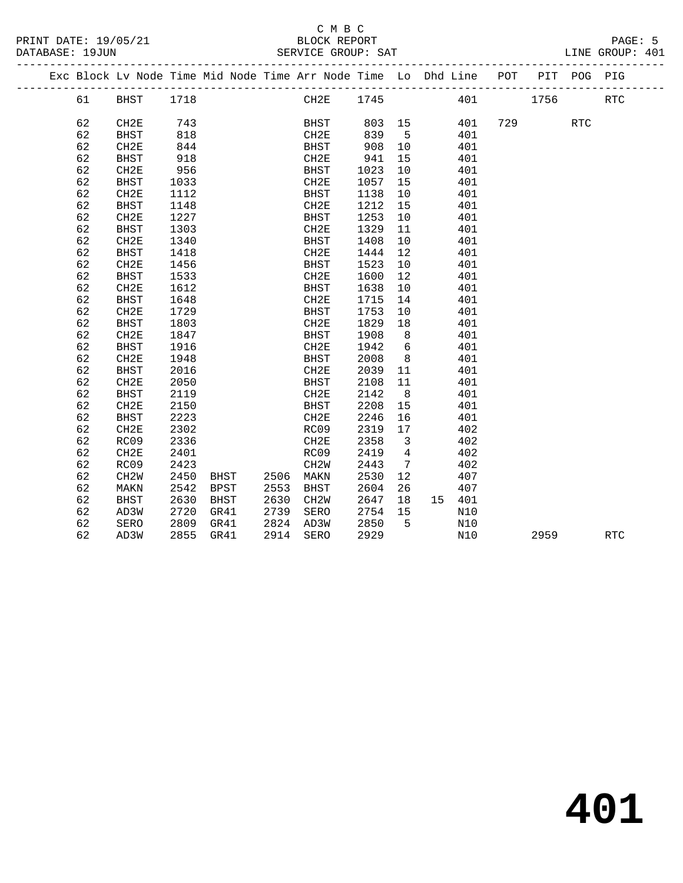|  |    | Exc Block Lv Node Time Mid Node Time Arr Node Time Lo Dhd Line POT |      |      |           |                   |             |        |                         |        |     |      | PIT POG PIG |            |  |
|--|----|--------------------------------------------------------------------|------|------|-----------|-------------------|-------------|--------|-------------------------|--------|-----|------|-------------|------------|--|
|  | 61 | BHST                                                               | 1718 |      |           |                   | CH2E        | 1745   |                         |        | 401 | 1756 |             | <b>RTC</b> |  |
|  |    |                                                                    |      |      |           |                   |             |        |                         |        |     |      |             |            |  |
|  | 62 | CH2E                                                               | 743  |      |           |                   | <b>BHST</b> | 803 15 |                         | 401    | 729 |      | <b>RTC</b>  |            |  |
|  | 62 | <b>BHST</b>                                                        | 818  |      |           | CH2E              |             | 839    | $5^{\circ}$             | 401    |     |      |             |            |  |
|  | 62 | CH2E                                                               | 844  |      |           | BHST              |             | 908    | 10                      | 401    |     |      |             |            |  |
|  | 62 | <b>BHST</b>                                                        | 918  |      |           | CH2E              |             | 941    | 15                      | 401    |     |      |             |            |  |
|  | 62 | CH <sub>2E</sub>                                                   | 956  |      |           | BHST              |             | 1023   | 10                      | 401    |     |      |             |            |  |
|  | 62 | <b>BHST</b>                                                        | 1033 |      |           | CH2E              |             | 1057   | 15                      | 401    |     |      |             |            |  |
|  | 62 | CH2E                                                               | 1112 |      |           | BHST              |             | 1138   | 10                      | 401    |     |      |             |            |  |
|  | 62 | <b>BHST</b>                                                        | 1148 |      |           | CH2E              |             | 1212   | 15                      | 401    |     |      |             |            |  |
|  | 62 | CH2E                                                               | 1227 |      |           | BHST              |             | 1253   | 10                      | 401    |     |      |             |            |  |
|  | 62 | <b>BHST</b>                                                        | 1303 |      |           | CH2E              |             | 1329   | 11                      | 401    |     |      |             |            |  |
|  | 62 | CH2E                                                               | 1340 |      |           | BHST              |             | 1408   | 10                      | 401    |     |      |             |            |  |
|  | 62 | <b>BHST</b>                                                        | 1418 |      |           | CH2E              |             | 1444   | 12                      | 401    |     |      |             |            |  |
|  | 62 | CH2E                                                               | 1456 |      |           | BHST              |             | 1523   | 10                      | 401    |     |      |             |            |  |
|  | 62 | <b>BHST</b>                                                        | 1533 |      |           | CH2E              |             | 1600   | 12                      | 401    |     |      |             |            |  |
|  | 62 | CH2E                                                               | 1612 |      |           | BHST              |             | 1638   | 10                      | 401    |     |      |             |            |  |
|  | 62 | <b>BHST</b>                                                        | 1648 |      |           | CH2E              |             | 1715   | 14                      | 401    |     |      |             |            |  |
|  | 62 | CH2E                                                               | 1729 |      |           | BHST              |             | 1753   | 10                      | 401    |     |      |             |            |  |
|  | 62 | <b>BHST</b>                                                        | 1803 |      |           | CH2E              |             | 1829   | 18                      | 401    |     |      |             |            |  |
|  | 62 | CH2E                                                               | 1847 |      |           | BHST              |             | 1908   | 8 <sup>8</sup>          | 401    |     |      |             |            |  |
|  | 62 | <b>BHST</b>                                                        | 1916 |      |           | CH2E              |             | 1942   | 6                       | 401    |     |      |             |            |  |
|  | 62 | CH2E                                                               | 1948 |      |           | BHST              |             | 2008   | 8 <sup>8</sup>          | 401    |     |      |             |            |  |
|  | 62 | <b>BHST</b>                                                        | 2016 |      |           | CH2E              |             | 2039   | 11                      | 401    |     |      |             |            |  |
|  | 62 | CH2E                                                               | 2050 |      |           | BHST              |             | 2108   | 11                      | 401    |     |      |             |            |  |
|  | 62 | BHST                                                               | 2119 |      |           | CH2E              |             | 2142   | 8 <sup>8</sup>          | 401    |     |      |             |            |  |
|  | 62 | CH2E                                                               | 2150 |      |           | <b>BHST</b>       |             | 2208   | 15                      | 401    |     |      |             |            |  |
|  | 62 | <b>BHST</b>                                                        | 2223 |      |           | CH2E              |             | 2246   | 16                      | 401    |     |      |             |            |  |
|  | 62 | CH2E                                                               | 2302 |      |           | RC09              |             | 2319   | 17                      | 402    |     |      |             |            |  |
|  | 62 | RC09                                                               | 2336 |      |           | CH2E              |             | 2358   | $\overline{\mathbf{3}}$ | 402    |     |      |             |            |  |
|  | 62 | CH2E                                                               | 2401 |      |           | RC09              |             | 2419   | $\overline{4}$          | 402    |     |      |             |            |  |
|  | 62 | RC09                                                               | 2423 |      |           | CH <sub>2</sub> W |             | 2443   | $\overline{7}$          | 402    |     |      |             |            |  |
|  | 62 | CH <sub>2</sub> W                                                  | 2450 | BHST | 2506 MAKN |                   |             | 2530   | 12 <sup>°</sup>         | 407    |     |      |             |            |  |
|  | 62 | MAKN                                                               | 2542 | BPST | 2553      | BHST              |             | 2604   | 26                      | 407    |     |      |             |            |  |
|  | 62 | BHST                                                               | 2630 | BHST | 2630      | CH2W              |             | 2647   | 18                      | 15 401 |     |      |             |            |  |
|  | 62 | AD3W                                                               | 2720 | GR41 | 2739      | SERO              |             | 2754   | 15                      | N10    |     |      |             |            |  |
|  | 62 | SERO                                                               | 2809 | GR41 | 2824      | AD3W              |             | 2850   | $-5$                    | N10    |     |      |             |            |  |
|  | 62 | AD3W                                                               | 2855 | GR41 | 2914 SERO |                   |             | 2929   |                         | N10    |     | 2959 |             | <b>RTC</b> |  |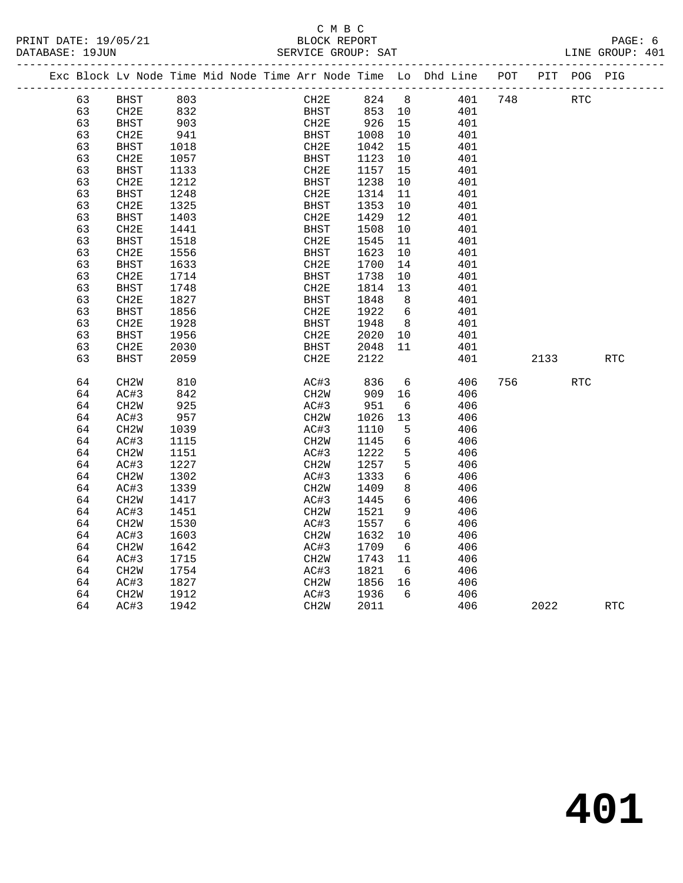#### C M B C<br>BLOCK REPORT PRINT DATE: 19/05/21 BLOCK REPORT PAGE: 6 SERVICE GROUP: SAT

|  |    | Exc Block Lv Node Time Mid Node Time Arr Node Time Lo Dhd Line POT |      |  |                   |      |             |                |     |     |            | PIT POG PIG |            |
|--|----|--------------------------------------------------------------------|------|--|-------------------|------|-------------|----------------|-----|-----|------------|-------------|------------|
|  | 63 | BHST                                                               | 803  |  |                   | CH2E | 824 8       |                | 401 | 748 | <b>RTC</b> |             |            |
|  | 63 | CH2E                                                               | 832  |  |                   |      | BHST 853 10 |                | 401 |     |            |             |            |
|  | 63 | <b>BHST</b>                                                        | 903  |  | CH2E              |      | 926 15      |                | 401 |     |            |             |            |
|  | 63 | CH2E                                                               | 941  |  | BHST              |      | 1008        | 10             | 401 |     |            |             |            |
|  | 63 | <b>BHST</b>                                                        | 1018 |  | CH2E              |      | 1042        | 15             | 401 |     |            |             |            |
|  | 63 | CH2E                                                               | 1057 |  | BHST              |      | 1123        | 10             | 401 |     |            |             |            |
|  | 63 | BHST                                                               | 1133 |  | CH2E              |      | 1157        | 15             | 401 |     |            |             |            |
|  | 63 | CH <sub>2E</sub>                                                   | 1212 |  | BHST              |      | 1238        | 10             | 401 |     |            |             |            |
|  | 63 | <b>BHST</b>                                                        | 1248 |  | CH2E              |      | 1314        | 11             | 401 |     |            |             |            |
|  | 63 | CH <sub>2E</sub>                                                   | 1325 |  | <b>BHST</b>       |      | 1353        | 10             | 401 |     |            |             |            |
|  | 63 | <b>BHST</b>                                                        | 1403 |  | CH2E              |      | 1429        | 12             | 401 |     |            |             |            |
|  | 63 | CH2E                                                               | 1441 |  | <b>BHST</b>       |      | 1508        | 10             | 401 |     |            |             |            |
|  | 63 | <b>BHST</b>                                                        | 1518 |  | CH2E              |      | 1545        | 11             | 401 |     |            |             |            |
|  | 63 | CH2E                                                               | 1556 |  | <b>BHST</b>       |      | 1623        | 10             | 401 |     |            |             |            |
|  | 63 | <b>BHST</b>                                                        | 1633 |  | CH2E              |      | 1700        | 14             | 401 |     |            |             |            |
|  | 63 | CH2E                                                               | 1714 |  | <b>BHST</b>       |      | 1738        | 10             | 401 |     |            |             |            |
|  | 63 | <b>BHST</b>                                                        | 1748 |  | CH2E              |      | 1814        | 13             | 401 |     |            |             |            |
|  | 63 | CH2E                                                               | 1827 |  | <b>BHST</b>       |      | 1848        | 8 <sup>8</sup> | 401 |     |            |             |            |
|  | 63 | <b>BHST</b>                                                        | 1856 |  | CH2E              |      | 1922        | 6              | 401 |     |            |             |            |
|  | 63 | CH2E                                                               | 1928 |  | BHST              |      | 1948        | 8 <sup>8</sup> | 401 |     |            |             |            |
|  | 63 | <b>BHST</b>                                                        | 1956 |  | CH2E              |      | 2020        | 10             | 401 |     |            |             |            |
|  | 63 | CH2E                                                               | 2030 |  | BHST              |      | 2048        | 11             | 401 |     |            |             |            |
|  | 63 | <b>BHST</b>                                                        | 2059 |  | CH2E              |      | 2122        |                | 401 |     | 2133       |             | <b>RTC</b> |
|  |    |                                                                    |      |  |                   |      |             |                |     |     |            |             |            |
|  | 64 | CH <sub>2</sub> W                                                  | 810  |  | AC#3              |      | 836         | 6              | 406 |     | 756 750 17 | <b>RTC</b>  |            |
|  | 64 | AC#3                                                               | 842  |  | CH <sub>2</sub> W |      | 909         | 16             | 406 |     |            |             |            |
|  | 64 | CH <sub>2</sub> W                                                  | 925  |  | AC#3              |      | 951         | 6              | 406 |     |            |             |            |
|  | 64 | AC#3                                                               | 957  |  | CH <sub>2</sub> W |      | 1026        | 13             | 406 |     |            |             |            |
|  | 64 | CH <sub>2</sub> W                                                  | 1039 |  | AC#3              |      | 1110        | 5              | 406 |     |            |             |            |
|  | 64 | AC#3                                                               | 1115 |  | CH2W              |      | 1145        | 6              | 406 |     |            |             |            |
|  | 64 | CH <sub>2</sub> W                                                  | 1151 |  | AC#3              |      | 1222        | 5              | 406 |     |            |             |            |
|  | 64 | AC#3                                                               | 1227 |  | CH <sub>2</sub> W |      | 1257        | 5              | 406 |     |            |             |            |
|  | 64 | CH <sub>2</sub> W                                                  | 1302 |  | AC#3              |      | 1333        | 6              | 406 |     |            |             |            |
|  | 64 | AC#3                                                               | 1339 |  | CH2W              |      | 1409        | 8              | 406 |     |            |             |            |
|  | 64 | CH <sub>2</sub> M                                                  | 1417 |  | AC#3              |      | 1445        | 6              | 406 |     |            |             |            |
|  | 64 | AC#3                                                               | 1451 |  | CH <sub>2</sub> W |      | 1521        | 9              | 406 |     |            |             |            |
|  | 64 | CH <sub>2</sub> W                                                  | 1530 |  | AC#3              |      | 1557        | - 6            | 406 |     |            |             |            |
|  | 64 | AC#3                                                               | 1603 |  | CH2W              |      | 1632        | 10             | 406 |     |            |             |            |
|  | 64 | CH <sub>2</sub> W                                                  | 1642 |  | AC#3              |      | 1709        | 6              | 406 |     |            |             |            |
|  | 64 | AC#3                                                               | 1715 |  | CH <sub>2</sub> W |      | 1743        | 11             | 406 |     |            |             |            |
|  | 64 | CH <sub>2</sub> W                                                  | 1754 |  | AC#3              |      | 1821        | 6              | 406 |     |            |             |            |
|  | 64 | AC#3                                                               | 1827 |  | CH2W              |      | 1856        | 16             | 406 |     |            |             |            |
|  | 64 | CH <sub>2</sub> W                                                  | 1912 |  | AC#3              |      | 1936        | 6              | 406 |     |            |             |            |
|  | 64 | AC#3                                                               | 1942 |  | CH <sub>2</sub> W |      | 2011        |                | 406 |     | 2022       |             | <b>RTC</b> |
|  |    |                                                                    |      |  |                   |      |             |                |     |     |            |             |            |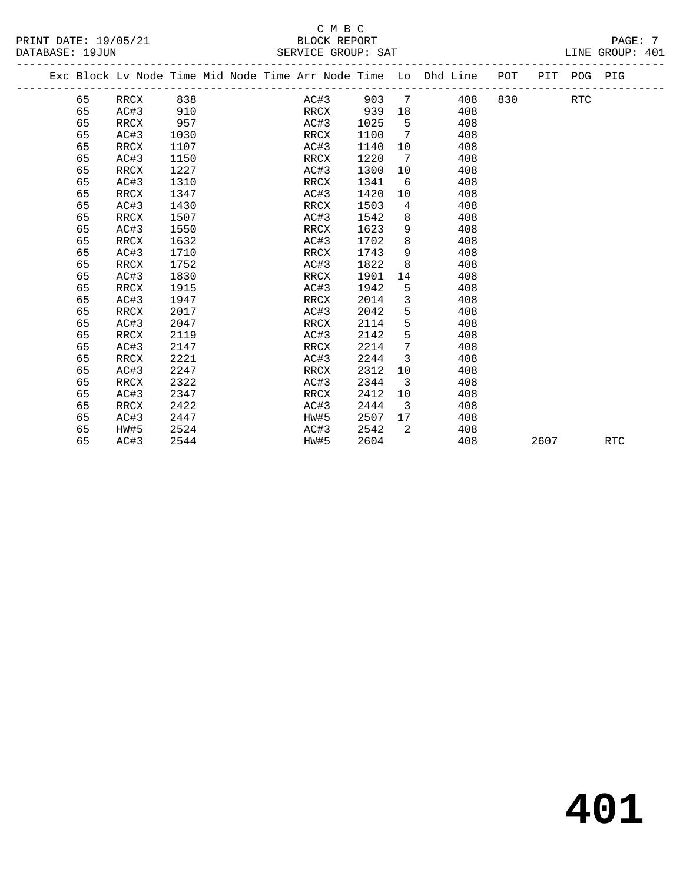|  |    | Exc Block Lv Node Time Mid Node Time Arr Node Time Lo Dhd Line POT |      |  |      |      |                         |     |     | PIT  | POG PIG    |            |  |
|--|----|--------------------------------------------------------------------|------|--|------|------|-------------------------|-----|-----|------|------------|------------|--|
|  | 65 | RRCX                                                               | 838  |  | AC#3 | 903  | 7                       | 408 | 830 |      | <b>RTC</b> |            |  |
|  | 65 | AC#3                                                               | 910  |  | RRCX | 939  | 18                      | 408 |     |      |            |            |  |
|  | 65 | RRCX                                                               | 957  |  | AC#3 | 1025 | 5                       | 408 |     |      |            |            |  |
|  | 65 | AC#3                                                               | 1030 |  | RRCX | 1100 | 7                       | 408 |     |      |            |            |  |
|  | 65 | RRCX                                                               | 1107 |  | AC#3 | 1140 | 10                      | 408 |     |      |            |            |  |
|  | 65 | AC#3                                                               | 1150 |  | RRCX | 1220 | 7                       | 408 |     |      |            |            |  |
|  | 65 | RRCX                                                               | 1227 |  | AC#3 | 1300 | 10                      | 408 |     |      |            |            |  |
|  | 65 | AC#3                                                               | 1310 |  | RRCX | 1341 | 6                       | 408 |     |      |            |            |  |
|  | 65 | RRCX                                                               | 1347 |  | AC#3 | 1420 | 10                      | 408 |     |      |            |            |  |
|  | 65 | AC#3                                                               | 1430 |  | RRCX | 1503 | $\overline{4}$          | 408 |     |      |            |            |  |
|  | 65 | RRCX                                                               | 1507 |  | AC#3 | 1542 | 8                       | 408 |     |      |            |            |  |
|  | 65 | AC#3                                                               | 1550 |  | RRCX | 1623 | 9                       | 408 |     |      |            |            |  |
|  | 65 | RRCX                                                               | 1632 |  | AC#3 | 1702 | 8                       | 408 |     |      |            |            |  |
|  | 65 | AC#3                                                               | 1710 |  | RRCX | 1743 | 9                       | 408 |     |      |            |            |  |
|  | 65 | RRCX                                                               | 1752 |  | AC#3 | 1822 | 8                       | 408 |     |      |            |            |  |
|  | 65 | AC#3                                                               | 1830 |  | RRCX | 1901 | 14                      | 408 |     |      |            |            |  |
|  | 65 | RRCX                                                               | 1915 |  | AC#3 | 1942 | 5                       | 408 |     |      |            |            |  |
|  | 65 | AC#3                                                               | 1947 |  | RRCX | 2014 | 3                       | 408 |     |      |            |            |  |
|  | 65 | RRCX                                                               | 2017 |  | AC#3 | 2042 | 5                       | 408 |     |      |            |            |  |
|  | 65 | AC#3                                                               | 2047 |  | RRCX | 2114 | 5                       | 408 |     |      |            |            |  |
|  | 65 | RRCX                                                               | 2119 |  | AC#3 | 2142 | 5                       | 408 |     |      |            |            |  |
|  | 65 | AC#3                                                               | 2147 |  | RRCX | 2214 | 7                       | 408 |     |      |            |            |  |
|  | 65 | RRCX                                                               | 2221 |  | AC#3 | 2244 | $\overline{3}$          | 408 |     |      |            |            |  |
|  | 65 | AC#3                                                               | 2247 |  | RRCX | 2312 | 10                      | 408 |     |      |            |            |  |
|  | 65 | RRCX                                                               | 2322 |  | AC#3 | 2344 | 3                       | 408 |     |      |            |            |  |
|  | 65 | AC#3                                                               | 2347 |  | RRCX | 2412 | 10                      | 408 |     |      |            |            |  |
|  | 65 | RRCX                                                               | 2422 |  | AC#3 | 2444 | $\overline{\mathbf{3}}$ | 408 |     |      |            |            |  |
|  | 65 | AC#3                                                               | 2447 |  | HW#5 | 2507 | 17                      | 408 |     |      |            |            |  |
|  | 65 | HW#5                                                               | 2524 |  | AC#3 | 2542 | $\mathcal{L}$           | 408 |     |      |            |            |  |
|  | 65 | AC#3                                                               | 2544 |  | HW#5 | 2604 |                         | 408 |     | 2607 |            | <b>RTC</b> |  |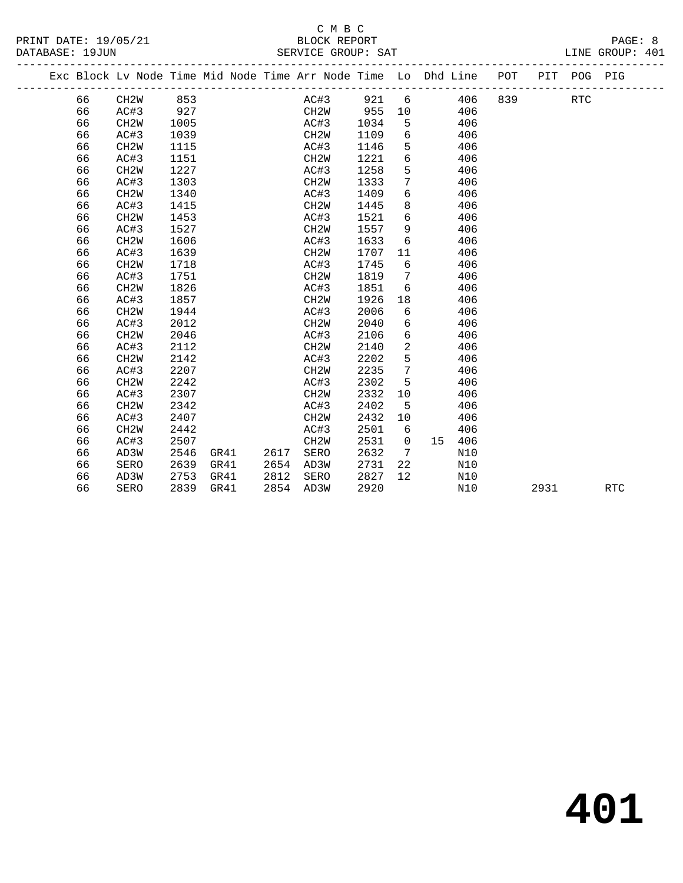# C M B C<br>BLOCK REPORT

| PRINT DATE: 19/05/21 | BLOCK REPORT       | PAGE:           |
|----------------------|--------------------|-----------------|
| DATABASE: 19JUN      | SERVICE GROUP: SAT | LINE GROUP: 401 |
|                      |                    |                 |

|  |    | Exc Block Lv Node Time Mid Node Time Arr Node Time Lo Dhd Line |      |      |      |                   |      |                   |    |     | POT | PIT  | POG PIG    |            |  |
|--|----|----------------------------------------------------------------|------|------|------|-------------------|------|-------------------|----|-----|-----|------|------------|------------|--|
|  | 66 | CH <sub>2</sub> W                                              | 853  |      |      | AC#3              | 921  | 6                 |    | 406 | 839 |      | <b>RTC</b> |            |  |
|  | 66 | AC#3                                                           | 927  |      |      | CH2W              | 955  | 10                |    | 406 |     |      |            |            |  |
|  | 66 | CH <sub>2</sub> W                                              | 1005 |      |      | AC#3              | 1034 | 5                 |    | 406 |     |      |            |            |  |
|  | 66 | AC#3                                                           | 1039 |      |      | CH2W              | 1109 | 6                 |    | 406 |     |      |            |            |  |
|  | 66 | CH <sub>2</sub> W                                              | 1115 |      |      | AC#3              | 1146 | 5                 |    | 406 |     |      |            |            |  |
|  | 66 | AC#3                                                           | 1151 |      |      | CH2W              | 1221 | 6                 |    | 406 |     |      |            |            |  |
|  | 66 | CH <sub>2</sub> W                                              | 1227 |      |      | AC#3              | 1258 | 5                 |    | 406 |     |      |            |            |  |
|  | 66 | AC#3                                                           | 1303 |      |      | CH2W              | 1333 | 7                 |    | 406 |     |      |            |            |  |
|  | 66 | CH <sub>2</sub> W                                              | 1340 |      |      | AC#3              | 1409 | 6                 |    | 406 |     |      |            |            |  |
|  | 66 | AC#3                                                           | 1415 |      |      | CH <sub>2</sub> W | 1445 | 8                 |    | 406 |     |      |            |            |  |
|  | 66 | CH <sub>2</sub> W                                              | 1453 |      |      | AC#3              | 1521 | 6                 |    | 406 |     |      |            |            |  |
|  | 66 | AC#3                                                           | 1527 |      |      | CH <sub>2</sub> W | 1557 | 9                 |    | 406 |     |      |            |            |  |
|  | 66 | CH <sub>2</sub> W                                              | 1606 |      |      | AC#3              | 1633 | 6                 |    | 406 |     |      |            |            |  |
|  | 66 | AC#3                                                           | 1639 |      |      | CH2W              | 1707 | 11                |    | 406 |     |      |            |            |  |
|  | 66 | CH <sub>2</sub> W                                              | 1718 |      |      | AC#3              | 1745 | 6                 |    | 406 |     |      |            |            |  |
|  | 66 | AC#3                                                           | 1751 |      |      | CH <sub>2</sub> W | 1819 | 7                 |    | 406 |     |      |            |            |  |
|  | 66 | CH <sub>2</sub> W                                              | 1826 |      |      | AC#3              | 1851 | 6                 |    | 406 |     |      |            |            |  |
|  | 66 | AC#3                                                           | 1857 |      |      | CH <sub>2</sub> W | 1926 | 18                |    | 406 |     |      |            |            |  |
|  | 66 | CH <sub>2</sub> W                                              | 1944 |      |      | AC#3              | 2006 | 6                 |    | 406 |     |      |            |            |  |
|  | 66 | AC#3                                                           | 2012 |      |      | CH <sub>2</sub> W | 2040 | 6                 |    | 406 |     |      |            |            |  |
|  | 66 | CH <sub>2</sub> W                                              | 2046 |      |      | AC#3              | 2106 | 6                 |    | 406 |     |      |            |            |  |
|  | 66 | AC#3                                                           | 2112 |      |      | CH <sub>2</sub> M | 2140 | 2                 |    | 406 |     |      |            |            |  |
|  | 66 | CH <sub>2</sub> W                                              | 2142 |      |      | AC#3              | 2202 | $5\phantom{.0}$   |    | 406 |     |      |            |            |  |
|  | 66 | AC#3                                                           | 2207 |      |      | CH <sub>2</sub> W | 2235 | 7                 |    | 406 |     |      |            |            |  |
|  | 66 | CH <sub>2</sub> W                                              | 2242 |      |      | AC#3              | 2302 | 5                 |    | 406 |     |      |            |            |  |
|  | 66 | AC#3                                                           | 2307 |      |      | CH <sub>2</sub> M | 2332 | 10                |    | 406 |     |      |            |            |  |
|  | 66 | CH <sub>2</sub> W                                              | 2342 |      |      | AC#3              | 2402 | 5                 |    | 406 |     |      |            |            |  |
|  | 66 | AC#3                                                           | 2407 |      |      | CH <sub>2</sub> W | 2432 | 10                |    | 406 |     |      |            |            |  |
|  | 66 | CH <sub>2</sub> W                                              | 2442 |      |      | AC#3              | 2501 | 6                 |    | 406 |     |      |            |            |  |
|  | 66 | AC#3                                                           | 2507 |      |      | CH <sub>2</sub> M | 2531 | $\mathbf 0$       | 15 | 406 |     |      |            |            |  |
|  | 66 | AD3W                                                           | 2546 | GR41 | 2617 | SERO              | 2632 | 7                 |    | N10 |     |      |            |            |  |
|  | 66 | SERO                                                           | 2639 | GR41 | 2654 | AD3W              | 2731 | 22                |    | N10 |     |      |            |            |  |
|  | 66 | AD3W                                                           | 2753 | GR41 | 2812 | SERO              | 2827 | $12 \overline{ }$ |    | N10 |     |      |            |            |  |
|  | 66 | SERO                                                           | 2839 | GR41 | 2854 | AD3W              | 2920 |                   |    | N10 |     | 2931 |            | <b>RTC</b> |  |
|  |    |                                                                |      |      |      |                   |      |                   |    |     |     |      |            |            |  |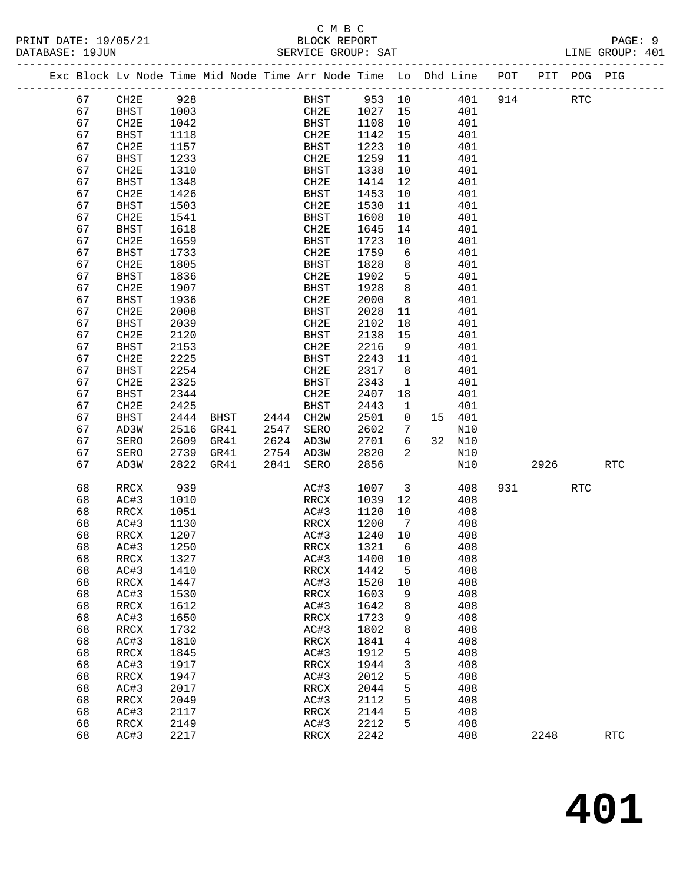## C M B C<br>BLOCK REPORT

| PRINT DATE: 19/05/21<br>DATABASE: 19JUN |          | 5/21         |              |      |      | BLOCK REPORT<br>SERVICE GROUP: SAT                                             |              |                |     |            |           |            | PAGE: 9<br>LINE GROUP: 401 |
|-----------------------------------------|----------|--------------|--------------|------|------|--------------------------------------------------------------------------------|--------------|----------------|-----|------------|-----------|------------|----------------------------|
|                                         |          |              |              |      |      | Exc Block Lv Node Time Mid Node Time Arr Node Time Lo Dhd Line POT PIT POG PIG |              |                |     |            |           |            |                            |
|                                         |          | 67 CH2E 928  |              |      |      | BHST 953 10 401 914 RTC                                                        |              |                |     |            |           |            |                            |
|                                         | 67       | <b>BHST</b>  | 1003         |      |      | CH2E 1027 15 401                                                               |              |                |     |            |           |            |                            |
|                                         | 67       | CH2E         | 1042         |      |      | BHST 1108                                                                      |              | 10             | 401 |            |           |            |                            |
|                                         | 67       | BHST         | 1118         |      |      | CH2E                                                                           | 1142         | 15             |     | 401        |           |            |                            |
|                                         | 67       | CH2E         | 1157         |      |      | BHST                                                                           | 1223         | 10             |     | 401        |           |            |                            |
|                                         | 67       | BHST         | 1233         |      |      | CH2E                                                                           | 1259         | 11             |     | 401        |           |            |                            |
|                                         | 67       | CH2E         | 1310         |      |      | BHST                                                                           | 1338         | 10             |     | 401        |           |            |                            |
|                                         | 67       | BHST         | 1348         |      |      | CH2E                                                                           | 1414         | 12             |     | 401        |           |            |                            |
|                                         | 67       | CH2E         | 1426         |      |      | BHST                                                                           | 1453         | 10             |     | 401        |           |            |                            |
|                                         | 67       | BHST         | 1503         |      |      | CH2E                                                                           | 1530         | 11             |     | 401        |           |            |                            |
|                                         | 67       | CH2E         | 1541         |      |      | BHST                                                                           | 1608         | 10             |     | 401        |           |            |                            |
|                                         | 67       | BHST         | 1618         |      |      | CH2E                                                                           | 1645         | 14             |     | 401        |           |            |                            |
|                                         | 67       | CH2E         | 1659         |      |      | BHST                                                                           | 1723         | 10             |     | 401        |           |            |                            |
|                                         | 67       | BHST         | 1733         |      |      | CH2E                                                                           | 1759         | 6              |     | 401        |           |            |                            |
|                                         | 67       | CH2E         | 1805         |      |      | BHST                                                                           | 1828         | 8              |     | 401        |           |            |                            |
|                                         | 67       | BHST         | 1836         |      |      | CH2E                                                                           | 1902         | 5 <sup>5</sup> |     | 401        |           |            |                            |
|                                         | 67       | CH2E         | 1907         |      |      | <b>BHST</b>                                                                    | 1928         | 8 <sup>8</sup> |     | 401        |           |            |                            |
|                                         | 67       | BHST         | 1936         |      |      | CH2E                                                                           | 2000         | 8 <sup>8</sup> |     | 401        |           |            |                            |
|                                         | 67       | CH2E         | 2008         |      |      | BHST                                                                           | 2028         | 11             |     | 401        |           |            |                            |
|                                         | 67       | <b>BHST</b>  | 2039         |      |      | CH2E                                                                           | 2102         | 18             |     | 401        |           |            |                            |
|                                         | 67       | CH2E         | 2120         |      |      | BHST                                                                           | 2138         | 15             |     | 401        |           |            |                            |
|                                         | 67       | BHST         | 2153         |      |      | CH2E                                                                           | 2216         | 9              |     | 401        |           |            |                            |
|                                         | 67       | CH2E         | 2225         |      |      | BHST                                                                           | 2243         | 11             |     | 401        |           |            |                            |
|                                         | 67       | <b>BHST</b>  | 2254         |      |      | CH2E                                                                           | 2317         | 8 <sup>8</sup> |     | 401        |           |            |                            |
|                                         | 67       | CH2E         | 2325         |      |      | BHST                                                                           | 2343         | $\mathbf{1}$   |     | 401        |           |            |                            |
|                                         | 67       | BHST         | 2344         |      |      | CH2E                                                                           | 2407         | 18             |     | 401        |           |            |                            |
|                                         | 67       | CH2E         | 2425         |      |      | BHST                                                                           | 2443         | $\mathbf{1}$   |     | 401        |           |            |                            |
|                                         | 67       | BHST         | 2444         | BHST |      | 2444 CH2W                                                                      | 2501         | $\overline{0}$ |     | 15 401     |           |            |                            |
|                                         | 67       | AD3W         | 2516         | GR41 | 2547 | SERO                                                                           | 2602         | 7              |     | N10        |           |            |                            |
|                                         | 67       | SERO         | 2609         | GR41 |      | 2624 AD3W                                                                      | 2701         | 6              |     | 32 N10     |           |            |                            |
|                                         | 67       | SERO         | 2739         | GR41 |      | 2754 AD3W                                                                      | 2820         | 2              |     | N10        |           |            |                            |
|                                         | 67       | AD3W         | 2822         | GR41 | 2841 | SERO                                                                           | 2856         |                |     | N10        | 2926 10   |            | <b>RTC</b>                 |
|                                         | 68       | RRCX         | 939          |      |      | AC#3                                                                           | 1007 3 408   |                |     |            | 931 — 100 | <b>RTC</b> |                            |
|                                         | 68       | AC#3         | 1010         |      |      | RRCX                                                                           | 1039 12      |                | 408 |            |           |            |                            |
|                                         | 68       | RRCX         | 1051         |      |      | AC#3                                                                           | 1120         | 10             |     | 408        |           |            |                            |
|                                         | 68       | AC#3         | 1130         |      |      | RRCX                                                                           | 1200         | $7\phantom{0}$ |     | 408        |           |            |                            |
|                                         |          | 68 RRCX 1207 |              |      |      | AC#3 1240 10                                                                   |              |                |     | 408        |           |            |                            |
|                                         | 68       | AC#3         | 1250         |      |      | RRCX                                                                           | 1321         | 6              |     | 408        |           |            |                            |
|                                         | 68       | RRCX         | 1327         |      |      | AC#3                                                                           | 1400         | 10             |     | 408        |           |            |                            |
|                                         | 68       | AC#3         | 1410         |      |      | RRCX                                                                           | 1442         | 5              |     | 408        |           |            |                            |
|                                         | 68       | RRCX         | 1447         |      |      | AC#3                                                                           | 1520         | 10             |     | 408        |           |            |                            |
|                                         | 68       | AC#3         | 1530         |      |      | RRCX                                                                           | 1603         | 9              |     | 408        |           |            |                            |
|                                         | 68       | RRCX         | 1612         |      |      | AC#3                                                                           | 1642         | 8              |     | 408        |           |            |                            |
|                                         | 68       | AC#3         | 1650         |      |      | RRCX                                                                           | 1723         | 9              |     | 408        |           |            |                            |
|                                         | 68       | RRCX         | 1732         |      |      | AC#3                                                                           | 1802         | 8              |     | 408        |           |            |                            |
|                                         | 68       | AC#3         | 1810         |      |      | RRCX                                                                           | 1841         | 4              |     | 408        |           |            |                            |
|                                         | 68       | RRCX         | 1845         |      |      | AC#3                                                                           | 1912         | 5              |     | 408        |           |            |                            |
|                                         | 68       | AC#3         | 1917         |      |      | RRCX                                                                           | 1944         | 3              |     | 408        |           |            |                            |
|                                         | 68<br>68 | RRCX<br>AC#3 | 1947<br>2017 |      |      | AC#3                                                                           | 2012         | 5              |     | 408<br>408 |           |            |                            |
|                                         | 68       | RRCX         | 2049         |      |      | RRCX                                                                           | 2044         | 5              |     | 408        |           |            |                            |
|                                         | 68       | AC#3         | 2117         |      |      | AC#3<br>RRCX                                                                   | 2112<br>2144 | 5<br>5         |     | 408        |           |            |                            |
|                                         | 68       | RRCX         | 2149         |      |      | AC#3                                                                           | 2212         | 5              |     | 408        |           |            |                            |
|                                         | 68       | AC#3         | 2217         |      |      | RRCX                                                                           | 2242         |                |     | 408        | 2248      |            | <b>RTC</b>                 |
|                                         |          |              |              |      |      |                                                                                |              |                |     |            |           |            |                            |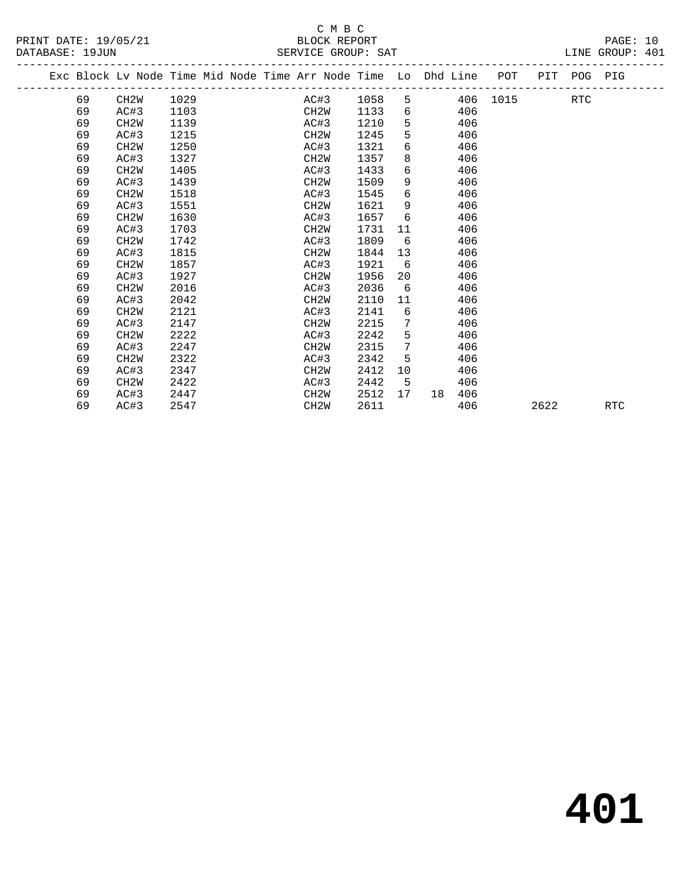|  |    | Exc Block Lv Node Time Mid Node Time Arr Node Time Lo Dhd Line POT |      |  |                   |      |                 |                   |     |          |      | PIT POG PIG |            |  |
|--|----|--------------------------------------------------------------------|------|--|-------------------|------|-----------------|-------------------|-----|----------|------|-------------|------------|--|
|  | 69 | CH <sub>2</sub> W                                                  | 1029 |  | AC#3              | 1058 |                 | $5^{\circ}$       |     | 406 1015 |      | <b>RTC</b>  |            |  |
|  | 69 | AC#3                                                               | 1103 |  | CH2W              | 1133 |                 | $6 \qquad \qquad$ | 406 |          |      |             |            |  |
|  | 69 | CH <sub>2</sub> W                                                  | 1139 |  | AC#3              | 1210 | 5               |                   | 406 |          |      |             |            |  |
|  | 69 | AC#3                                                               | 1215 |  | CH <sub>2</sub> W | 1245 | 5               |                   | 406 |          |      |             |            |  |
|  | 69 | CH <sub>2</sub> W                                                  | 1250 |  | AC#3              | 1321 | 6               |                   | 406 |          |      |             |            |  |
|  | 69 | AC#3                                                               | 1327 |  | CH2W              | 1357 | 8               |                   | 406 |          |      |             |            |  |
|  | 69 | CH <sub>2</sub> W                                                  | 1405 |  | AC#3              | 1433 | 6               |                   | 406 |          |      |             |            |  |
|  | 69 | AC#3                                                               | 1439 |  | CH <sub>2</sub> W | 1509 | 9               |                   | 406 |          |      |             |            |  |
|  | 69 | CH <sub>2</sub> W                                                  | 1518 |  | AC#3              | 1545 | 6               |                   | 406 |          |      |             |            |  |
|  | 69 | AC#3                                                               | 1551 |  | CH <sub>2</sub> M | 1621 | 9               |                   | 406 |          |      |             |            |  |
|  | 69 | CH <sub>2</sub> W                                                  | 1630 |  | AC#3              | 1657 | 6               |                   | 406 |          |      |             |            |  |
|  | 69 | AC#3                                                               | 1703 |  | CH <sub>2</sub> W | 1731 | 11              |                   | 406 |          |      |             |            |  |
|  | 69 | CH <sub>2</sub> W                                                  | 1742 |  | AC#3              | 1809 | 6               |                   | 406 |          |      |             |            |  |
|  | 69 | AC#3                                                               | 1815 |  | CH <sub>2</sub> W | 1844 | 13              |                   | 406 |          |      |             |            |  |
|  | 69 | CH <sub>2</sub> W                                                  | 1857 |  | AC#3              | 1921 | 6               |                   | 406 |          |      |             |            |  |
|  | 69 | AC#3                                                               | 1927 |  | CH <sub>2</sub> W | 1956 | 20              |                   | 406 |          |      |             |            |  |
|  | 69 | CH <sub>2</sub> W                                                  | 2016 |  | AC#3              | 2036 | 6               |                   | 406 |          |      |             |            |  |
|  | 69 | AC#3                                                               | 2042 |  | CH <sub>2</sub> W | 2110 | 11              |                   | 406 |          |      |             |            |  |
|  | 69 | CH <sub>2</sub> W                                                  | 2121 |  | AC#3              | 2141 | 6               |                   | 406 |          |      |             |            |  |
|  | 69 | AC#3                                                               | 2147 |  | CH <sub>2</sub> W | 2215 | 7               |                   | 406 |          |      |             |            |  |
|  | 69 | CH <sub>2</sub> W                                                  | 2222 |  | AC#3              | 2242 | 5               |                   | 406 |          |      |             |            |  |
|  | 69 | AC#3                                                               | 2247 |  | CH <sub>2</sub> W | 2315 | $7\phantom{.0}$ |                   | 406 |          |      |             |            |  |
|  | 69 | CH <sub>2</sub> W                                                  | 2322 |  | AC#3              | 2342 | 5               |                   | 406 |          |      |             |            |  |
|  | 69 | AC#3                                                               | 2347 |  | CH <sub>2</sub> M | 2412 | 10              |                   | 406 |          |      |             |            |  |
|  | 69 | CH <sub>2</sub> W                                                  | 2422 |  | AC#3              | 2442 | 5               |                   | 406 |          |      |             |            |  |
|  | 69 | AC#3                                                               | 2447 |  | CH <sub>2</sub> W | 2512 | 17              | 18                | 406 |          |      |             |            |  |
|  | 69 | AC#3                                                               | 2547 |  | CH <sub>2</sub> W | 2611 |                 |                   | 406 |          | 2622 |             | <b>RTC</b> |  |
|  |    |                                                                    |      |  |                   |      |                 |                   |     |          |      |             |            |  |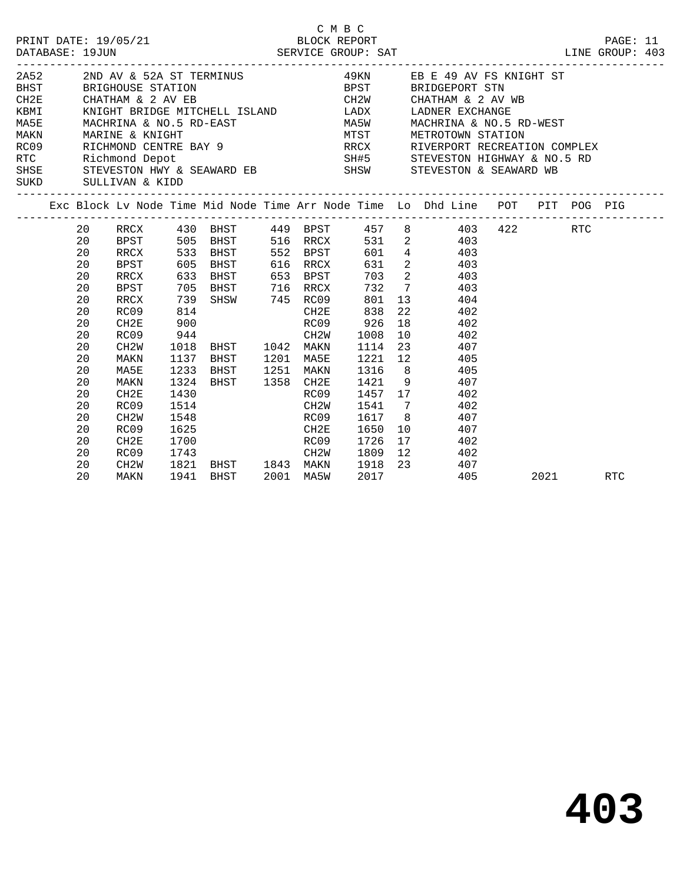|    |                   |      |                                                                                                   | C M B C | BLOCK REPORT | PRINT DATE: 19/05/21 BLOCK REPORT PAGE: 11<br>DATABASE: 19JUN SERVICE GROUP: SAT LINE GROUP: 403                                                                                                                                             |           |     |  |
|----|-------------------|------|---------------------------------------------------------------------------------------------------|---------|--------------|----------------------------------------------------------------------------------------------------------------------------------------------------------------------------------------------------------------------------------------------|-----------|-----|--|
|    |                   |      |                                                                                                   |         |              | 2A52 2ND AV & 52A ST TERMINUS 49KN EB E 49 AV FS KNIGHT ST                                                                                                                                                                                   |           |     |  |
|    |                   |      |                                                                                                   |         |              |                                                                                                                                                                                                                                              |           |     |  |
|    |                   |      |                                                                                                   |         |              |                                                                                                                                                                                                                                              |           |     |  |
|    |                   |      |                                                                                                   |         |              | $\verb KBMI ~~\verb KNIGHT BRIDGE MITCHELL ISLAND~~\verb LADX ~~\verb LADNER EXCHANGE ~~$                                                                                                                                                    |           |     |  |
|    |                   |      |                                                                                                   |         |              | MA5E MACHRINA & NO.5 RD-EAST MA5W MACHRINA & NO.5 RD-WEST                                                                                                                                                                                    |           |     |  |
|    |                   |      |                                                                                                   |         |              |                                                                                                                                                                                                                                              |           |     |  |
|    |                   |      |                                                                                                   |         |              |                                                                                                                                                                                                                                              |           |     |  |
|    |                   |      |                                                                                                   |         |              |                                                                                                                                                                                                                                              |           |     |  |
|    |                   |      |                                                                                                   |         |              | MAKN MARINE & KNIGHT<br>RCO9 RICHMOND CENTRE BAY 9<br>RTC RICHMOND CENTRE BAY 9<br>RTC RICHMOND CENTRE BAY 9<br>RTC RICHMOND CENTRE BAY 9<br>RTC RIVERPORT RECREATION COMPLEX<br>SUSE STEVESTON HWY & SEAWARD EB<br>SUSE STEVESTON MY & SEAW |           |     |  |
|    |                   |      |                                                                                                   |         |              |                                                                                                                                                                                                                                              |           |     |  |
|    |                   |      |                                                                                                   |         |              | Exc Block Lv Node Time Mid Node Time Arr Node Time Lo Dhd Line POT PIT POG PIG                                                                                                                                                               |           |     |  |
| 20 |                   |      |                                                                                                   |         |              | RRCX 430 BHST 449 BPST 457 8 403 422 RTC                                                                                                                                                                                                     |           |     |  |
| 20 |                   |      |                                                                                                   |         |              | BPST 505 BHST 516 RRCX 531 2 403                                                                                                                                                                                                             |           |     |  |
| 20 | RRCX              |      |                                                                                                   |         |              | 533 BHST 552 BPST 601 4 403                                                                                                                                                                                                                  |           |     |  |
| 20 | <b>BPST</b>       |      |                                                                                                   |         |              | 605 BHST 616 RRCX 631 2 403                                                                                                                                                                                                                  |           |     |  |
| 20 | RRCX              |      |                                                                                                   |         |              | 633 BHST 653 BPST 703 2 403<br>705 BHST 716 RRCX 732 7 403<br>739 SHSW 745 RC09 801 13 404<br>814 CH2E 838 22 402<br>900 RC09 926 18 402                                                                                                     |           |     |  |
| 20 | BPST              |      |                                                                                                   |         |              |                                                                                                                                                                                                                                              |           |     |  |
| 20 | RRCX              |      |                                                                                                   |         |              |                                                                                                                                                                                                                                              |           |     |  |
| 20 | RC09              |      |                                                                                                   |         |              | CH2E 838 22 402<br>RC09 926 18 402<br>CH2W 1008 10 402                                                                                                                                                                                       |           |     |  |
| 20 | CH2E              |      |                                                                                                   |         |              |                                                                                                                                                                                                                                              |           |     |  |
| 20 | RC09              | 944  |                                                                                                   | CH2W    |              |                                                                                                                                                                                                                                              |           |     |  |
| 20 | CH2W              |      |                                                                                                   |         |              | 1018 BHST 1042 MAKN 1114 23 407                                                                                                                                                                                                              |           |     |  |
| 20 | MAKN              |      |                                                                                                   |         |              | 1137 BHST 1201 MA5E 1221 12 405                                                                                                                                                                                                              |           |     |  |
| 20 | MA5E              | 1233 |                                                                                                   |         |              | BHST 1251 MAKN 1316 8 405                                                                                                                                                                                                                    |           |     |  |
| 20 | MAKN              |      | 1324 BHST 1358 CH2E                                                                               |         |              | 1421 9 407                                                                                                                                                                                                                                   |           |     |  |
| 20 | CH2E              | 1430 |                                                                                                   | RC09    |              | 1457 17 402                                                                                                                                                                                                                                  |           |     |  |
| 20 | RC09              |      | 1514 CH2W                                                                                         |         |              | 1541 7 402                                                                                                                                                                                                                                   |           |     |  |
| 20 | CH <sub>2</sub> W |      | 1548 RC09                                                                                         |         |              | 1617 8 407                                                                                                                                                                                                                                   |           |     |  |
| 20 | RC09              | 1625 | <b>CH2E</b>                                                                                       |         | 1650         | 10 407                                                                                                                                                                                                                                       |           |     |  |
| 20 | CH2E              |      | 1700 RC09 1726 17<br>1743 CH2W 1809 12<br>1821 BHST 1843 MAKN 1918 23<br>1941 BHST 2001 MA5W 2017 |         |              | 17 402                                                                                                                                                                                                                                       |           |     |  |
| 20 | RC09              |      |                                                                                                   |         |              | 402                                                                                                                                                                                                                                          |           |     |  |
| 20 | CH2W              |      |                                                                                                   |         |              | 407                                                                                                                                                                                                                                          |           |     |  |
| 20 | MAKN              |      |                                                                                                   |         |              | 405                                                                                                                                                                                                                                          | 2021 2020 | RTC |  |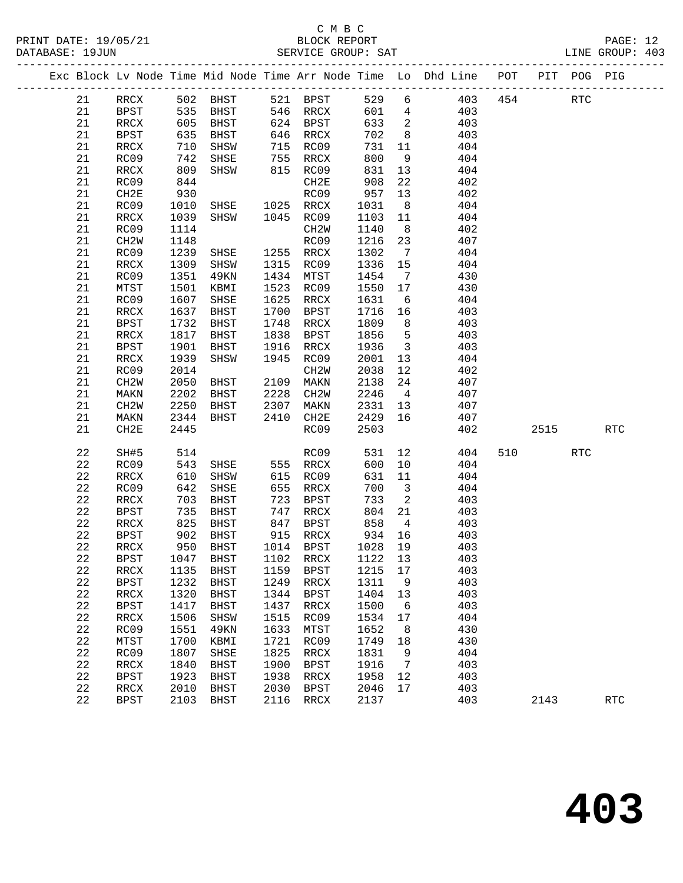#### C M B C<br>BLOCK REPORT SERVICE GROUP: SAT

|  |             |                   |              |             |      |                   |              |                            | Exc Block Lv Node Time Mid Node Time Arr Node Time Lo Dhd Line POT |         |      | PIT POG PIG |            |  |
|--|-------------|-------------------|--------------|-------------|------|-------------------|--------------|----------------------------|--------------------------------------------------------------------|---------|------|-------------|------------|--|
|  | 21          | RRCX              |              | 502 BHST    |      | 521 BPST          | 529          | 6                          |                                                                    | 403 454 |      | <b>RTC</b>  |            |  |
|  | 21          | BPST              | 535          | BHST        |      | 546 RRCX          | 601          | $\overline{4}$             | 403                                                                |         |      |             |            |  |
|  | 21          | RRCX              | 605          | BHST        |      | 624 BPST          | 633          | $\overline{\mathbf{2}}$    | 403                                                                |         |      |             |            |  |
|  | 21          | BPST              | 635          | BHST        |      | 646 RRCX          | 702          | 8 <sup>8</sup>             | 403                                                                |         |      |             |            |  |
|  | 21          | RRCX              | 710          | SHSW        | 715  | RC09              | 731          | 11                         | 404                                                                |         |      |             |            |  |
|  | 21          | RC09              | 742          | SHSE        | 755  | RRCX              | 800          | 9                          | 404                                                                |         |      |             |            |  |
|  | 21          | RRCX              | 809          | SHSW        |      | 815 RC09          | 831          | 13                         | 404                                                                |         |      |             |            |  |
|  | 21          | RC09              | 844          |             |      | CH2E              | 908          | 22                         | 402                                                                |         |      |             |            |  |
|  | 21          | CH2E              | 930          |             |      | RC09              | 957          | 13                         | 402                                                                |         |      |             |            |  |
|  | 21          | RC09              | 1010         | SHSE        |      | 1025 RRCX         | 1031         | 8 <sup>8</sup>             | 404                                                                |         |      |             |            |  |
|  | 21          | RRCX              | 1039         | SHSW        |      | 1045 RC09         | 1103         | 11                         | 404                                                                |         |      |             |            |  |
|  | 21          | RC09              | 1114         |             |      | CH2W              | 1140         | 8 <sup>8</sup>             | 402                                                                |         |      |             |            |  |
|  | 21          | CH <sub>2</sub> W | 1148         |             |      | RC09              | 1216         | 23                         | 407                                                                |         |      |             |            |  |
|  | 21          | RC09              | 1239         | SHSE        |      | 1255 RRCX         | 1302         | $\overline{7}$             | 404                                                                |         |      |             |            |  |
|  | 21          | RRCX              | 1309         | SHSW        | 1315 | RC09              | 1336         | 15                         | 404                                                                |         |      |             |            |  |
|  | 21          | RC09              | 1351         | 49KN        | 1434 | MTST              | 1454         | $\overline{7}$             | 430                                                                |         |      |             |            |  |
|  | 21          | MTST              | 1501         | KBMI        | 1523 | RC09              | 1550         | 17                         | 430                                                                |         |      |             |            |  |
|  | 21          | RC09              | 1607         | SHSE        | 1625 | RRCX              | 1631         | $6\overline{6}$            | 404                                                                |         |      |             |            |  |
|  | 21          | RRCX              | 1637         | BHST        | 1700 | BPST              | 1716         | 16                         | 403                                                                |         |      |             |            |  |
|  | 21          | <b>BPST</b>       | 1732         | BHST        | 1748 | RRCX              | 1809         | 8 <sup>8</sup>             | 403                                                                |         |      |             |            |  |
|  | 21          | RRCX              | 1817         | BHST        | 1838 | BPST              | 1856         | $5^{\circ}$                | 403                                                                |         |      |             |            |  |
|  | 21          | BPST              | 1901         | BHST        | 1916 | RRCX              | 1936         | $\overline{\mathbf{3}}$    | 403                                                                |         |      |             |            |  |
|  | 21          | RRCX              | 1939         | SHSW        | 1945 | RC09              | 2001         | 13                         | 404                                                                |         |      |             |            |  |
|  | 21          | RC09              | 2014         |             |      | CH <sub>2</sub> M | 2038         | 12                         | 402                                                                |         |      |             |            |  |
|  | 21          | CH <sub>2</sub> W | 2050         | BHST        |      | 2109 MAKN         | 2138         | 24                         | 407                                                                |         |      |             |            |  |
|  | 21          | MAKN              | 2202         | BHST        | 2228 | CH2W              | 2246         | $\overline{4}$             | 407                                                                |         |      |             |            |  |
|  | 21          |                   | 2250         |             | 2307 |                   |              | 13                         | 407                                                                |         |      |             |            |  |
|  |             | CH <sub>2</sub> W |              | BHST        | 2410 | MAKN              | 2331<br>2429 | 16                         | 407                                                                |         |      |             |            |  |
|  | 21<br>21    | MAKN<br>CH2E      | 2344<br>2445 | BHST        |      | CH2E<br>RC09      | 2503         |                            | 402                                                                |         | 2515 |             | <b>RTC</b> |  |
|  |             |                   |              |             |      |                   |              |                            |                                                                    |         |      |             |            |  |
|  | 22          | SH#5              | 514          |             |      | RC09              | 531          | 12                         | 404                                                                | 510     |      | <b>RTC</b>  |            |  |
|  | 22          | RC09              | 543          | SHSE        |      | 555 RRCX          | 600          | 10                         | 404                                                                |         |      |             |            |  |
|  | 22          | RRCX              | 610          | SHSW        | 615  | RC09              | 631          | 11                         | 404                                                                |         |      |             |            |  |
|  | 22          | RC09              | 642          | SHSE        | 655  | RRCX              | 700          | $\overline{\mathbf{3}}$    | 404                                                                |         |      |             |            |  |
|  | 22          | RRCX              | 703          | BHST        | 723  | BPST              | 733          | $\overline{\phantom{a}}^2$ | 403                                                                |         |      |             |            |  |
|  | 22          | <b>BPST</b>       | 735          | BHST        | 747  | RRCX              | 804          | 21                         | 403                                                                |         |      |             |            |  |
|  | 22          | RRCX              | 825          | BHST        | 847  | BPST              | 858          | $\overline{4}$             | 403                                                                |         |      |             |            |  |
|  | 22          | BPST              | 902          | BHST        |      | 915 RRCX          | 934          | 16                         | 403                                                                |         |      |             |            |  |
|  | 22          | RRCX              | 950          | <b>BHST</b> |      | 1014 BPST         | 1028 19      |                            | 403                                                                |         |      |             |            |  |
|  | 22          | BPST              | 1047         | BHST        | 1102 | RRCX              | 1122         | 13                         | 403                                                                |         |      |             |            |  |
|  | 22          | RRCX              | 1135         | <b>BHST</b> | 1159 | <b>BPST</b>       | 1215         | 17                         | 403                                                                |         |      |             |            |  |
|  | 22          | <b>BPST</b>       | 1232         | <b>BHST</b> | 1249 | RRCX              | 1311         | 9                          | 403                                                                |         |      |             |            |  |
|  | 22          | RRCX              | 1320         | <b>BHST</b> | 1344 | <b>BPST</b>       | 1404         | 13                         | 403                                                                |         |      |             |            |  |
|  | $2\sqrt{2}$ | <b>BPST</b>       | 1417         | <b>BHST</b> | 1437 | RRCX              | 1500         | 6                          | 403                                                                |         |      |             |            |  |
|  | 22          | <b>RRCX</b>       | 1506         | SHSW        | 1515 | RC09              | 1534         | 17                         | 404                                                                |         |      |             |            |  |
|  | 22          | RC09              | 1551         | <b>49KN</b> | 1633 | MTST              | 1652         | 8                          | 430                                                                |         |      |             |            |  |
|  | 22          | MTST              | 1700         | KBMI        | 1721 | RC09              | 1749         | 18                         | 430                                                                |         |      |             |            |  |
|  | 22          | RC09              | 1807         | SHSE        | 1825 | RRCX              | 1831         | 9                          | 404                                                                |         |      |             |            |  |
|  | 22          | RRCX              | 1840         | <b>BHST</b> | 1900 | <b>BPST</b>       | 1916         | 7                          | 403                                                                |         |      |             |            |  |
|  | 22          | <b>BPST</b>       | 1923         | <b>BHST</b> | 1938 | RRCX              | 1958         | 12                         | 403                                                                |         |      |             |            |  |
|  | 22          | RRCX              | 2010         | <b>BHST</b> | 2030 | <b>BPST</b>       | 2046         | 17                         | 403                                                                |         |      |             |            |  |

22 BPST 2103 BHST 2116 RRCX 2137 403 2143 RTC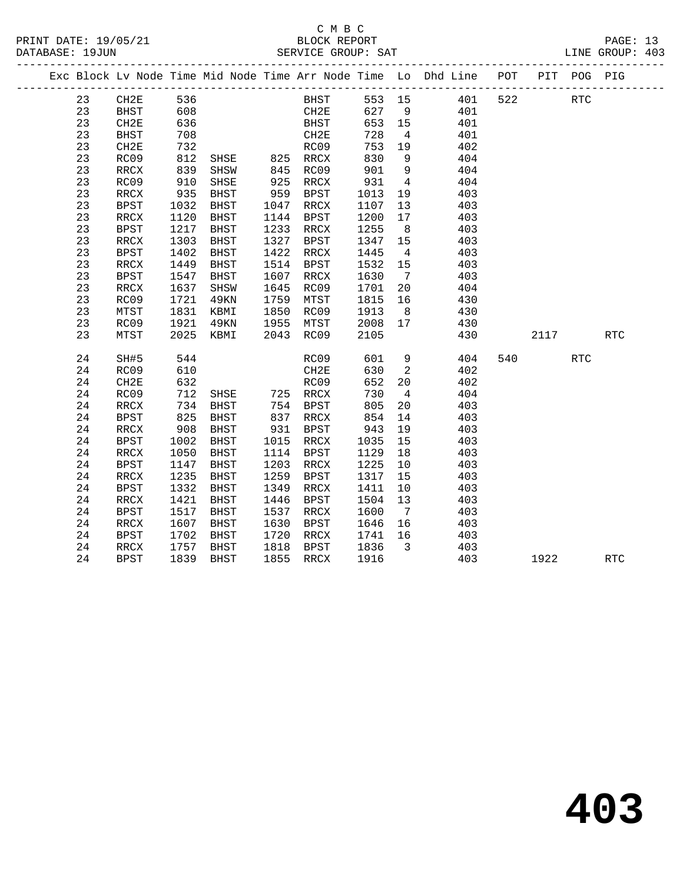|  |    |             |            |               |      |             |                          |                         | Exc Block Lv Node Time Mid Node Time Arr Node Time Lo Dhd Line POT |     |      | PIT POG PIG |            |  |
|--|----|-------------|------------|---------------|------|-------------|--------------------------|-------------------------|--------------------------------------------------------------------|-----|------|-------------|------------|--|
|  | 23 | CH2E        | 536        |               |      | BHST 553 15 |                          |                         | 401                                                                | 522 |      | <b>RTC</b>  |            |  |
|  | 23 | BHST        | 608        |               |      | CH2E 627 9  |                          |                         | 401                                                                |     |      |             |            |  |
|  | 23 | CH2E        | 636        |               |      | <b>BHST</b> | 653 15                   |                         | 401                                                                |     |      |             |            |  |
|  | 23 | <b>BHST</b> | 708        |               |      | CH2E        | 728                      | $\overline{4}$          | 401                                                                |     |      |             |            |  |
|  | 23 | CH2E        | 732        |               |      | RC09        | 753                      | 19                      | 402                                                                |     |      |             |            |  |
|  | 23 | RC09        | 812        | SHSE          |      | 825 RRCX    | 830                      | 9                       | 404                                                                |     |      |             |            |  |
|  | 23 | RRCX        | 839        | SHSW          | 845  | RC09        | 901                      | $\overline{9}$          | 404                                                                |     |      |             |            |  |
|  | 23 | RC09        | 910        | SHSE          |      |             | 931                      | $\overline{4}$          | 404                                                                |     |      |             |            |  |
|  | 23 | RRCX        | 935        | BHST          |      |             | 1013                     | 19                      | 403                                                                |     |      |             |            |  |
|  | 23 | <b>BPST</b> | 1032       | BHST          | 1047 | RRCX        | 1107                     | 13                      | 403                                                                |     |      |             |            |  |
|  | 23 | RRCX        | 1120       | BHST          | 1144 | BPST        | 1200                     | 17                      | 403                                                                |     |      |             |            |  |
|  | 23 | BPST        | 1217       | BHST          | 1233 | RRCX        | 1255                     | 8 <sup>8</sup>          | 403                                                                |     |      |             |            |  |
|  | 23 | RRCX        | 1303       | BHST          | 1327 | BPST        | 1347                     | 15                      | 403                                                                |     |      |             |            |  |
|  | 23 | <b>BPST</b> | 1402       | BHST          | 1422 | RRCX        | 1445                     | $\overline{4}$          | 403                                                                |     |      |             |            |  |
|  | 23 | RRCX        | 1449       | <b>BHST</b>   | 1514 | BPST        | 1532                     | 15                      | 403                                                                |     |      |             |            |  |
|  | 23 | BPST        | 1547       | BHST          | 1607 | RRCX        | 1630                     | $\overline{7}$          | 403                                                                |     |      |             |            |  |
|  | 23 | RRCX        | 1637       | SHSW          | 1645 | RC09        | 1701                     | 20                      | 404                                                                |     |      |             |            |  |
|  | 23 | RC09        | 1721       | 49KN          | 1759 | MTST        | 1815 16                  |                         | 430                                                                |     |      |             |            |  |
|  | 23 | MTST        | 1831       | KBMI          | 1850 | RC09        | 1913                     | 8 <sup>8</sup>          | 430                                                                |     |      |             |            |  |
|  | 23 | RC09        | 1921       | 49KN          | 1955 | MTST        | 2008                     | 17                      | 430                                                                |     |      |             |            |  |
|  | 23 | MTST        | 2025       | KBMI          |      | 2043 RC09   | 2105                     |                         | 430                                                                |     | 2117 |             | <b>RTC</b> |  |
|  | 24 | SH#5        | 544        |               |      | RC09        | 601                      | 9                       | 404                                                                |     | 540  | <b>RTC</b>  |            |  |
|  | 24 | RC09        | 610        |               |      | CH2E        | 630                      | $\overline{2}$          | 402                                                                |     |      |             |            |  |
|  | 24 | CH2E        | 632        |               |      | RC09        | 652                      | 20                      | 402                                                                |     |      |             |            |  |
|  | 24 | RC09        | 712        | SHSE 725 RRCX |      |             | 730                      | $\overline{4}$          | 404                                                                |     |      |             |            |  |
|  | 24 | RRCX        | 734        | BHST          |      | 754 BPST    | 805                      | 20                      | 403                                                                |     |      |             |            |  |
|  | 24 | BPST        |            | BHST          |      | 837 RRCX    |                          | 14                      | 403                                                                |     |      |             |            |  |
|  | 24 | RRCX        | 825<br>908 | BHST          | 931  | BPST        |                          | 19                      | 403                                                                |     |      |             |            |  |
|  | 24 | <b>BPST</b> | 1002       | BHST          | 1015 | RRCX        | 8-<br>943<br>^3F<br>1035 | 15                      | 403                                                                |     |      |             |            |  |
|  | 24 | RRCX        | 1050       | BHST          | 1114 | BPST        | 1129                     | 18                      | 403                                                                |     |      |             |            |  |
|  | 24 | BPST        | 1147       | BHST          | 1203 | RRCX        | 1225                     | 10                      | 403                                                                |     |      |             |            |  |
|  | 24 | RRCX        | 1235       | BHST          | 1259 | BPST        | 1317                     | 15                      | 403                                                                |     |      |             |            |  |
|  | 24 | <b>BPST</b> | 1332       | BHST          | 1349 | RRCX        | 1411                     | 10                      | 403                                                                |     |      |             |            |  |
|  | 24 | RRCX        | 1421       | BHST          | 1446 | BPST        | 1504                     | 13                      | 403                                                                |     |      |             |            |  |
|  | 24 | <b>BPST</b> | 1517       | BHST          | 1537 | RRCX        | 1600                     | $\overline{7}$          | 403                                                                |     |      |             |            |  |
|  | 24 | RRCX        | 1607       | BHST          | 1630 | BPST        | 1646                     | 16                      | 403                                                                |     |      |             |            |  |
|  | 24 | BPST        | 1702       | BHST          | 1720 | RRCX        | 1741                     | 16                      | 403                                                                |     |      |             |            |  |
|  | 24 | RRCX        | 1757       | BHST          | 1818 | BPST        | 1836                     | $\overline{\mathbf{3}}$ | 403                                                                |     |      |             |            |  |
|  | 24 | <b>BPST</b> | 1839       | <b>BHST</b>   | 1855 | RRCX        | 1916                     |                         | 403                                                                |     | 1922 |             | <b>RTC</b> |  |
|  |    |             |            |               |      |             |                          |                         |                                                                    |     |      |             |            |  |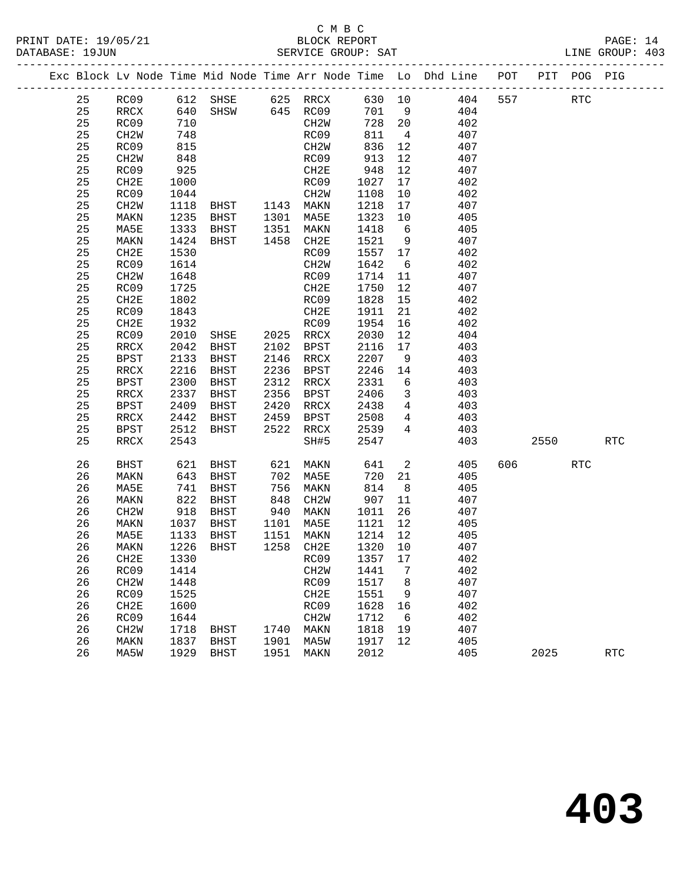#### C M B C<br>BLOCK REPORT PRINT DATE: 19/05/21 BLOCK REPORT PAGE: 14 SERVICE GROUP: SAT

|  |    |                          |                 |                                  |                                                                                    |                   |         |                         | Exc Block Lv Node Time Mid Node Time Arr Node Time Lo Dhd Line POT PIT POG PIG |     |         |            |            |
|--|----|--------------------------|-----------------|----------------------------------|------------------------------------------------------------------------------------|-------------------|---------|-------------------------|--------------------------------------------------------------------------------|-----|---------|------------|------------|
|  | 25 |                          |                 | RC09 612 SHSE 625 RRCX 630 10    |                                                                                    |                   |         |                         | 404                                                                            | 557 |         | <b>RTC</b> |            |
|  | 25 | RRCX                     | 640             | $SHSW$ 645 $RC09$                |                                                                                    |                   | 701 9   |                         | 404                                                                            |     |         |            |            |
|  | 25 | RC09                     | 710             |                                  |                                                                                    | CH2W              | 728 20  |                         | 402                                                                            |     |         |            |            |
|  | 25 | CH2W                     | 748             |                                  |                                                                                    | RC09              | 811     | $\overline{4}$          | 407                                                                            |     |         |            |            |
|  | 25 | RC09                     | 815             |                                  |                                                                                    | CH2W              | 836     | 12                      | 407                                                                            |     |         |            |            |
|  | 25 | CH2W                     | 848             |                                  |                                                                                    | RC09              | 913     | 12                      | 407                                                                            |     |         |            |            |
|  | 25 | RC09                     | 925             |                                  |                                                                                    | CH2E              | 948     | 12                      | 407                                                                            |     |         |            |            |
|  | 25 | CH2E                     | 1000            |                                  |                                                                                    | RC09              | 1027    | 17                      | 402                                                                            |     |         |            |            |
|  | 25 | RC09                     | 1044            |                                  |                                                                                    | CH2W              | 1108    | 10                      | 402                                                                            |     |         |            |            |
|  | 25 | CH2W                     | 1118            |                                  |                                                                                    |                   | 1218    | 17                      | 407                                                                            |     |         |            |            |
|  | 25 | MAKN                     | 1235            | BHST 1301 MA5E                   |                                                                                    |                   | 1323    | 10                      | 405                                                                            |     |         |            |            |
|  | 25 | MA5E                     | 1333            | BHST 1351 MAKN                   |                                                                                    |                   | 1418    | $6\overline{6}$         | 405                                                                            |     |         |            |            |
|  | 25 | MAKN                     | 1424            | BHST                             |                                                                                    | 1458 CH2E         | 1521    | 9                       | 407                                                                            |     |         |            |            |
|  | 25 | CH2E                     | 1530            |                                  |                                                                                    | RC09              | 1557 17 |                         | 402                                                                            |     |         |            |            |
|  | 25 | RC09                     | 1614            |                                  |                                                                                    | CH2W              | 1642    | 6                       | 402                                                                            |     |         |            |            |
|  | 25 | CH2W                     | 1648            |                                  |                                                                                    | RC09              | 1714    | 11                      | 407                                                                            |     |         |            |            |
|  | 25 | RC09                     | 1725            |                                  |                                                                                    | CH2E              | 1750    | 12                      | 407                                                                            |     |         |            |            |
|  | 25 | CH2E                     | 1802            |                                  |                                                                                    | RC09              | 1828    | 15                      | 402                                                                            |     |         |            |            |
|  | 25 | RC09                     | 1843            |                                  |                                                                                    | CH2E              | 1911    | 21                      | 402                                                                            |     |         |            |            |
|  | 25 | CH2E                     | 1932            |                                  |                                                                                    | RC09              | 1954    | 16                      | 402                                                                            |     |         |            |            |
|  | 25 | RC09                     | 2010            | SHSE 2025 RRCX<br>BHST 2102 BPST |                                                                                    |                   | 2030    | 12                      | 404                                                                            |     |         |            |            |
|  | 25 | $\mathop{\mathrm{RRCX}}$ | 2042            | BHST                             |                                                                                    | 2102 BPST         | 2116    | 17                      | 403                                                                            |     |         |            |            |
|  | 25 | BPST                     | 2133            | BHST                             |                                                                                    | 2146 RRCX         | 2207    | 9                       | 403                                                                            |     |         |            |            |
|  | 25 | RRCX                     | 2216            | BHST                             |                                                                                    | 2236 BPST         | 2246    | 14                      | 403                                                                            |     |         |            |            |
|  | 25 | BPST                     | 2300            | BHST                             |                                                                                    | 2312 RRCX         | 2331    | 6                       | 403                                                                            |     |         |            |            |
|  | 25 | RRCX                     | 2337            | BHST                             |                                                                                    | 2356 BPST         | 2406    | $\overline{\mathbf{3}}$ | 403                                                                            |     |         |            |            |
|  | 25 | BPST                     | 2409            | BHST                             | 2420                                                                               | RRCX              | 2438    | $\overline{4}$          | 403                                                                            |     |         |            |            |
|  | 25 | RRCX                     | 2442            | BHST                             | 2459                                                                               | BPST              | 2508    | $\overline{4}$          | 403                                                                            |     |         |            |            |
|  | 25 | BPST                     | 2512            | BHST                             | 2522                                                                               | RRCX              | 2539    | $4\overline{ }$         | 403                                                                            |     |         |            |            |
|  | 25 | RRCX                     | 2543            |                                  |                                                                                    | SH#5              | 2547    |                         | 403                                                                            |     | 2550    |            | <b>RTC</b> |
|  | 26 | BHST                     | 621             | BHST                             | 621                                                                                | MAKN              | 641     | $\overline{\mathbf{c}}$ | 405                                                                            |     | 606 100 | <b>RTC</b> |            |
|  | 26 | MAKN                     | 643             | BHST                             | 702                                                                                | MA5E              | 720     | 21                      | 405                                                                            |     |         |            |            |
|  | 26 | MA5E                     | 741             | BHST                             |                                                                                    | MAKN              | 814     | 8 <sup>8</sup>          | 405                                                                            |     |         |            |            |
|  | 26 | MAKN                     | $\frac{1}{822}$ | BHST                             | $\begin{array}{c} \n \overline{\phantom{0}} \\  848 \\  \hline\n 10\n \end{array}$ | CH2W              | 907     | 11                      | 407                                                                            |     |         |            |            |
|  | 26 | CH2W                     | 918             | BHST                             |                                                                                    | 940 MAKN          | 1011    | 26                      | 407                                                                            |     |         |            |            |
|  | 26 | MAKN                     | 1037            | BHST                             | 1101                                                                               | MA5E              | 1121    | 12                      | 405                                                                            |     |         |            |            |
|  | 26 | MA5E                     | 1133            | BHST                             |                                                                                    | 1151 MAKN         | 1214 12 |                         | 405                                                                            |     |         |            |            |
|  | 26 | MAKN                     |                 | 1226 BHST                        |                                                                                    | 1258 CH2E         | 1320 10 |                         | 407                                                                            |     |         |            |            |
|  | 26 | CH2E                     |                 | 1330 RC09 1357 17                |                                                                                    |                   |         |                         | 402                                                                            |     |         |            |            |
|  | 26 | RC09                     | 1414            |                                  |                                                                                    | CH <sub>2</sub> W | 1441    | 7                       | 402                                                                            |     |         |            |            |
|  | 26 | CH <sub>2</sub> W        | 1448            |                                  |                                                                                    | RC09              | 1517    | 8                       | 407                                                                            |     |         |            |            |
|  | 26 | RC09                     | 1525            |                                  |                                                                                    | CH2E              | 1551    | 9                       | 407                                                                            |     |         |            |            |
|  | 26 | CH <sub>2E</sub>         | 1600            |                                  |                                                                                    | RC09              | 1628    | 16                      | 402                                                                            |     |         |            |            |
|  | 26 | RC09                     | 1644            |                                  |                                                                                    | CH <sub>2</sub> M | 1712    | 6                       | 402                                                                            |     |         |            |            |
|  | 26 | CH <sub>2</sub> W        | 1718            | BHST                             | 1740                                                                               | MAKN              | 1818    | 19                      | 407                                                                            |     |         |            |            |
|  | 26 | MAKN                     | 1837            | BHST                             | 1901                                                                               | MA5W              | 1917    | 12                      | 405                                                                            |     |         |            |            |
|  | 26 | MA5W                     | 1929            | BHST                             | 1951                                                                               | MAKN              | 2012    |                         | 405                                                                            |     | 2025    |            | <b>RTC</b> |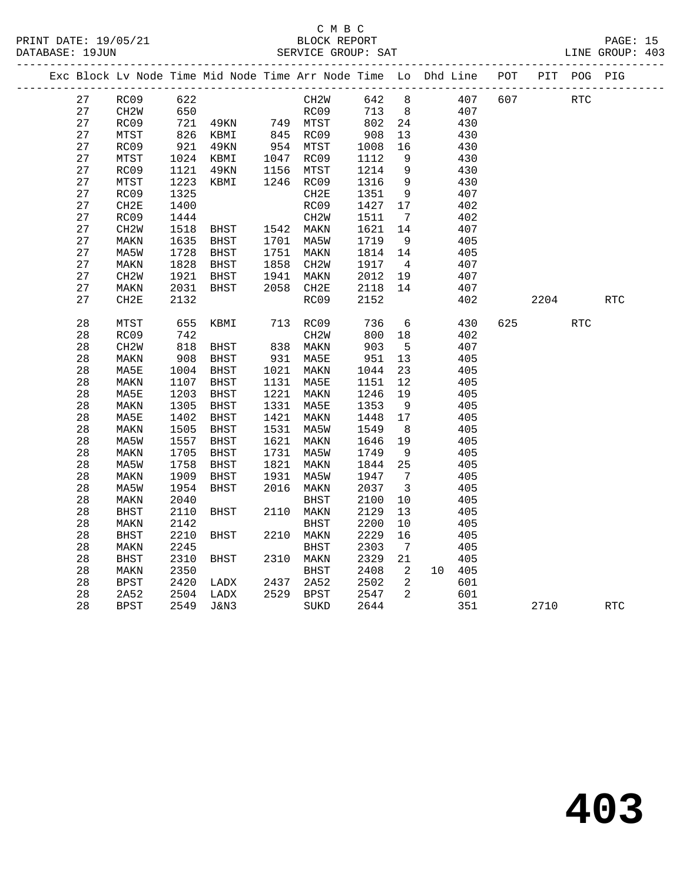#### C M B C<br>BLOCK REPORT PRINT DATE: 19/05/21 BLOCK REPORT PAGE: 15 SERVICE GROUP: SAT

|  |          |                   |              | Exc Block Lv Node Time Mid Node Time Arr Node Time Lo Dhd Line POT |      |                      |              |                                 |               |     |      | PIT POG PIG |            |
|--|----------|-------------------|--------------|--------------------------------------------------------------------|------|----------------------|--------------|---------------------------------|---------------|-----|------|-------------|------------|
|  | 27       | RC09              | 622          |                                                                    |      | CH <sub>2</sub> M    | 642 8        |                                 | 407           | 607 |      | <b>RTC</b>  |            |
|  | 27       | CH <sub>2</sub> W | 650          |                                                                    |      | RC09                 | 713          | 8 <sup>8</sup>                  | 407           |     |      |             |            |
|  | 27       | RC09              | 721          | 49KN                                                               |      | 749 MTST             | 802          | 24                              | 430           |     |      |             |            |
|  | 27       | MTST              | 826<br>921   | KBMI                                                               |      | 845 RC09<br>954 MTST | 908          | 13                              | 430           |     |      |             |            |
|  | 27       | RC09              |              | 49KN                                                               |      |                      | 1008         | 16                              | 430           |     |      |             |            |
|  | 27       | MTST              | 1024         | KBMI                                                               |      | 1047 RC09            | 1112         | 9                               | 430           |     |      |             |            |
|  | 27       | RC09              | 1121         | 49KN                                                               |      | 1156 MTST            | 1214         | $\overline{9}$                  | 430           |     |      |             |            |
|  | 27       | MTST              | 1223         | KBMI                                                               |      | 1246 RC09            | 1316         | 9                               | 430           |     |      |             |            |
|  | 27       | RC09              | 1325         |                                                                    |      | CH2E                 | 1351         | 9                               | 407           |     |      |             |            |
|  | 27       | CH2E              | 1400         |                                                                    |      | RC09                 | 1427         | 17                              | 402           |     |      |             |            |
|  | 27       | RC09              | 1444         |                                                                    |      | CH <sub>2</sub> W    | 1511         | $\overline{7}$                  | 402           |     |      |             |            |
|  | 27       | CH <sub>2</sub> W | 1518         | <b>BHST</b>                                                        |      | 1542 MAKN            | 1621         | 14                              | 407           |     |      |             |            |
|  | 27       | MAKN              | 1635         | BHST                                                               |      | 1701 MA5W            | 1719         | 9                               | 405           |     |      |             |            |
|  | 27       | MA5W              | 1728         | BHST                                                               |      | 1751 MAKN            | 1814         | 14                              | 405           |     |      |             |            |
|  | 27       | MAKN              | 1828         | BHST                                                               | 1858 | CH2W                 | 1917         | $\overline{4}$                  | 407           |     |      |             |            |
|  | 27       | CH <sub>2</sub> W | 1921         | BHST                                                               | 1941 | MAKN                 | 2012         | 19                              | 407           |     |      |             |            |
|  | 27       | MAKN              | 2031         | BHST                                                               |      | 2058 CH2E            | 2118         | 14                              | 407           |     |      |             |            |
|  | 27       | CH2E              | 2132         |                                                                    |      | RC09                 | 2152         |                                 | 402           |     | 2204 |             | <b>RTC</b> |
|  | 28       | MTST              | 655          | KBMI                                                               |      | 713 RC09             | 736          | 6                               | 430           | 625 |      | <b>RTC</b>  |            |
|  | 28       | RC09              | 742          |                                                                    |      | CH <sub>2</sub> W    | 800          | 18                              | 402           |     |      |             |            |
|  | 28       | CH <sub>2</sub> W | 818          | BHST                                                               |      | 838 MAKN             | 903          | $5^{\circ}$                     | 407           |     |      |             |            |
|  | 28       | MAKN              | 908          | BHST                                                               |      | 931 MA5E             | 951          | 13                              | 405           |     |      |             |            |
|  | 28       | MA5E              | 1004         | BHST                                                               |      | 1021 MAKN            | 1044         | 23                              | 405           |     |      |             |            |
|  | 28       | MAKN              | 1107         | BHST                                                               |      | 1131 MA5E            | 1151         | 12                              | 405           |     |      |             |            |
|  | 28       | MA5E              | 1203         | BHST                                                               |      | 1221 MAKN            | 1246         | 19                              | 405           |     |      |             |            |
|  | 28       | MAKN              | 1305         | BHST                                                               |      | 1331 MA5E            | 1353         | 9                               | 405           |     |      |             |            |
|  | 28       | MA5E              | 1402         | BHST                                                               |      | 1421 MAKN            | 1448         | 17                              | 405           |     |      |             |            |
|  | 28       | MAKN              | 1505         | BHST                                                               |      | 1531 MA5W            | 1549         | 8                               | 405           |     |      |             |            |
|  | 28       | MA5W              | 1557         | BHST                                                               | 1621 | MAKN                 | 1646         | 19                              | 405           |     |      |             |            |
|  | 28       | MAKN              | 1705         | BHST                                                               |      | 1731 MA5W            | 1749         | 9                               | 405           |     |      |             |            |
|  | 28       | MA5W              | 1758         | BHST                                                               |      | 1821 MAKN            | 1844         | 25                              | 405           |     |      |             |            |
|  | 28       | MAKN              | 1909         | BHST                                                               | 1931 | MA5W                 | 1947         | $\overline{7}$                  | 405           |     |      |             |            |
|  | 28       | MA5W              | 1954         | BHST                                                               | 2016 | MAKN                 | 2037         | $\overline{\mathbf{3}}$         | 405           |     |      |             |            |
|  | 28       | MAKN              | 2040         |                                                                    |      | BHST                 | 2100         | $10\,$                          | 405           |     |      |             |            |
|  | 28       | <b>BHST</b>       | 2110         | BHST                                                               |      | 2110 MAKN            | 2129         | 13                              | 405           |     |      |             |            |
|  | 28       | MAKN              | 2142         |                                                                    |      | <b>BHST</b>          | 2200         | 10                              | 405           |     |      |             |            |
|  | 28       | <b>BHST</b>       | 2210         | BHST                                                               |      | 2210 MAKN            | 2229         | 16                              | 405           |     |      |             |            |
|  | 28       | MAKN              | 2245         |                                                                    |      | <b>BHST</b>          | 2303         | $\overline{7}$                  | 405           |     |      |             |            |
|  | 28<br>28 | <b>BHST</b>       | 2310         | BHST                                                               |      | 2310 MAKN            | 2329         | 21                              | 405           |     |      |             |            |
|  | 28       | MAKN<br>BPST      | 2350<br>2420 | LADX                                                               | 2437 | BHST<br>2A52         | 2408<br>2502 | $\overline{\phantom{a}}^2$<br>2 | 10 405<br>601 |     |      |             |            |
|  | 28       | 2A52              | 2504         | LADX                                                               |      | 2529 BPST            | 2547         | 2                               | 601           |     |      |             |            |
|  | 28       | BPST              | 2549         | J&N3                                                               |      | SUKD                 | 2644         |                                 | 351           |     | 2710 |             | RTC        |
|  |          |                   |              |                                                                    |      |                      |              |                                 |               |     |      |             |            |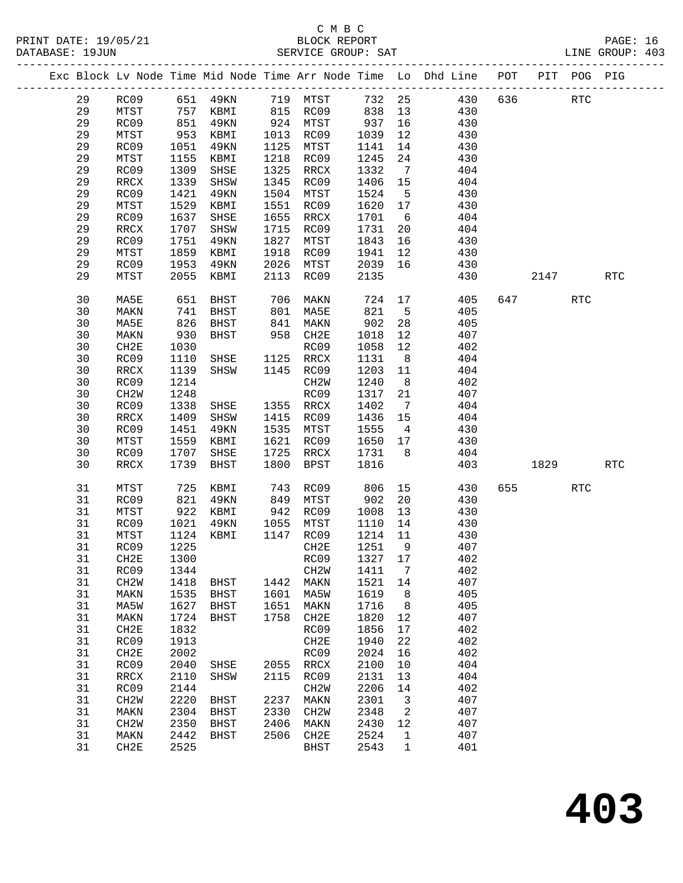|  |    |                   |      |             |      |                   |        |                 | Exc Block Lv Node Time Mid Node Time Arr Node Time Lo Dhd Line POT |     |      | PIT POG PIG |            |
|--|----|-------------------|------|-------------|------|-------------------|--------|-----------------|--------------------------------------------------------------------|-----|------|-------------|------------|
|  | 29 | RC09              |      | 651 49KN    | 719  | MTST              | 732 25 |                 | 430                                                                | 636 |      | <b>RTC</b>  |            |
|  | 29 | MTST              | 757  | KBMI        | 815  | RC09              | 838    | 13              | 430                                                                |     |      |             |            |
|  | 29 | RC09              | 851  | 49KN        | 924  | MTST              | 937    | 16              | 430                                                                |     |      |             |            |
|  | 29 | MTST              | 953  | KBMI        | 1013 | RC09              | 1039   | 12              | 430                                                                |     |      |             |            |
|  | 29 | RC09              | 1051 | 49KN        | 1125 | MTST              | 1141   | 14              | 430                                                                |     |      |             |            |
|  | 29 | MTST              | 1155 | KBMI        | 1218 | RC09              | 1245   | 24              | 430                                                                |     |      |             |            |
|  | 29 | RC09              | 1309 | SHSE        | 1325 | RRCX              | 1332   | $7\overline{ }$ | 404                                                                |     |      |             |            |
|  | 29 | RRCX              | 1339 | SHSW        | 1345 | RC09              | 1406   | 15              | 404                                                                |     |      |             |            |
|  | 29 | RC09              | 1421 | 49KN        | 1504 | MTST              | 1524   | $5^{\circ}$     | 430                                                                |     |      |             |            |
|  | 29 | MTST              | 1529 | KBMI        | 1551 | RC09              | 1620   | 17              | 430                                                                |     |      |             |            |
|  | 29 | RC09              | 1637 | SHSE        | 1655 | RRCX              | 1701   | 6               | 404                                                                |     |      |             |            |
|  | 29 | RRCX              | 1707 | SHSW        | 1715 | RC09              | 1731   | 20              | 404                                                                |     |      |             |            |
|  | 29 | RC09              | 1751 | 49KN        | 1827 | MTST              | 1843   | 16              | 430                                                                |     |      |             |            |
|  | 29 | MTST              | 1859 | KBMI        | 1918 | RC09              | 1941   | 12              | 430                                                                |     |      |             |            |
|  | 29 | RC09              | 1953 | 49KN        | 2026 | MTST              | 2039   | 16              | 430                                                                |     |      |             |            |
|  | 29 | MTST              | 2055 | KBMI        | 2113 | RC09              | 2135   |                 | 430                                                                |     | 2147 |             | RTC        |
|  |    |                   |      |             |      |                   |        |                 |                                                                    |     |      |             |            |
|  | 30 | MA5E              | 651  | BHST        | 706  | MAKN              | 724    | 17              | 405                                                                | 647 |      | <b>RTC</b>  |            |
|  | 30 | MAKN              | 741  | BHST        | 801  | MA5E              | 821    | $-5$            | 405                                                                |     |      |             |            |
|  | 30 | MA5E              | 826  | BHST        | 841  | MAKN              | 902    | 28              | 405                                                                |     |      |             |            |
|  | 30 | MAKN              | 930  | BHST        | 958  | CH2E              | 1018   | 12              | 407                                                                |     |      |             |            |
|  | 30 | CH2E              | 1030 |             |      | RC09              | 1058   | 12              | 402                                                                |     |      |             |            |
|  | 30 | RC09              | 1110 | SHSE        | 1125 | RRCX              | 1131   | 8 <sup>8</sup>  | 404                                                                |     |      |             |            |
|  | 30 | RRCX              | 1139 | SHSW        | 1145 | RC09              | 1203   | 11              | 404                                                                |     |      |             |            |
|  | 30 | RC09              | 1214 |             |      | CH2W              | 1240   | 8 <sup>8</sup>  | 402                                                                |     |      |             |            |
|  | 30 | CH <sub>2</sub> M | 1248 |             |      | RC09              | 1317   | 21              | 407                                                                |     |      |             |            |
|  | 30 | RC09              | 1338 | SHSE        | 1355 | RRCX              | 1402   | $\overline{7}$  | 404                                                                |     |      |             |            |
|  | 30 | RRCX              | 1409 | SHSW        | 1415 | RC09              | 1436   | 15              | 404                                                                |     |      |             |            |
|  | 30 | RC09              | 1451 | 49KN        | 1535 | MTST              | 1555   | $\overline{4}$  | 430                                                                |     |      |             |            |
|  | 30 | MTST              | 1559 | KBMI        | 1621 | RC09              | 1650   | 17              | 430                                                                |     |      |             |            |
|  | 30 | RC09              | 1707 | SHSE        | 1725 | RRCX              | 1731   | 8               | 404                                                                |     |      |             |            |
|  | 30 | RRCX              | 1739 | BHST        | 1800 | <b>BPST</b>       | 1816   |                 | 403                                                                |     | 1829 |             | <b>RTC</b> |
|  |    |                   |      |             |      |                   |        |                 |                                                                    |     |      |             |            |
|  | 31 | MTST              | 725  | KBMI        | 743  | RC09              | 806    | 15              | 430                                                                | 655 |      | <b>RTC</b>  |            |
|  | 31 | RC09              | 821  | 49KN        | 849  | MTST              | 902    | 20              | 430                                                                |     |      |             |            |
|  | 31 | MTST              | 922  | KBMI        | 942  | RC09              | 1008   | 13              | 430                                                                |     |      |             |            |
|  | 31 | RC09              | 1021 | 49KN        | 1055 | MTST              | 1110   | 14              | 430                                                                |     |      |             |            |
|  | 31 | MTST              | 1124 | KBMI        | 1147 | RC09              | 1214   | 11              | 430                                                                |     |      |             |            |
|  | 31 | RC09              | 1225 |             |      | CH2E              | 1251   | 9               | 407                                                                |     |      |             |            |
|  | 31 | CH2E              | 1300 |             |      | RC09 1327 17      |        |                 | 402                                                                |     |      |             |            |
|  | 31 | RC09              | 1344 |             |      | CH2W              | 1411   | $7\phantom{.0}$ | 402                                                                |     |      |             |            |
|  | 31 | CH <sub>2</sub> M | 1418 | BHST        | 1442 | MAKN              | 1521   | 14              | 407                                                                |     |      |             |            |
|  | 31 | MAKN              | 1535 | <b>BHST</b> | 1601 | MA5W              | 1619   | 8               | 405                                                                |     |      |             |            |
|  | 31 | MA5W              | 1627 | BHST        | 1651 | MAKN              | 1716   | 8               | 405                                                                |     |      |             |            |
|  | 31 | MAKN              | 1724 | <b>BHST</b> | 1758 | CH2E              | 1820   | 12              | 407                                                                |     |      |             |            |
|  | 31 | CH2E              | 1832 |             |      | RC09              | 1856   | 17              | 402                                                                |     |      |             |            |
|  | 31 | RC09              | 1913 |             |      | CH2E              | 1940   | 22              | 402                                                                |     |      |             |            |
|  | 31 | CH2E              | 2002 |             |      | RC09              | 2024   | 16              | 402                                                                |     |      |             |            |
|  | 31 | RC09              | 2040 | SHSE        | 2055 | RRCX              | 2100   | 10              | 404                                                                |     |      |             |            |
|  | 31 | RRCX              | 2110 | SHSW        | 2115 | RC09              | 2131   | 13              | 404                                                                |     |      |             |            |
|  | 31 | RC09              | 2144 |             |      | CH <sub>2</sub> M | 2206   | 14              | 402                                                                |     |      |             |            |
|  | 31 | CH <sub>2</sub> W | 2220 | <b>BHST</b> | 2237 | MAKN              | 2301   | 3               | 407                                                                |     |      |             |            |
|  | 31 | MAKN              | 2304 | <b>BHST</b> | 2330 | CH2W              | 2348   | 2               | 407                                                                |     |      |             |            |
|  | 31 | CH <sub>2</sub> W | 2350 | <b>BHST</b> | 2406 | MAKN              | 2430   | 12              | 407                                                                |     |      |             |            |
|  | 31 | MAKN              | 2442 | <b>BHST</b> | 2506 | CH2E              | 2524   | 1               | 407                                                                |     |      |             |            |
|  | 31 | CH2E              | 2525 |             |      | <b>BHST</b>       | 2543   | 1               | 401                                                                |     |      |             |            |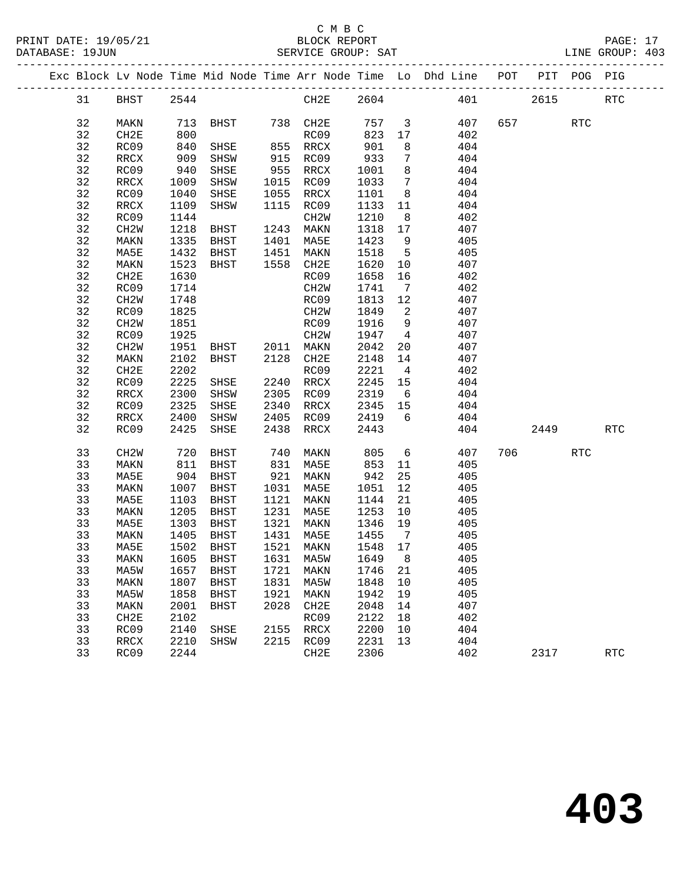#### C M B C<br>BLOCK REPORT SERVICE GROUP: SAT

PRINT DATE: 19/05/21 BLOCK REPORT PAGE: 17

|  |    |                   |              |                                  |      |                      |                              |                         | Exc Block Lv Node Time Mid Node Time Arr Node Time Lo Dhd Line POT PIT POG PIG |     |           |            |            |
|--|----|-------------------|--------------|----------------------------------|------|----------------------|------------------------------|-------------------------|--------------------------------------------------------------------------------|-----|-----------|------------|------------|
|  | 31 | <b>BHST</b>       | 2544         |                                  |      | CH2E 2604            |                              |                         |                                                                                | 401 | 2615      |            | <b>RTC</b> |
|  | 32 | MAKN              |              | 713 BHST 738 CH2E 757 3          |      |                      |                              |                         | 407                                                                            |     | 657 — 100 | <b>RTC</b> |            |
|  | 32 | CH2E              | 800          |                                  |      | RC09                 | 823                          | 17                      | 402                                                                            |     |           |            |            |
|  | 32 | RC09              | 840          | SHSE                             |      |                      |                              | 8 <sup>8</sup>          | 404                                                                            |     |           |            |            |
|  | 32 | RRCX              | 909          | SHSW                             |      | 855 krua<br>915 RC09 | ሃ <sub>Ს</sub><br>933<br>^ባ1 | $\overline{7}$          | 404                                                                            |     |           |            |            |
|  | 32 | RC09              | 940          | SHSE                             |      | 955 RRCX             | 1001                         | 8 <sup>8</sup>          | 404                                                                            |     |           |            |            |
|  | 32 | RRCX              | 1009         | SHSW                             |      | 1015 RC09            | 1033                         | $\overline{7}$          | 404                                                                            |     |           |            |            |
|  | 32 | RC09              | 1040         | SHSE                             |      | 1055 RRCX            | 1101                         | 8 <sup>8</sup>          | 404                                                                            |     |           |            |            |
|  | 32 | RRCX              | 1109         | SHSW                             |      | 1115 RC09            | 1133 11                      |                         | 404                                                                            |     |           |            |            |
|  | 32 | RC09              | 1144         |                                  |      | CH2W                 | 1210                         | 8 <sup>8</sup>          | 402                                                                            |     |           |            |            |
|  | 32 | CH2W              | 1218         | <b>BHST</b>                      | 1243 | MAKN                 | 1318 17                      |                         | 407                                                                            |     |           |            |            |
|  | 32 | MAKN              | 1335         |                                  |      |                      | 1423                         | 9                       | 405                                                                            |     |           |            |            |
|  | 32 | MA5E              | 1432         | BHST 1401 MA5E<br>BHST 1451 MAKN |      |                      | 1518                         | $5^{\circ}$             | 405                                                                            |     |           |            |            |
|  | 32 | MAKN              | 1523         | BHST                             |      | 1558 CH2E            | 1620                         | 10                      | 407                                                                            |     |           |            |            |
|  | 32 | CH2E              | 1630         |                                  |      | RC09                 | 1658                         | 16                      | 402                                                                            |     |           |            |            |
|  | 32 | RC09              | 1714         |                                  |      | CH2W                 | 1741                         | $\overline{7}$          | 402                                                                            |     |           |            |            |
|  | 32 | CH <sub>2</sub> W | 1748         |                                  |      | RC09                 | 1813 12                      |                         | 407                                                                            |     |           |            |            |
|  | 32 | RC09              | 1825         |                                  |      | CH2W                 | 1849                         | $\overline{\mathbf{c}}$ | 407                                                                            |     |           |            |            |
|  | 32 | CH2W              | 1851         |                                  |      | RC09                 | 1916                         | 9                       | 407                                                                            |     |           |            |            |
|  | 32 | RC09              | 1925         |                                  |      | CH2W                 | 1947                         | $\overline{4}$          | 407                                                                            |     |           |            |            |
|  | 32 | CH2W              | 1951         |                                  |      |                      | 2042                         | 20                      | 407                                                                            |     |           |            |            |
|  | 32 | MAKN              | 2102         | BHST 2011 MAKN<br>BHST 2128 CH2E |      |                      | 2148                         | 14                      | 407                                                                            |     |           |            |            |
|  | 32 | CH2E              | 2202         |                                  |      | RC09                 | 2221                         | $\overline{4}$          | 402                                                                            |     |           |            |            |
|  | 32 | RC09              | 2225         | SHSE                             |      | 2240 RRCX            | 2245                         | 15                      | 404                                                                            |     |           |            |            |
|  | 32 | RRCX              | 2300         | SHSW                             |      | 2305 RC09            | 2245<br>2319                 | 6                       | 404                                                                            |     |           |            |            |
|  | 32 | RC09              | 2325         | SHSE                             |      | 2340 RRCX            | $2345$ 15                    |                         | 404                                                                            |     |           |            |            |
|  | 32 | RRCX              | 2400         | SHSW                             |      | 2405 RC09 2419       |                              | $6\overline{6}$         | 404                                                                            |     |           |            |            |
|  | 32 | RC09              | 2425         | SHSE                             | 2438 | RRCX                 | 2443                         |                         | 404                                                                            |     | 2449      |            | <b>RTC</b> |
|  |    |                   |              |                                  |      |                      |                              |                         |                                                                                |     |           |            |            |
|  | 33 | CH <sub>2</sub> W | 720          | BHST                             |      | 740 MAKN             | 805                          |                         | $6\overline{6}$<br>407                                                         | 706 |           | <b>RTC</b> |            |
|  | 33 | MAKN              | 811          | BHST                             |      | 831 MA5E             | 853                          | 11                      | 405                                                                            |     |           |            |            |
|  | 33 | MA5E              | 904          | BHST                             |      | 921 MAKN             | 942                          | 25                      | 405                                                                            |     |           |            |            |
|  | 33 | MAKN              | 1007         | BHST                             |      | 1031 MA5E            | 1051                         | 12                      | 405                                                                            |     |           |            |            |
|  | 33 | MA5E              | 1103         | BHST                             |      | 1121 MAKN            | 1144                         | 21                      | 405                                                                            |     |           |            |            |
|  | 33 | MAKN              | 1205         | BHST                             |      | 1231 MA5E            | 1253                         | 10                      | 405                                                                            |     |           |            |            |
|  | 33 | MA5E              | 1303         | BHST                             |      | 1321 MAKN            | 1346 19                      |                         | 405                                                                            |     |           |            |            |
|  | 33 | MAKN              | 1405<br>1502 | BHST                             |      | 1431 MA5E            | 1455<br>1548                 | $\overline{7}$          | 405                                                                            |     |           |            |            |
|  | 33 | MA5E              |              | 1502 BHST                        |      | 1521 MAKN            | 1548 17                      |                         | 405                                                                            |     |           |            |            |
|  | 33 | MAKN 1605 BHST    |              |                                  |      | 1631 MA5W 1649 8     |                              |                         | 405                                                                            |     |           |            |            |
|  | 33 | MA5W              | 1657         | BHST                             | 1721 | MAKN                 | 1746 21                      |                         | 405                                                                            |     |           |            |            |
|  | 33 | MAKN              | 1807         | BHST                             | 1831 | MA5W                 | 1848                         | 10                      | 405                                                                            |     |           |            |            |
|  | 33 | MA5W              | 1858         | BHST                             | 1921 | MAKN                 | 1942                         | 19                      | 405                                                                            |     |           |            |            |
|  | 33 | MAKN              | 2001         | BHST                             | 2028 | CH2E                 | 2048                         | 14                      | 407                                                                            |     |           |            |            |
|  | 33 | CH <sub>2E</sub>  | 2102         |                                  |      | RC09                 | 2122                         | 18                      | 402                                                                            |     |           |            |            |
|  | 33 | RC09              | 2140         | SHSE                             | 2155 | RRCX                 | 2200                         | 10                      | 404                                                                            |     |           |            |            |
|  | 33 | RRCX              | 2210         | SHSW                             |      | 2215 RC09            | 2231                         | 13                      | 404                                                                            |     |           |            |            |
|  | 33 | RC09              | 2244         |                                  |      | CH2E                 | 2306                         |                         | 402                                                                            |     | 2317      |            | <b>RTC</b> |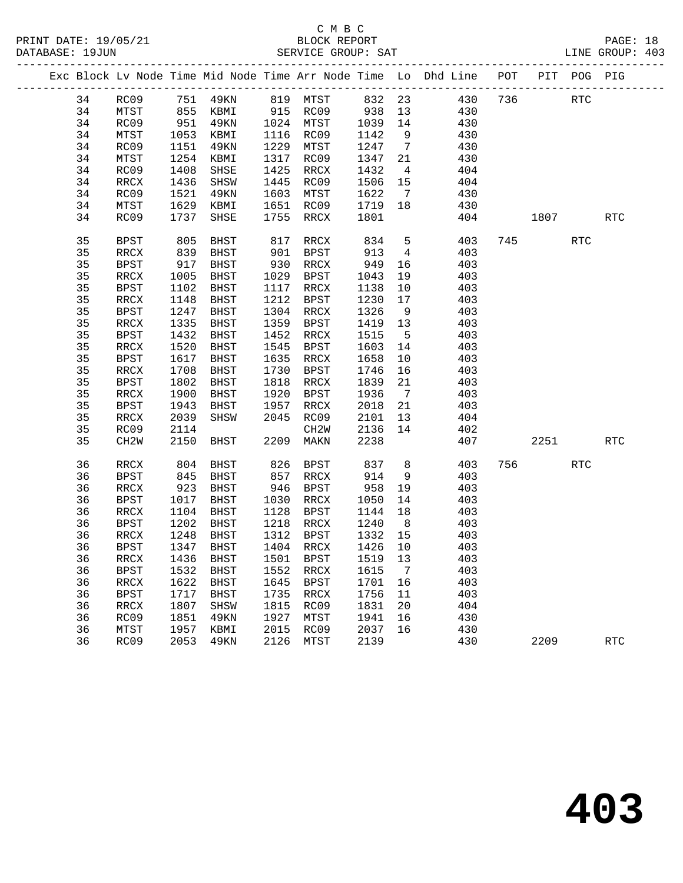#### C M B C<br>BLOCK REPORT DATABASE: 1999<br>SERVICE GROUP: SAT

|  |    |                   |      |             |      |             |         |                 | Exc Block Lv Node Time Mid Node Time Arr Node Time Lo Dhd Line POT PIT POG PIG |     |      |            |                      |
|--|----|-------------------|------|-------------|------|-------------|---------|-----------------|--------------------------------------------------------------------------------|-----|------|------------|----------------------|
|  | 34 | RC09              |      | 751 49KN    |      | 819 MTST    | 832 23  |                 | 430                                                                            | 736 |      | RTC        |                      |
|  | 34 | MTST              | 855  | KBMI        |      | 915 RC09    | 938     | 13              | 430                                                                            |     |      |            |                      |
|  | 34 | RC09              | 951  | 49KN        |      | 1024 MTST   | 1039    | 14              | 430                                                                            |     |      |            |                      |
|  | 34 | MTST              | 1053 | KBMI        |      | 1116 RC09   | 1142    | 9               | 430                                                                            |     |      |            |                      |
|  | 34 | RC09              | 1151 | 49KN        | 1229 | MTST        | 1247    | $7\overline{ }$ | 430                                                                            |     |      |            |                      |
|  | 34 | MTST              | 1254 | KBMI        | 1317 | RC09        | 1347    | 21              | 430                                                                            |     |      |            |                      |
|  | 34 | RC09              | 1408 | SHSE        | 1425 | RRCX        | 1432    | $\overline{4}$  | 404                                                                            |     |      |            |                      |
|  | 34 | RRCX              | 1436 | SHSW        | 1445 | RC09        | 1506    | 15              | 404                                                                            |     |      |            |                      |
|  | 34 | RC09              | 1521 | 49KN        | 1603 | MTST        | 1622    | $7\overline{ }$ | 430                                                                            |     |      |            |                      |
|  | 34 | MTST              | 1629 | KBMI        | 1651 | RC09        | 1719    | 18              | 430                                                                            |     |      |            |                      |
|  | 34 | RC09              | 1737 | SHSE        | 1755 | RRCX        | 1801    |                 | 404                                                                            |     | 1807 |            | <b>RTC</b>           |
|  | 35 | <b>BPST</b>       | 805  | BHST        | 817  | RRCX        | 834     | 5               | 403                                                                            | 745 |      | <b>RTC</b> |                      |
|  | 35 | RRCX              | 839  | BHST        | 901  | BPST        | 913     | $\overline{4}$  | 403                                                                            |     |      |            |                      |
|  | 35 | BPST              | 917  | BHST        | 930  | RRCX        | 949     | 16              | 403                                                                            |     |      |            |                      |
|  | 35 | RRCX              | 1005 | BHST        | 1029 | BPST        | 1043    | 19              | 403                                                                            |     |      |            |                      |
|  | 35 | BPST              | 1102 | BHST        |      | 1117 RRCX   | 1138    | 10              | 403                                                                            |     |      |            |                      |
|  | 35 | RRCX              | 1148 | BHST        | 1212 | BPST        | 1230    | 17              | 403                                                                            |     |      |            |                      |
|  | 35 | BPST              | 1247 | BHST        | 1304 | RRCX        | 1326    | 9               | 403                                                                            |     |      |            |                      |
|  | 35 | RRCX              | 1335 | BHST        | 1359 | BPST        | 1419    | 13              | 403                                                                            |     |      |            |                      |
|  | 35 | BPST              | 1432 | <b>BHST</b> | 1452 | RRCX        | 1515    | $5^{\circ}$     | 403                                                                            |     |      |            |                      |
|  | 35 | RRCX              | 1520 | BHST        | 1545 | BPST        | 1603    | 14              | 403                                                                            |     |      |            |                      |
|  | 35 | BPST              | 1617 | BHST        | 1635 | RRCX        | 1658    | 10              | 403                                                                            |     |      |            |                      |
|  | 35 | RRCX              | 1708 | BHST        | 1730 | BPST        | 1746    | 16              | 403                                                                            |     |      |            |                      |
|  | 35 | BPST              | 1802 | BHST        | 1818 | RRCX        | 1839    | 21              | 403                                                                            |     |      |            |                      |
|  | 35 | $\verb!RRCX!$     | 1900 | BHST        | 1920 | BPST        | 1936    | $\overline{7}$  | 403                                                                            |     |      |            |                      |
|  | 35 | BPST              | 1943 | BHST        | 1957 | RRCX        | 2018    | 21              | 403                                                                            |     |      |            |                      |
|  | 35 | RRCX              | 2039 | SHSW        | 2045 | RC09        | 2101    | 13              | 404                                                                            |     |      |            |                      |
|  | 35 | RC09              | 2114 |             |      | CH2W        | 2136    | 14              | 402                                                                            |     |      |            |                      |
|  | 35 | CH <sub>2</sub> W | 2150 | BHST        | 2209 | MAKN        | 2238    |                 | 407                                                                            |     | 2251 |            | <b>RTC</b>           |
|  | 36 | RRCX              | 804  | BHST        | 826  | BPST        | 837     | 8               | 403                                                                            | 756 |      | <b>RTC</b> |                      |
|  | 36 | <b>BPST</b>       | 845  | BHST        | 857  | RRCX        | 914     | 9               | 403                                                                            |     |      |            |                      |
|  | 36 | RRCX              | 923  | BHST        | 946  | BPST        | 958     | 19              | 403                                                                            |     |      |            |                      |
|  | 36 | BPST              | 1017 | BHST        | 1030 | RRCX        | 1050    | 14              | 403                                                                            |     |      |            |                      |
|  | 36 | RRCX              | 1104 | BHST        | 1128 | BPST        | 1144    | 18              | 403                                                                            |     |      |            |                      |
|  | 36 | BPST              | 1202 | BHST        | 1218 | RRCX        | 1240    | 8 <sup>8</sup>  | 403                                                                            |     |      |            |                      |
|  | 36 | RRCX              | 1248 | BHST        | 1312 | BPST        | 1332    | 15              | 403                                                                            |     |      |            |                      |
|  | 36 | BPST              |      | 1347 BHST   |      | 1404 RRCX   | 1426 10 |                 | 403                                                                            |     |      |            |                      |
|  | 36 | RRCX              | 1436 | BHST        | 1501 | BPST        | 1519    | 13              | 403                                                                            |     |      |            |                      |
|  | 36 | <b>BPST</b>       | 1532 | <b>BHST</b> | 1552 | <b>RRCX</b> | 1615    | 7               | 403                                                                            |     |      |            |                      |
|  | 36 | <b>RRCX</b>       | 1622 | <b>BHST</b> | 1645 | <b>BPST</b> | 1701    | 16              | 403                                                                            |     |      |            |                      |
|  | 36 | <b>BPST</b>       | 1717 | <b>BHST</b> | 1735 | RRCX        | 1756    | 11              | 403                                                                            |     |      |            |                      |
|  | 36 | <b>RRCX</b>       | 1807 | SHSW        | 1815 | RC09        | 1831    | 20              | 404                                                                            |     |      |            |                      |
|  | 36 | RC09              | 1851 | 49KN        | 1927 | MTST        | 1941    | 16              | 430                                                                            |     |      |            |                      |
|  | 36 | MTST              | 1957 | KBMI        | 2015 | RC09        | 2037    | 16              | 430                                                                            |     |      |            |                      |
|  | 36 | RC09              | 2053 | <b>49KN</b> | 2126 | MTST        | 2139    |                 | 430                                                                            |     | 2209 |            | $\operatorname{RTC}$ |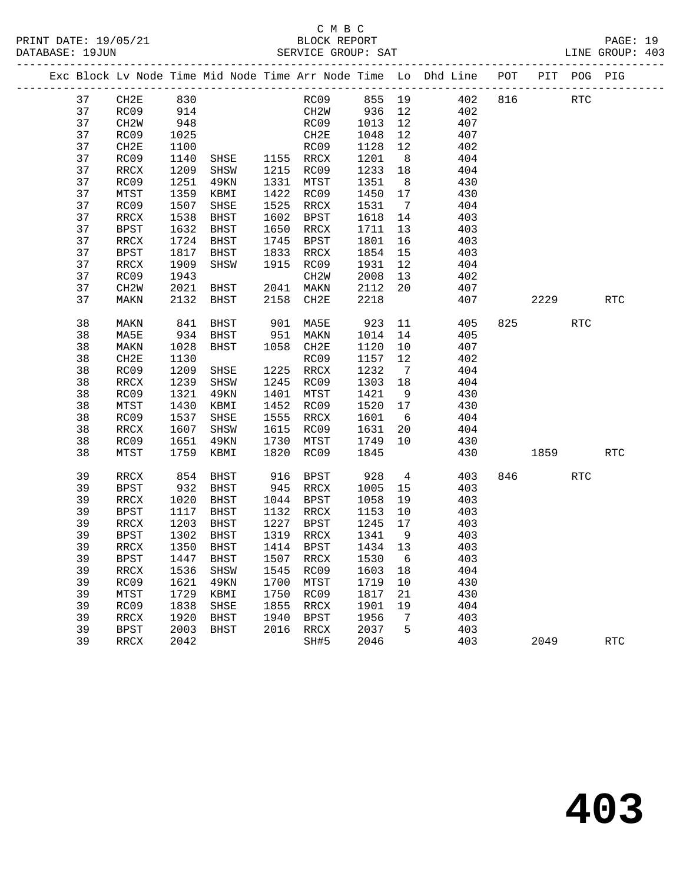|  |    |                   |            |                |      |                  |         |                | Exc Block Lv Node Time Mid Node Time Arr Node Time Lo Dhd Line POT |     |        | PIT POG PIG |            |
|--|----|-------------------|------------|----------------|------|------------------|---------|----------------|--------------------------------------------------------------------|-----|--------|-------------|------------|
|  | 37 | CH2E              | 830<br>914 |                |      |                  |         |                | RC09 855 19 402                                                    | 816 |        | RTC         |            |
|  | 37 | RC09              |            |                |      | CH2W 936 12      |         |                | 402                                                                |     |        |             |            |
|  | 37 | CH2W              | 948        |                |      | RC09 1013        |         | 12             | 407                                                                |     |        |             |            |
|  | 37 | RC09              | 1025       |                |      | CH2E             | 1048    | 12             | 407                                                                |     |        |             |            |
|  | 37 | CH2E              | 1100       |                |      | RC09             | 1128    | 12             | 402                                                                |     |        |             |            |
|  | 37 | RC09              | 1140       | SHSE 1155 RRCX |      |                  | 1201    | 8 <sup>8</sup> | 404                                                                |     |        |             |            |
|  | 37 | RRCX              | 1209       | SHSW           |      | 1215 RC09        | 1233    | 18             | 404                                                                |     |        |             |            |
|  | 37 | RC09              | 1251       | 49KN           |      | 1331 MTST        | 1351    | 8 <sup>8</sup> | 430                                                                |     |        |             |            |
|  | 37 | MTST              | 1359       | KBMI           |      | 1422 RC09        | 1450    | 17             | 430                                                                |     |        |             |            |
|  | 37 | RC09              | 1507       | SHSE           |      | 1525 RRCX        | 1531    | $\overline{7}$ | 404                                                                |     |        |             |            |
|  | 37 | RRCX              | 1538       | BHST           | 1602 | BPST             | 1618    | 14             | 403                                                                |     |        |             |            |
|  | 37 | BPST              | 1632       | BHST           | 1650 | RRCX             | 1711    | 13             | 403                                                                |     |        |             |            |
|  | 37 | RRCX              | 1724       | BHST           | 1745 | BPST             | 1801    | 16             | 403                                                                |     |        |             |            |
|  | 37 | BPST              | 1817       | BHST           | 1833 | RRCX             | 1854    | 15             | 403                                                                |     |        |             |            |
|  | 37 | RRCX              | 1909       | SHSW           | 1915 | RC09             | 1931    | 12             | 404                                                                |     |        |             |            |
|  | 37 | RC09              | 1943       |                |      | CH2W             | 2008    | 13             | 402                                                                |     |        |             |            |
|  | 37 | CH <sub>2</sub> W | 2021       | BHST           |      | 2041 MAKN        | 2112    | 20             | 407                                                                |     |        |             |            |
|  | 37 | MAKN              | 2132       | BHST           | 2158 | CH2E             | 2218    |                | 407                                                                |     | 2229   |             | <b>RTC</b> |
|  | 38 | MAKN              | 841        | BHST           |      | 901 MA5E         | 923     | 11             | 405                                                                |     | 825 32 | RTC         |            |
|  | 38 | MA5E              | 934        | BHST           | 951  | MAKN             | 1014    | 14             | 405                                                                |     |        |             |            |
|  | 38 | MAKN              | 1028       | BHST           |      | 1058 CH2E        | 1120    | 10             | 407                                                                |     |        |             |            |
|  | 38 | CH2E              | 1130       |                |      | RC09             | 1157    | 12             | 402                                                                |     |        |             |            |
|  | 38 | RC09              | 1209       | SHSE           |      | 1225 RRCX        | 1232    | $\overline{7}$ | 404                                                                |     |        |             |            |
|  | 38 | RRCX              | 1239       | SHSW           |      | 1245 RC09        | 1303    | 18             | 404                                                                |     |        |             |            |
|  | 38 | RC09              | 1321       | 49KN           | 1401 | MTST             | 1421    | 9              | 430                                                                |     |        |             |            |
|  | 38 | MTST              | 1430       | KBMI           | 1452 | RC09             | 1520 17 |                | 430                                                                |     |        |             |            |
|  | 38 | RC09              | 1537       | SHSE           | 1555 | RRCX             | 1601    | 6              | 404                                                                |     |        |             |            |
|  | 38 | RRCX              | 1607       | SHSW           | 1615 | RC09             | 1631    | 20             | 404                                                                |     |        |             |            |
|  | 38 | RC09              | 1651       | 49KN           | 1730 | MTST             | 1749    | 10             | 430                                                                |     |        |             |            |
|  | 38 | MTST              | 1759       | KBMI           | 1820 | RC09             | 1845    |                | 430                                                                |     | 1859   |             | <b>RTC</b> |
|  | 39 | RRCX              | 854        | BHST           | 916  | BPST             | 928     | $\overline{4}$ | 403                                                                |     | 846 70 | <b>RTC</b>  |            |
|  | 39 | <b>BPST</b>       | 932        | BHST           |      | 945 RRCX         | 1005    | 15             | 403                                                                |     |        |             |            |
|  | 39 | RRCX              | 1020       | BHST           |      | 1044 BPST        | 1058    | 19             | 403                                                                |     |        |             |            |
|  | 39 | BPST              | 1117       | BHST           |      | 1132 RRCX        | 1153    | 10             | 403                                                                |     |        |             |            |
|  | 39 | RRCX              | 1203       | BHST           |      | 1227 BPST        | 1245    | 17             | 403                                                                |     |        |             |            |
|  | 39 | BPST              | 1302       | BHST           |      | 1319 RRCX        | 1341    | 9              | 403                                                                |     |        |             |            |
|  | 39 | RRCX              | 1350       | BHST           |      | 1414 BPST        | 1434 13 |                | 403                                                                |     |        |             |            |
|  | 39 | BPST 1447 BHST    |            |                |      | 1507 RRCX 1530 6 |         |                | 403                                                                |     |        |             |            |
|  | 39 | RRCX              | 1536       | SHSW           | 1545 | RC09             | 1603 18 |                | 404                                                                |     |        |             |            |
|  | 39 | RC09              | 1621       | 49KN           | 1700 | MTST             | 1719    | 10             | 430                                                                |     |        |             |            |
|  | 39 | MTST              | 1729       | KBMI           | 1750 | RC09             | 1817    | 21             | 430                                                                |     |        |             |            |
|  | 39 | RC09              | 1838       | SHSE           | 1855 | RRCX             | 1901    | 19             | 404                                                                |     |        |             |            |
|  | 39 | <b>RRCX</b>       | 1920       | BHST           | 1940 | <b>BPST</b>      | 1956    | 7              | 403                                                                |     |        |             |            |
|  | 39 | <b>BPST</b>       | 2003       | BHST           | 2016 | RRCX             | 2037    | 5              | 403                                                                |     |        |             |            |
|  | 39 | <b>RRCX</b>       | 2042       |                |      | SH#5             | 2046    |                | 403                                                                |     | 2049   |             | <b>RTC</b> |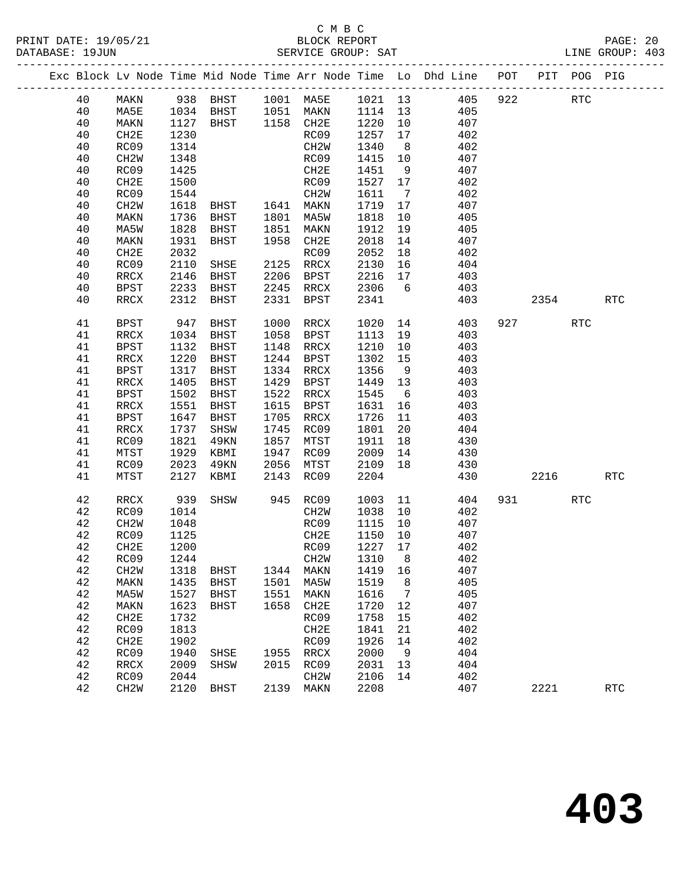#### C M B C<br>BLOCK REPORT PRINT DATE: 19/05/21 BLOCK REPORT PAGE: 20 SERVICE GROUP: SAT

|  |    |                   |              |                                  |      |                   |                    |                 | Exc Block Lv Node Time Mid Node Time Arr Node Time Lo Dhd Line POT |     |           | PIT POG PIG |            |
|--|----|-------------------|--------------|----------------------------------|------|-------------------|--------------------|-----------------|--------------------------------------------------------------------|-----|-----------|-------------|------------|
|  | 40 | MAKN              |              |                                  |      |                   |                    |                 | 938 BHST 1001 MA5E 1021 13 405                                     | 922 |           | <b>RTC</b>  |            |
|  | 40 | MA5E              | 1034<br>1127 |                                  |      |                   |                    |                 | 405                                                                |     |           |             |            |
|  | 40 | MAKN              | 1127         | BHST 1051 MAKN<br>BHST 1158 CH2E |      |                   | 1114 13<br>1220 10 |                 | 407                                                                |     |           |             |            |
|  | 40 | CH2E              | 1230         |                                  |      | RC09              | 1257               | 17              | 402                                                                |     |           |             |            |
|  | 40 | RC09              | 1314         |                                  |      | CH2W              | 1340               | 8 <sup>8</sup>  | 402                                                                |     |           |             |            |
|  | 40 | CH <sub>2</sub> W | 1348         |                                  |      | RC09              | 1415               | 10              | 407                                                                |     |           |             |            |
|  | 40 | RC09              | 1425         |                                  |      | CH2E              | 1451               | 9               | 407                                                                |     |           |             |            |
|  | 40 | CH2E              | 1500         |                                  |      | RC09              | 1527 17            |                 | 402                                                                |     |           |             |            |
|  | 40 | RC09              | 1544         |                                  |      | CH2W              | 1611               | $\overline{7}$  | 402                                                                |     |           |             |            |
|  | 40 | CH <sub>2</sub> W | 1618         | BHST 1641 MAKN<br>BHST 1801 MA5W |      |                   | 1719               | 17              | 407                                                                |     |           |             |            |
|  | 40 | MAKN              | 1736         |                                  |      |                   | 1818               | 10              | 405                                                                |     |           |             |            |
|  | 40 | MA5W              | 1828         | BHST                             | 1851 | MAKN              | 1912               | 19              | 405                                                                |     |           |             |            |
|  | 40 | MAKN              | 1931         | BHST                             | 1958 | CH2E              | 2018               | 14              | 407                                                                |     |           |             |            |
|  | 40 | CH2E              | 2032         |                                  |      | RC09              | 2052               | 18              | 402                                                                |     |           |             |            |
|  | 40 | RC09              | 2110         | SHSE                             |      | 2125 RRCX         | 2130               | 16              | 404                                                                |     |           |             |            |
|  | 40 | RRCX              | 2146         | BHST                             | 2206 | BPST              | 2216               | 17              | 403                                                                |     |           |             |            |
|  | 40 | BPST              | 2233         | BHST                             |      | 2245 RRCX         | 2306               | $6\overline{6}$ | 403                                                                |     |           |             |            |
|  | 40 | RRCX              | 2312         | BHST                             | 2331 | BPST              | 2341               |                 | 403                                                                |     | 2354      |             | <b>RTC</b> |
|  | 41 | BPST              | 947          | BHST                             | 1000 | RRCX              | 1020               |                 | 14<br>403                                                          |     | 927 — 100 | <b>RTC</b>  |            |
|  | 41 | RRCX              | 1034         | BHST                             | 1058 | BPST              | 1113               | 19              | 403                                                                |     |           |             |            |
|  | 41 | <b>BPST</b>       | 1132         | BHST                             | 1148 | RRCX              | 1210               | 10              | 403                                                                |     |           |             |            |
|  | 41 | RRCX              | 1220         | BHST                             | 1244 | BPST              | 1302               | 15              | 403                                                                |     |           |             |            |
|  | 41 | <b>BPST</b>       | 1317         | BHST                             |      | 1334 RRCX         | 1356               | 9               | 403                                                                |     |           |             |            |
|  | 41 | RRCX              | 1405         | <b>BHST</b>                      | 1429 | BPST              | 1449 13            |                 | 403                                                                |     |           |             |            |
|  | 41 | <b>BPST</b>       | 1502         | BHST                             | 1522 | RRCX              | 1545               | 6               | 403                                                                |     |           |             |            |
|  | 41 | RRCX              | 1551         | BHST                             | 1615 | BPST              | 1631               | 16              | 403                                                                |     |           |             |            |
|  | 41 | <b>BPST</b>       | 1647         | BHST                             | 1705 | RRCX              | 1726               | 11              | 403                                                                |     |           |             |            |
|  | 41 | RRCX              | 1737         | SHSW                             | 1745 | RC09              | 1801               | 20              | 404                                                                |     |           |             |            |
|  | 41 | RC09              | 1821         | 49KN                             | 1857 | MTST              | 1911               | 18              | 430                                                                |     |           |             |            |
|  | 41 | MTST              | 1929         | KBMI                             | 1947 | RC09              | 2009               | 14              | 430                                                                |     |           |             |            |
|  | 41 | RC09              | 2023         | 49KN                             | 2056 | MTST              | 2109               | 18              | 430                                                                |     |           |             |            |
|  | 41 | MTST              | 2127         | KBMI                             | 2143 | RC09              | 2204               |                 | 430                                                                |     | 2216      |             | <b>RTC</b> |
|  | 42 | RRCX              | 939          | SHSW                             |      | 945 RC09          | 1003               | 11              | 404                                                                |     | 931 — 100 | RTC         |            |
|  | 42 | RC09              | 1014         |                                  |      | CH2W              | 1038               | 10              | 402                                                                |     |           |             |            |
|  | 42 | CH <sub>2</sub> W | 1048         |                                  |      | RC09              | 1115               | 10              | 407                                                                |     |           |             |            |
|  | 42 | RC09              | 1125         |                                  |      | CH2E              | 1150               | 10              | 407                                                                |     |           |             |            |
|  | 42 | CH2E              | 1200         |                                  |      | RC09              | 1227 17            |                 | 402                                                                |     |           |             |            |
|  |    | 42 RC09 1244      |              |                                  |      | CH2W 1310 8       |                    |                 | 402                                                                |     |           |             |            |
|  | 42 | CH <sub>2</sub> W | 1318         | BHST                             | 1344 | MAKN              | 1419               | 16              | 407                                                                |     |           |             |            |
|  | 42 | MAKN              | 1435         | BHST                             | 1501 | MA5W              | 1519               | 8               | 405                                                                |     |           |             |            |
|  | 42 | MA5W              | 1527         | BHST                             | 1551 | MAKN              | 1616               | $\overline{7}$  | 405                                                                |     |           |             |            |
|  | 42 | MAKN              | 1623         | BHST                             | 1658 | CH2E              | 1720               | 12              | 407                                                                |     |           |             |            |
|  | 42 | CH2E              | 1732         |                                  |      | RC09              | 1758               | 15              | 402                                                                |     |           |             |            |
|  | 42 | RC09              | 1813         |                                  |      | CH2E              | 1841               | 21              | 402                                                                |     |           |             |            |
|  | 42 | CH2E              | 1902         |                                  |      | RC09              | 1926               | 14              | 402                                                                |     |           |             |            |
|  | 42 | RC09              | 1940         | SHSE                             | 1955 | RRCX              | 2000               | 9               | 404                                                                |     |           |             |            |
|  | 42 | RRCX              | 2009         | SHSW                             | 2015 | RC09              | 2031               | 13              | 404                                                                |     |           |             |            |
|  | 42 | RC09              | 2044         |                                  |      | CH <sub>2</sub> M | 2106               | 14              | 402                                                                |     |           |             |            |
|  | 42 | CH <sub>2</sub> W | 2120         | BHST                             | 2139 | MAKN              | 2208               |                 | 407                                                                |     | 2221      |             | <b>RTC</b> |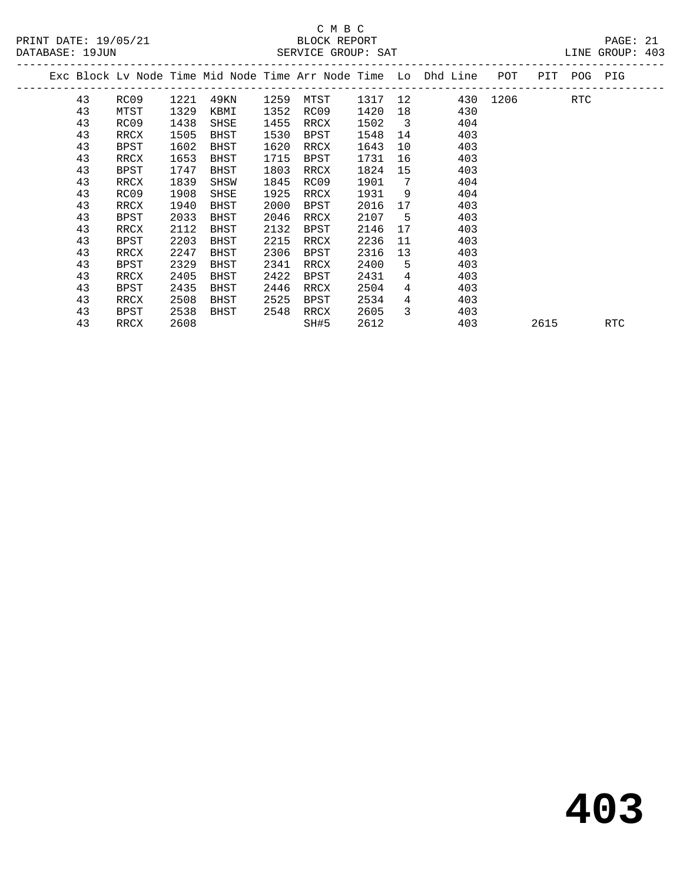# C M B C<br>BLOCK REPORT

| PRINT DATE: 19/05/21 | BLOCK REPORT       | PAGE: 21        |  |
|----------------------|--------------------|-----------------|--|
| DATABASE: 19JUN      | SERVICE GROUP: SAT | LINE GROUP: 403 |  |

|  |    |             |      |      |      |             |         |                            | Exc Block Lv Node Time Mid Node Time Arr Node Time Lo Dhd Line | POT      |      | PIT POG PIG |     |
|--|----|-------------|------|------|------|-------------|---------|----------------------------|----------------------------------------------------------------|----------|------|-------------|-----|
|  | 43 | RC09        | 1221 | 49KN | 1259 | MTST        | 1317 12 |                            |                                                                | 430 1206 |      | RTC         |     |
|  | 43 | MTST        | 1329 | KBMI | 1352 | RC09        | 1420    | 18                         | 430                                                            |          |      |             |     |
|  | 43 | RC09        | 1438 | SHSE | 1455 | RRCX        | 1502    | $\overline{\phantom{a}}$ 3 | 404                                                            |          |      |             |     |
|  | 43 | RRCX        | 1505 | BHST | 1530 | BPST        | 1548    | 14                         | 403                                                            |          |      |             |     |
|  | 43 | <b>BPST</b> | 1602 | BHST | 1620 | RRCX        | 1643    | 10                         | 403                                                            |          |      |             |     |
|  | 43 | RRCX        | 1653 | BHST | 1715 | <b>BPST</b> | 1731    | 16                         | 403                                                            |          |      |             |     |
|  | 43 | BPST        | 1747 | BHST | 1803 | RRCX        | 1824    | 15                         | 403                                                            |          |      |             |     |
|  | 43 | RRCX        | 1839 | SHSW | 1845 | RC09        | 1901    | 7                          | 404                                                            |          |      |             |     |
|  | 43 | RC09        | 1908 | SHSE | 1925 | RRCX        | 1931    | 9                          | 404                                                            |          |      |             |     |
|  | 43 | RRCX        | 1940 | BHST | 2000 | <b>BPST</b> | 2016    | 17                         | 403                                                            |          |      |             |     |
|  | 43 | <b>BPST</b> | 2033 | BHST | 2046 | RRCX        | 2107    | - 5                        | 403                                                            |          |      |             |     |
|  | 43 | RRCX        | 2112 | BHST | 2132 | BPST        | 2146    | 17                         | 403                                                            |          |      |             |     |
|  | 43 | <b>BPST</b> | 2203 | BHST | 2215 | RRCX        | 2236    | 11                         | 403                                                            |          |      |             |     |
|  | 43 | RRCX        | 2247 | BHST | 2306 | BPST        | 2316    | 13                         | 403                                                            |          |      |             |     |
|  | 43 | <b>BPST</b> | 2329 | BHST | 2341 | RRCX        | 2400    | 5                          | 403                                                            |          |      |             |     |
|  | 43 | RRCX        | 2405 | BHST | 2422 | <b>BPST</b> | 2431    | 4                          | 403                                                            |          |      |             |     |
|  | 43 | <b>BPST</b> | 2435 | BHST | 2446 | RRCX        | 2504    | $\overline{4}$             | 403                                                            |          |      |             |     |
|  | 43 | RRCX        | 2508 | BHST | 2525 | BPST        | 2534    | 4                          | 403                                                            |          |      |             |     |
|  | 43 | BPST        | 2538 | BHST | 2548 | RRCX        | 2605    | 3                          | 403                                                            |          |      |             |     |
|  | 43 | RRCX        | 2608 |      |      | SH#5        | 2612    |                            | 403                                                            |          | 2615 |             | RTC |
|  |    |             |      |      |      |             |         |                            |                                                                |          |      |             |     |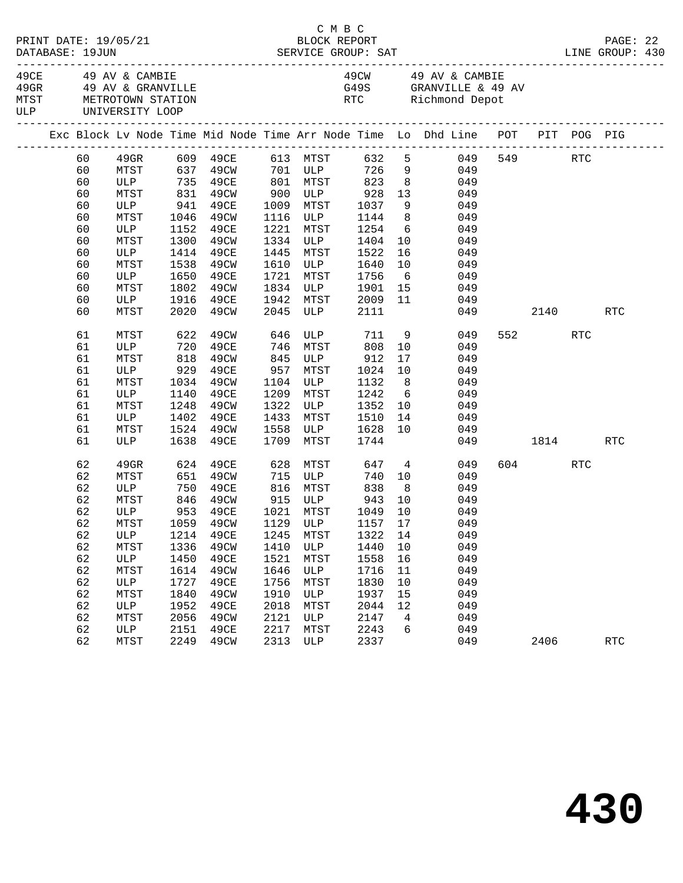|  | DATABASE: 19JUN | PRINT DATE: 19/05/21                                                 |      |                             |      |                       | C M B C<br>BLOCK REPORT                              |                 | DESCRIPTION<br>DATABASE: 19JUN SERVICE GROUP: SAT LINE GROUP: 430              |          |      |         | PAGE: 22   |  |
|--|-----------------|----------------------------------------------------------------------|------|-----------------------------|------|-----------------------|------------------------------------------------------|-----------------|--------------------------------------------------------------------------------|----------|------|---------|------------|--|
|  |                 | 49CE 49 AV & CAMBIE<br>MTST METROTOWN STATION<br>ULP UNIVERSITY LOOP |      | 49GR 49 AV & GRANVILLE      |      |                       |                                                      |                 | 49CW 49 AV & CAMBIE<br>G49S GRANVILLE & 49 AV<br>RTC Richmond Depot            |          |      |         |            |  |
|  |                 |                                                                      |      |                             |      |                       |                                                      |                 | Exc Block Lv Node Time Mid Node Time Arr Node Time Lo Dhd Line POT PIT POG PIG |          |      |         |            |  |
|  | 60              |                                                                      |      |                             |      |                       |                                                      |                 |                                                                                |          |      | 549 RTC |            |  |
|  | 60              |                                                                      |      |                             |      |                       |                                                      |                 |                                                                                |          |      |         |            |  |
|  | 60              |                                                                      |      | ULP 735 49CE 801 MTST 823 8 |      |                       |                                                      |                 | 049                                                                            |          |      |         |            |  |
|  | 60              | MTST                                                                 |      | 831 49CW                    |      |                       | 900 ULP 928                                          | 13              | 049                                                                            |          |      |         |            |  |
|  | 60              | ULP                                                                  | 941  | 49CE                        |      |                       | 1009 MTST 1037<br>1116 ULP 1144                      | $\frac{9}{8}$   | 049                                                                            |          |      |         |            |  |
|  | 60              | MTST                                                                 |      | 1046 49CW                   |      |                       |                                                      |                 | 049                                                                            |          |      |         |            |  |
|  | 60              | ULP                                                                  | 1152 | 49CE                        | 1221 | MTST                  | 1254                                                 |                 | $6\overline{6}$<br>049                                                         |          |      |         |            |  |
|  | 60              | MTST                                                                 | 1300 | 49CW                        |      | 1334 ULP              | 1404                                                 | 10              | 049                                                                            |          |      |         |            |  |
|  | 60              | ULP                                                                  | 1414 | 49CE                        | 1445 | MTST                  | 1522                                                 | 16              | 049                                                                            |          |      |         |            |  |
|  | 60              | MTST                                                                 | 1538 | 49CW                        | 1610 |                       | ULP 1640                                             | 10              | 049                                                                            |          |      |         |            |  |
|  | 60              | ULP                                                                  |      | 1650 49CE                   | 1721 | MTST                  | 1756                                                 |                 | $6\overline{6}$<br>049                                                         |          |      |         |            |  |
|  | 60              | MTST                                                                 | 1802 | 49CW                        | 1834 |                       | ULP 1901                                             | 15              | 049                                                                            |          |      |         |            |  |
|  | 60              | ULP                                                                  | 1916 | 49CE                        | 1942 | 1942 MTST<br>2045 ULP | 2009                                                 | 11              | 049                                                                            |          |      |         |            |  |
|  | 60              | MTST                                                                 |      | 2020 49CW                   |      |                       | 2111                                                 |                 |                                                                                | 049      |      | 2140    | RTC        |  |
|  | 61              | MTST                                                                 | 622  | 49CW                        | 646  |                       | ULP 711                                              |                 | 9<br>049                                                                       |          | 552  | RTC     |            |  |
|  | 61              | ULP 720<br>MTST 818                                                  |      | 49CE                        | 746  | MTST                  | 808                                                  | 10              | 049                                                                            |          |      |         |            |  |
|  | 61              |                                                                      |      | 49CW                        | 845  |                       |                                                      | 17              | 049                                                                            |          |      |         |            |  |
|  | 61              | ULP 929 49CE                                                         |      |                             | 957  |                       | $M_{101}$<br>ULP $\frac{3}{4}$<br>$\frac{1024}{132}$ | 10              | 049                                                                            |          |      |         |            |  |
|  | 61              | MTST                                                                 | 1034 | 49CW                        | 1104 | ULP                   | 1132                                                 | 8 <sup>8</sup>  | 049                                                                            |          |      |         |            |  |
|  | 61              | ULP                                                                  | 1140 | 49CE                        | 1209 | MTST                  | 1242                                                 | $6\overline{6}$ | 049                                                                            |          |      |         |            |  |
|  | 61              | MTST                                                                 | 1248 | 49CW                        | 1322 | ULP                   | 1352                                                 | 10              | 049                                                                            |          |      |         |            |  |
|  | 61              | ULP                                                                  | 1402 | 49CE                        | 1433 | MTST                  | 1510                                                 | 14              | 049                                                                            |          |      |         |            |  |
|  | 61              | MTST                                                                 |      | 1524 49CW                   | 1558 | ULP                   | 1628                                                 | 10              | 049                                                                            |          |      |         |            |  |
|  | 61              | ULP                                                                  | 1638 | 49CE                        | 1709 | MTST                  | 1744                                                 |                 |                                                                                | 049 1814 |      |         | RTC        |  |
|  | 62              | 49GR                                                                 |      | 624 49CE                    |      | 628 MTST              | 647 4                                                |                 | 049                                                                            |          |      | 604 RTC |            |  |
|  | 62              | MTST                                                                 |      | 651 49CW                    |      | 715 ULP               | 740                                                  |                 | 10<br>049                                                                      |          |      |         |            |  |
|  | 62              | ULP                                                                  |      | 750 49CE                    |      |                       | 816 MTST 838                                         | 8 <sup>8</sup>  | 049                                                                            |          |      |         |            |  |
|  | 62              | MTST                                                                 |      | 846 49CW<br>953 49CE        |      |                       |                                                      | 10              | 049                                                                            |          |      |         |            |  |
|  | 62              | ULP                                                                  |      |                             |      |                       |                                                      | 10              | 049                                                                            |          |      |         |            |  |
|  | 62              |                                                                      |      |                             |      |                       |                                                      |                 | MTST 1059 49CW 1129 ULP 1157 17 049                                            |          |      |         |            |  |
|  | 62              | ULP                                                                  | 1214 | 49CE                        | 1245 | MTST                  | 1322                                                 | 14              | 049                                                                            |          |      |         |            |  |
|  | 62              | MTST                                                                 | 1336 | 49CW                        | 1410 | ULP                   | 1440                                                 | 10              | 049                                                                            |          |      |         |            |  |
|  | 62              | ULP                                                                  | 1450 | 49CE                        | 1521 | MTST                  | 1558                                                 | 16              | 049                                                                            |          |      |         |            |  |
|  | 62              | MTST                                                                 | 1614 | 49CW                        | 1646 | ULP                   | 1716                                                 | 11              | 049                                                                            |          |      |         |            |  |
|  | 62              | ULP                                                                  | 1727 | 49CE                        | 1756 | MTST                  | 1830                                                 | 10              | 049                                                                            |          |      |         |            |  |
|  | 62              | MTST                                                                 | 1840 | 49CW                        | 1910 | ULP                   | 1937                                                 | 15              | 049                                                                            |          |      |         |            |  |
|  | 62              | ULP                                                                  | 1952 | 49CE                        | 2018 | MTST                  | 2044                                                 | 12              | 049                                                                            |          |      |         |            |  |
|  | 62              | MTST                                                                 | 2056 | 49CW                        | 2121 | ULP                   | 2147                                                 | $\overline{4}$  | 049                                                                            |          |      |         |            |  |
|  | 62              | ULP                                                                  | 2151 | 49CE                        | 2217 | MTST                  | 2243                                                 | 6               | 049                                                                            |          |      |         |            |  |
|  | 62              | MTST                                                                 | 2249 | 49CW                        | 2313 | ULP                   | 2337                                                 |                 | 049                                                                            |          | 2406 |         | <b>RTC</b> |  |
|  |                 |                                                                      |      |                             |      |                       |                                                      |                 |                                                                                |          |      |         |            |  |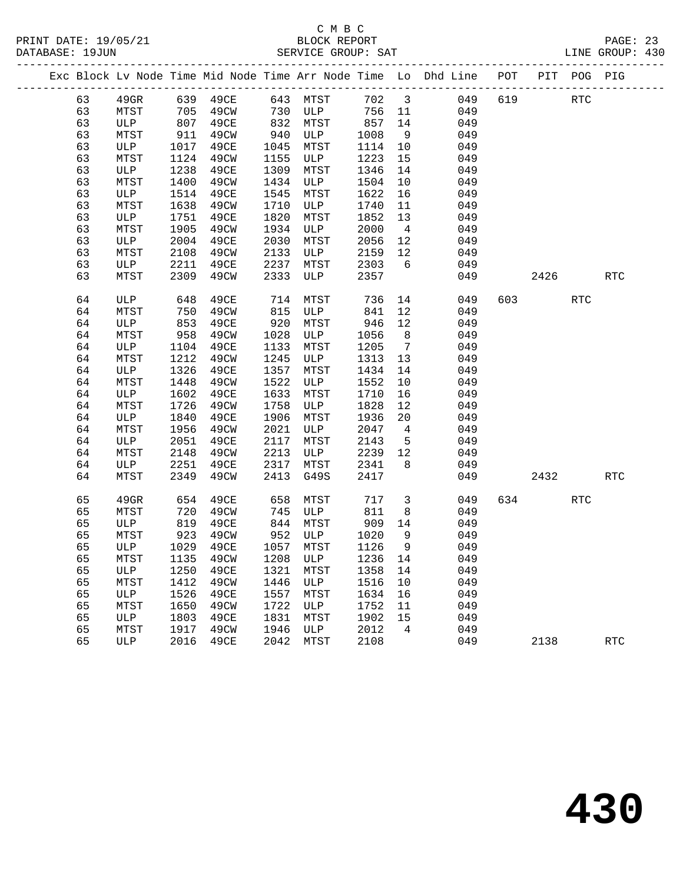|  |    |              |      |                         |      |           |         |                 | Exc Block Lv Node Time Mid Node Time Arr Node Time Lo Dhd Line POT PIT POG PIG |     |      |            |                      |
|--|----|--------------|------|-------------------------|------|-----------|---------|-----------------|--------------------------------------------------------------------------------|-----|------|------------|----------------------|
|  | 63 | $49$ GR      |      | 639 49CE                | 643  | MTST      | 702 3   |                 | 049                                                                            | 619 |      | <b>RTC</b> |                      |
|  | 63 | MTST         | 705  | 49CW                    | 730  | ULP       | 756     | 11              | 049                                                                            |     |      |            |                      |
|  | 63 | ULP          | 807  | 49CE                    | 832  | MTST      | 857     | 14              | 049                                                                            |     |      |            |                      |
|  | 63 | MTST         | 911  | 49CW                    | 940  | ULP       | 1008    | 9               | 049                                                                            |     |      |            |                      |
|  | 63 | ULP          | 1017 | 49CE                    | 1045 | MTST      | 1114    | 10              | 049                                                                            |     |      |            |                      |
|  | 63 | MTST         | 1124 | 49CW                    | 1155 | ULP       | 1223    | 15              | 049                                                                            |     |      |            |                      |
|  | 63 | ULP          | 1238 | 49CE                    | 1309 | MTST      | 1346    | 14              | 049                                                                            |     |      |            |                      |
|  | 63 | MTST         | 1400 | 49CW                    | 1434 | ULP       | 1504    | 10              | 049                                                                            |     |      |            |                      |
|  | 63 | ULP          | 1514 | 49CE                    | 1545 | MTST      | 1622    | 16              | 049                                                                            |     |      |            |                      |
|  | 63 | MTST         | 1638 | 49CW                    | 1710 | ULP       | 1740    | 11              | 049                                                                            |     |      |            |                      |
|  | 63 | ULP          | 1751 | 49CE                    | 1820 | MTST      | 1852    | 13              | 049                                                                            |     |      |            |                      |
|  | 63 | MTST         | 1905 | 49CW                    | 1934 | ULP       | 2000    | $\overline{4}$  | 049                                                                            |     |      |            |                      |
|  | 63 | ULP          | 2004 | 49CE                    | 2030 | MTST      | 2056    | 12              | 049                                                                            |     |      |            |                      |
|  | 63 | MTST         | 2108 | 49CW                    | 2133 | ULP       | 2159    | 12              | 049                                                                            |     |      |            |                      |
|  | 63 | ULP          | 2211 | 49CE                    | 2237 | MTST      | 2303    | 6               | 049                                                                            |     |      |            |                      |
|  | 63 | MTST         | 2309 | 49CW                    | 2333 | ULP       | 2357    |                 | 049                                                                            |     | 2426 |            | $\operatorname{RTC}$ |
|  | 64 | ULP          | 648  | 49CE                    | 714  | MTST      | 736     | 14              | 049                                                                            | 603 |      | <b>RTC</b> |                      |
|  | 64 | MTST         | 750  | 49CW                    | 815  | ULP       | 841     | 12              | 049                                                                            |     |      |            |                      |
|  | 64 | ULP          | 853  | 49CE                    | 920  | MTST      | 946     | 12              | 049                                                                            |     |      |            |                      |
|  | 64 | MTST         | 958  | 49CW                    | 1028 | ULP       | 1056    | 8 <sup>8</sup>  | 049                                                                            |     |      |            |                      |
|  | 64 | ULP          | 1104 | 49CE                    | 1133 | MTST      | 1205    | $7\phantom{.0}$ | 049                                                                            |     |      |            |                      |
|  | 64 | MTST         | 1212 | 49CW                    | 1245 | ULP       | 1313    | 13              | 049                                                                            |     |      |            |                      |
|  | 64 | ULP          | 1326 | 49CE                    | 1357 | MTST      | 1434    | 14              | 049                                                                            |     |      |            |                      |
|  | 64 | MTST         | 1448 | 49CW                    | 1522 | ULP       | 1552    | 10              | 049                                                                            |     |      |            |                      |
|  | 64 | ULP          | 1602 | 49CE                    | 1633 | MTST      | 1710    | 16              | 049                                                                            |     |      |            |                      |
|  | 64 | MTST         | 1726 | 49CW                    | 1758 | ULP       | 1828    | 12              | 049                                                                            |     |      |            |                      |
|  | 64 | ULP          | 1840 | 49CE                    | 1906 | MTST      | 1936    | 20              | 049                                                                            |     |      |            |                      |
|  | 64 | MTST         | 1956 | 49CW                    | 2021 | ULP       | 2047    | $\overline{4}$  | 049                                                                            |     |      |            |                      |
|  | 64 | ULP          | 2051 | 49CE                    | 2117 | MTST      | 2143    | 5               | 049                                                                            |     |      |            |                      |
|  | 64 | MTST         | 2148 | 49CW                    | 2213 | ULP       | 2239    | 12              | 049                                                                            |     |      |            |                      |
|  | 64 | ULP          | 2251 | 49CE                    | 2317 | MTST      | 2341    | 8               | 049                                                                            |     |      |            |                      |
|  | 64 | MTST         | 2349 | 49CW                    | 2413 | G49S      | 2417    |                 | 049                                                                            |     | 2432 |            | <b>RTC</b>           |
|  | 65 | 49GR         | 654  | 49CE                    | 658  | MTST      | 717     | $\mathbf{3}$    | 049                                                                            | 634 |      | <b>RTC</b> |                      |
|  | 65 | MTST         | 720  | 49CW                    | 745  | ULP       | 811     | 8               | 049                                                                            |     |      |            |                      |
|  | 65 | ULP          | 819  | 49CE                    | 844  | MTST      | 909     | 14              | 049                                                                            |     |      |            |                      |
|  | 65 | MTST         | 923  | 49CW                    |      | 952 ULP   | 1020    | 9               | 049                                                                            |     |      |            |                      |
|  | 65 | ULP          | 1029 | 49CE                    |      | 1057 MTST | 1126    | 9               | 049                                                                            |     |      |            |                      |
|  | 65 |              |      | MTST 1135 49CW 1208 ULP |      |           | 1236 14 |                 | 049                                                                            |     |      |            |                      |
|  | 65 | ULP          | 1250 | 49CE                    | 1321 | MTST      | 1358    | 14              | 049                                                                            |     |      |            |                      |
|  | 65 | MTST         | 1412 | 49CW                    | 1446 | ULP       | 1516    | 10              | 049                                                                            |     |      |            |                      |
|  | 65 | ULP          | 1526 | 49CE                    | 1557 | MTST      | 1634    | 16              | 049                                                                            |     |      |            |                      |
|  | 65 | MTST         | 1650 | 49CW                    | 1722 | ULP       | 1752    | 11              | 049                                                                            |     |      |            |                      |
|  | 65 | $_{\rm ULP}$ | 1803 | 49CE                    | 1831 | MTST      | 1902    | 15              | 049                                                                            |     |      |            |                      |
|  | 65 | MTST         | 1917 | 49CW                    | 1946 | ULP       | 2012    | 4               | 049                                                                            |     |      |            |                      |
|  | 65 | ULP          | 2016 | 49CE                    | 2042 | MTST      | 2108    |                 | 049                                                                            |     | 2138 |            | $\operatorname{RTC}$ |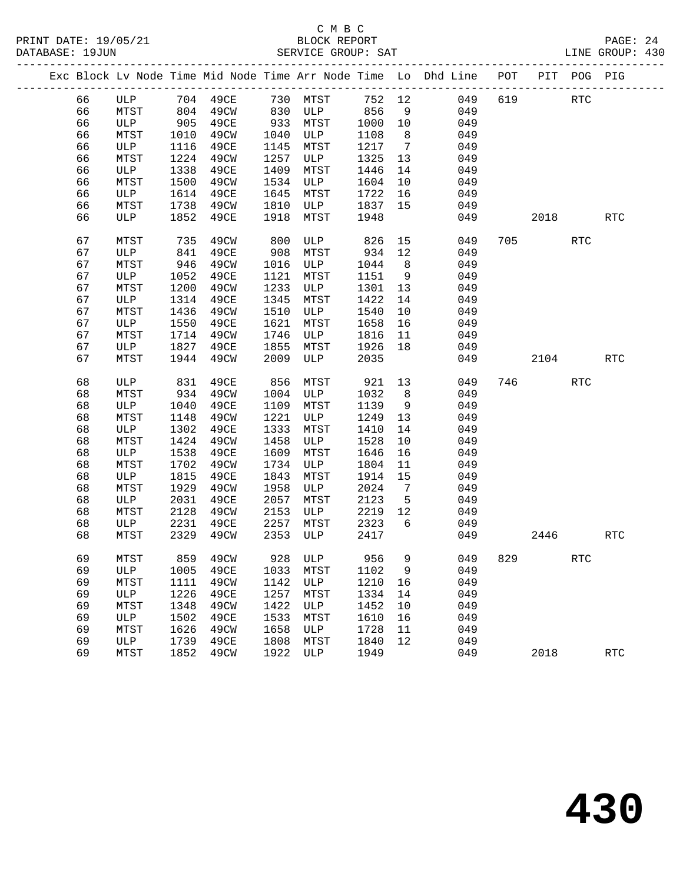|  |    |             |      |          |      |         |      |                 | Exc Block Lv Node Time Mid Node Time Arr Node Time Lo Dhd Line POT |     |      | PIT POG PIG          |                      |
|--|----|-------------|------|----------|------|---------|------|-----------------|--------------------------------------------------------------------|-----|------|----------------------|----------------------|
|  | 66 | ULP         | 704  | 49CE     | 730  | MTST    | 752  | 12              | 049                                                                | 619 |      | RTC                  |                      |
|  | 66 | MTST        | 804  | 49CW     | 830  | ULP     | 856  | 9               | 049                                                                |     |      |                      |                      |
|  | 66 | ULP         | 905  | 49CE     | 933  | MTST    | 1000 | 10              | 049                                                                |     |      |                      |                      |
|  | 66 | MTST        | 1010 | 49CW     | 1040 | ULP     | 1108 | 8               | 049                                                                |     |      |                      |                      |
|  | 66 | ULP         | 1116 | 49CE     | 1145 | MTST    | 1217 | $7\phantom{.0}$ | 049                                                                |     |      |                      |                      |
|  | 66 | MTST        | 1224 | 49CW     | 1257 | ULP     | 1325 | 13              | 049                                                                |     |      |                      |                      |
|  | 66 | ULP         | 1338 | 49CE     | 1409 | MTST    | 1446 | 14              | 049                                                                |     |      |                      |                      |
|  | 66 | MTST        | 1500 | 49CW     | 1534 | ULP     | 1604 | 10              | 049                                                                |     |      |                      |                      |
|  | 66 | ULP         | 1614 | 49CE     | 1645 | MTST    | 1722 | 16              | 049                                                                |     |      |                      |                      |
|  | 66 | MTST        | 1738 | 49CW     | 1810 | ULP     | 1837 | 15              | 049                                                                |     |      |                      |                      |
|  | 66 | ULP         | 1852 | 49CE     | 1918 | MTST    | 1948 |                 | 049                                                                |     | 2018 |                      | $\operatorname{RTC}$ |
|  | 67 | MTST        | 735  | 49CW     | 800  | ULP     | 826  | 15              | 049                                                                | 705 |      | <b>RTC</b>           |                      |
|  | 67 | ULP         | 841  | 49CE     | 908  | MTST    | 934  | 12              | 049                                                                |     |      |                      |                      |
|  | 67 | MTST        | 946  | 49CW     | 1016 | ULP     | 1044 | 8               | 049                                                                |     |      |                      |                      |
|  | 67 | ULP         | 1052 | 49CE     | 1121 | MTST    | 1151 | 9               | 049                                                                |     |      |                      |                      |
|  | 67 | MTST        | 1200 | 49CW     | 1233 | ULP     | 1301 | 13              | 049                                                                |     |      |                      |                      |
|  | 67 | ULP         | 1314 | 49CE     | 1345 | MTST    | 1422 | 14              | 049                                                                |     |      |                      |                      |
|  | 67 | MTST        | 1436 | 49CW     | 1510 | ULP     | 1540 | 10              | 049                                                                |     |      |                      |                      |
|  | 67 | ULP         | 1550 | 49CE     | 1621 | MTST    | 1658 | 16              | 049                                                                |     |      |                      |                      |
|  | 67 | MTST        | 1714 | 49CW     | 1746 | ULP     | 1816 | 11              | 049                                                                |     |      |                      |                      |
|  | 67 | ULP         | 1827 | 49CE     | 1855 | MTST    | 1926 | 18              | 049                                                                |     |      |                      |                      |
|  | 67 | MTST        | 1944 | 49CW     | 2009 | ULP     | 2035 |                 | 049                                                                |     | 2104 |                      | $\operatorname{RTC}$ |
|  | 68 | ULP         | 831  | 49CE     | 856  | MTST    | 921  | 13              | 049                                                                | 746 |      | <b>RTC</b>           |                      |
|  | 68 | MTST        | 934  | 49CW     | 1004 | ULP     | 1032 | 8               | 049                                                                |     |      |                      |                      |
|  | 68 | ULP         | 1040 | 49CE     | 1109 | MTST    | 1139 | 9               | 049                                                                |     |      |                      |                      |
|  | 68 | MTST        | 1148 | 49CW     | 1221 | ULP     | 1249 | 13              | 049                                                                |     |      |                      |                      |
|  | 68 | ULP         | 1302 | 49CE     | 1333 | MTST    | 1410 | 14              | 049                                                                |     |      |                      |                      |
|  | 68 | MTST        | 1424 | 49CW     | 1458 | ULP     | 1528 | 10              | 049                                                                |     |      |                      |                      |
|  | 68 | ULP         | 1538 | 49CE     | 1609 | MTST    | 1646 | 16              | 049                                                                |     |      |                      |                      |
|  | 68 | MTST        | 1702 | 49CW     | 1734 | ULP     | 1804 | 11              | 049                                                                |     |      |                      |                      |
|  | 68 | ULP         | 1815 | 49CE     | 1843 | MTST    | 1914 | 15              | 049                                                                |     |      |                      |                      |
|  | 68 | MTST        | 1929 | 49CW     | 1958 | ULP     | 2024 | $7\phantom{.0}$ | 049                                                                |     |      |                      |                      |
|  | 68 | ULP         | 2031 | 49CE     | 2057 | MTST    | 2123 | 5               | 049                                                                |     |      |                      |                      |
|  | 68 | MTST        | 2128 | 49CW     | 2153 | ULP     | 2219 | 12              | 049                                                                |     |      |                      |                      |
|  | 68 | ULP         | 2231 | 49CE     | 2257 | MTST    | 2323 | 6               | 049                                                                |     |      |                      |                      |
|  | 68 | MTST        | 2329 | 49CW     | 2353 | ULP     | 2417 |                 | 049                                                                |     | 2446 |                      | $\operatorname{RTC}$ |
|  | 69 | MTST        |      | 859 49CW |      | 928 ULP |      |                 | 956 9 049 829                                                      |     |      | $\operatorname{RTC}$ |                      |
|  | 69 | ULP         | 1005 | 49CE     | 1033 | MTST    | 1102 | 9               | 049                                                                |     |      |                      |                      |
|  | 69 | MTST        | 1111 | 49CW     | 1142 | ULP     | 1210 | 16              | 049                                                                |     |      |                      |                      |
|  | 69 | ULP         | 1226 | 49CE     | 1257 | MTST    | 1334 | 14              | 049                                                                |     |      |                      |                      |
|  | 69 | MTST        | 1348 | 49CW     | 1422 | ULP     | 1452 | 10              | 049                                                                |     |      |                      |                      |
|  | 69 | ULP         | 1502 | 49CE     | 1533 | MTST    | 1610 | 16              | 049                                                                |     |      |                      |                      |
|  | 69 | <b>MTST</b> | 1626 | 49CW     | 1658 | ULP     | 1728 | 11              | 049                                                                |     |      |                      |                      |
|  | 69 | ULP         | 1739 | 49CE     | 1808 | MTST    | 1840 | 12              | 049                                                                |     |      |                      |                      |
|  | 69 | MTST        | 1852 | 49CW     | 1922 | ULP     | 1949 |                 | 049                                                                |     | 2018 |                      | $\operatorname{RTC}$ |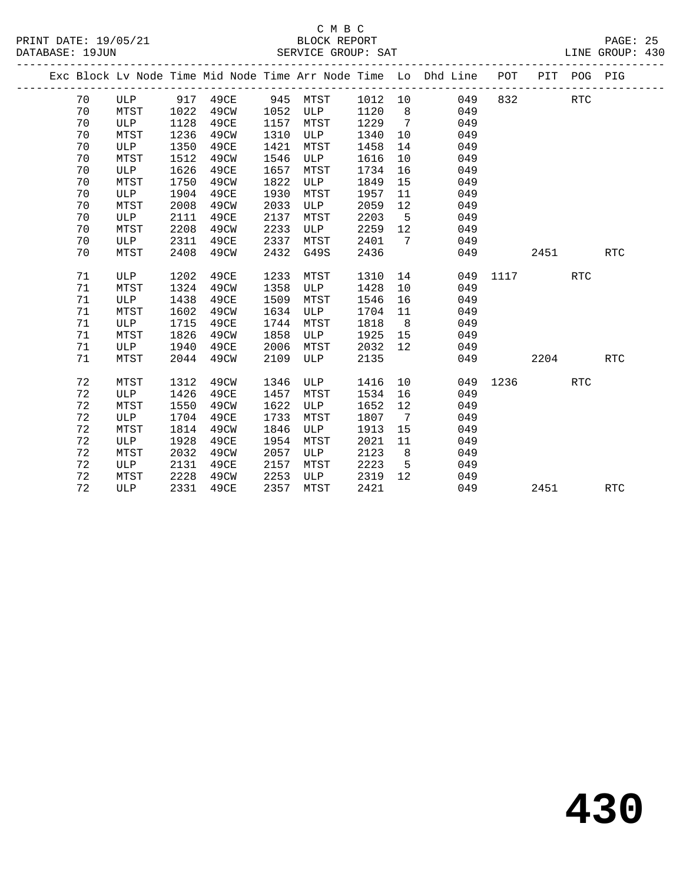#### C M B C<br>BLOCK REPORT SERVICE GROUP: SAT

|  |    |             |      |      |      |      |      |                              | Exc Block Lv Node Time Mid Node Time Arr Node Time Lo Dhd Line POT |      |      | PIT POG PIG |            |
|--|----|-------------|------|------|------|------|------|------------------------------|--------------------------------------------------------------------|------|------|-------------|------------|
|  | 70 | ULP         | 917  | 49CE | 945  | MTST | 1012 | 10                           | 049                                                                | 832  |      | <b>RTC</b>  |            |
|  | 70 | MTST        | 1022 | 49CW | 1052 | ULP  | 1120 | 8                            | 049                                                                |      |      |             |            |
|  | 70 | ULP         | 1128 | 49CE | 1157 | MTST | 1229 | $\overline{7}$               | 049                                                                |      |      |             |            |
|  | 70 | MTST        | 1236 | 49CW | 1310 | ULP  | 1340 | 10 <sup>°</sup>              | 049                                                                |      |      |             |            |
|  | 70 | ULP         | 1350 | 49CE | 1421 | MTST | 1458 | 14                           | 049                                                                |      |      |             |            |
|  | 70 | MTST        | 1512 | 49CW | 1546 | ULP  | 1616 | 10                           | 049                                                                |      |      |             |            |
|  | 70 | ULP         | 1626 | 49CE | 1657 | MTST | 1734 | 16                           | 049                                                                |      |      |             |            |
|  | 70 | MTST        | 1750 | 49CW | 1822 | ULP  | 1849 | 15                           | 049                                                                |      |      |             |            |
|  | 70 | <b>ULP</b>  | 1904 | 49CE | 1930 | MTST | 1957 | 11                           | 049                                                                |      |      |             |            |
|  | 70 | MTST        | 2008 | 49CW | 2033 | ULP  | 2059 | 12                           | 049                                                                |      |      |             |            |
|  | 70 | ULP         | 2111 | 49CE | 2137 | MTST | 2203 | 5                            | 049                                                                |      |      |             |            |
|  | 70 | MTST        | 2208 | 49CW | 2233 | ULP  | 2259 | 12                           | 049                                                                |      |      |             |            |
|  | 70 | ULP         | 2311 | 49CE | 2337 | MTST | 2401 | 7                            | 049                                                                |      |      |             |            |
|  | 70 | MTST        | 2408 | 49CW | 2432 | G49S | 2436 |                              | 049                                                                |      | 2451 |             | <b>RTC</b> |
|  |    |             |      |      |      |      |      |                              |                                                                    |      |      |             |            |
|  | 71 | ULP         | 1202 | 49CE | 1233 | MTST | 1310 | 14                           | 049                                                                | 1117 |      | <b>RTC</b>  |            |
|  | 71 | MTST        | 1324 | 49CW | 1358 | ULP  | 1428 | 10                           | 049                                                                |      |      |             |            |
|  | 71 | ULP         | 1438 | 49CE | 1509 | MTST | 1546 | 16                           | 049                                                                |      |      |             |            |
|  | 71 | MTST        | 1602 | 49CW | 1634 | ULP  | 1704 | 11                           | 049                                                                |      |      |             |            |
|  | 71 | ULP         | 1715 | 49CE | 1744 | MTST | 1818 | 8                            | 049                                                                |      |      |             |            |
|  | 71 | MTST        | 1826 | 49CW | 1858 | ULP  | 1925 | 15                           | 049                                                                |      |      |             |            |
|  | 71 | ULP         | 1940 | 49CE | 2006 | MTST | 2032 | 12                           | 049                                                                |      |      |             |            |
|  | 71 | MTST        | 2044 | 49CW | 2109 | ULP  | 2135 |                              | 049                                                                |      | 2204 |             | <b>RTC</b> |
|  |    |             |      |      |      |      |      |                              |                                                                    |      |      |             |            |
|  | 72 | <b>MTST</b> | 1312 | 49CW | 1346 | ULP  | 1416 | 10 <sup>°</sup>              | 049                                                                | 1236 |      | <b>RTC</b>  |            |
|  | 72 | ULP         | 1426 | 49CE | 1457 | MTST | 1534 | 16                           | 049                                                                |      |      |             |            |
|  | 72 | MTST        | 1550 | 49CW | 1622 | ULP  | 1652 | 12                           | 049                                                                |      |      |             |            |
|  | 72 | ULP         | 1704 | 49CE | 1733 | MTST | 1807 | $7\phantom{.0}\phantom{.0}7$ | 049                                                                |      |      |             |            |
|  | 72 | MTST        | 1814 | 49CW | 1846 | ULP  | 1913 | 15                           | 049                                                                |      |      |             |            |
|  | 72 | ULP         | 1928 | 49CE | 1954 | MTST | 2021 | 11                           | 049                                                                |      |      |             |            |
|  | 72 | MTST        | 2032 | 49CW | 2057 | ULP  | 2123 | 8                            | 049                                                                |      |      |             |            |
|  | 72 | ULP         | 2131 | 49CE | 2157 | MTST | 2223 | 5                            | 049                                                                |      |      |             |            |
|  | 72 | MTST        | 2228 | 49CW | 2253 | ULP  | 2319 | 12                           | 049                                                                |      |      |             |            |

72 ULP 2331 49CE 2357 MTST 2421 049 2451 RTC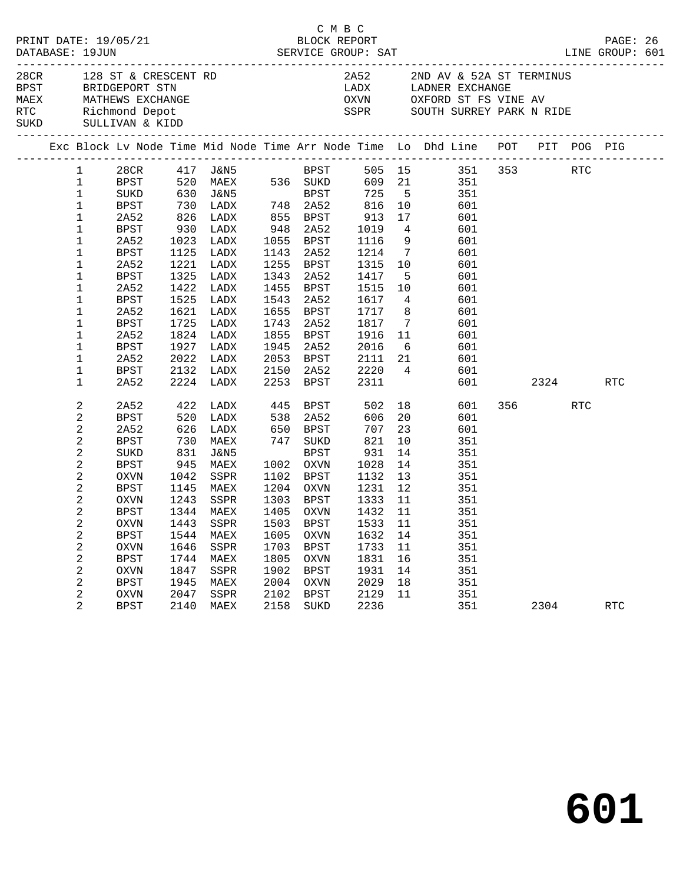| 28CR 128 ST & CRESCENT RD |                                                                                                                                                                                            |                                                                                                                                                                                              |                                                            |                                                                                                                                                                                               |                                                     | C M B C                                                                                                                                                                                         |                                                                                                                                                           |                                                                | LINE GROUP: 601                                                                                                                                                                                                                                                                                                                                             |         |     | PAGE: 26             |  |
|---------------------------|--------------------------------------------------------------------------------------------------------------------------------------------------------------------------------------------|----------------------------------------------------------------------------------------------------------------------------------------------------------------------------------------------|------------------------------------------------------------|-----------------------------------------------------------------------------------------------------------------------------------------------------------------------------------------------|-----------------------------------------------------|-------------------------------------------------------------------------------------------------------------------------------------------------------------------------------------------------|-----------------------------------------------------------------------------------------------------------------------------------------------------------|----------------------------------------------------------------|-------------------------------------------------------------------------------------------------------------------------------------------------------------------------------------------------------------------------------------------------------------------------------------------------------------------------------------------------------------|---------|-----|----------------------|--|
|                           |                                                                                                                                                                                            | RTC Richmond Depot<br>SUKD SULLIVAN & KIDD                                                                                                                                                   |                                                            | BPST BRIDGEPORT STN<br>MAEX MATHEWS EXCHANGE                                                                                                                                                  |                                                     |                                                                                                                                                                                                 |                                                                                                                                                           |                                                                | 2A52 2ND AV & 52A ST TERMINUS<br>LADX         LADNER  EXCHANGE<br>OXVN            OXFORD  ST  FS  VINE  AV<br>SSPR SOUTH SURREY PARK N RIDE                                                                                                                                                                                                                 |         |     |                      |  |
|                           |                                                                                                                                                                                            |                                                                                                                                                                                              |                                                            |                                                                                                                                                                                               |                                                     |                                                                                                                                                                                                 |                                                                                                                                                           |                                                                | Exc Block Lv Node Time Mid Node Time Arr Node Time Lo Dhd Line POT PIT POG PIG                                                                                                                                                                                                                                                                              |         |     |                      |  |
|                           | 1<br>$\mathbf{1}$<br>$\mathbf 1$<br>$\mathbf{1}$<br>$\mathbf{1}$<br>$\mathbf 1$<br>$\mathbf 1$<br>$\mathbf{1}$<br>1<br>$\mathbf{1}$<br>$\mathbf 1$<br>1<br>1<br>1<br>$\mathbf 1$<br>1<br>1 | 2A52<br>BPST<br>2A52<br>BPST<br>2A52<br><b>BPST</b><br>2A52<br><b>BPST</b><br>2A52<br><b>BPST</b><br>2A52<br>BPST<br>2A52                                                                    | 1725                                                       | 826 LADX<br>-----<br>1023 IADX<br>צרוגז 1023<br>1023 LADX<br>1125 LADX<br>1221 LADX<br>1325 LADX<br>1422 LADX<br>1525 LADX<br>1621 LADX<br>LADX<br>1824 LADX<br>1927 LADX<br>2022 LADX        |                                                     | 855 BPST<br>$948$ $2A52$<br>1055 BPST<br>1143 2A52<br>1255 BPST<br>1343 2A52<br>1455 BPST<br>1543 2A52<br>1655 BPST<br>1743 2A52<br>1855 BPST<br>1945 2A52<br>2053 BPST                         | 913<br>1019<br>1116<br>1214<br>1315<br>1417<br>1515<br>1617<br>1717<br>1817<br>1916<br>2016                                                               | 17<br>$7\overline{ }$<br>10<br>$5^{\circ}$<br>10               | 28CR 417 J&N5<br>BPST 520 MAEX 536 SUKD 609 21 351 353<br>SUKD 630 J&N5 BPST 725 5 351<br>BPST 730 LADX 748 2A52 816 10 601<br>601<br>$\begin{array}{ccc} 4 & & 601 \\ 9 & & 601 \end{array}$<br>601<br>601<br>601<br>601<br>4 601<br>8 601<br>7 601<br>$\begin{array}{ccc} 11 & \phantom{000} & 601 \\ 6 & \phantom{000} & 601 \end{array}$<br>2111 21 601 |         | RTC |                      |  |
|                           | 1<br>$\mathbf 1$                                                                                                                                                                           | BPST<br>2A52                                                                                                                                                                                 |                                                            | 2132 LADX<br>2224 LADX                                                                                                                                                                        |                                                     | 2150 2A52<br>2253 BPST                                                                                                                                                                          | 2220<br>2311                                                                                                                                              |                                                                | 4 601<br>601 000                                                                                                                                                                                                                                                                                                                                            | 2324    |     | RTC                  |  |
|                           | 2<br>2<br>2<br>2<br>2<br>2<br>2<br>$\sqrt{2}$<br>2<br>2<br>$\overline{a}$<br>2<br>2<br>2<br>$\sqrt{2}$<br>$\sqrt{2}$<br>2                                                                  | 2A52<br>BPST<br>2A52<br><b>BPST</b><br>SUKD<br>BPST<br>OXVN<br>BPST<br>OXVN<br><b>BPST</b><br>OXVN<br><b>BPST</b><br><b>OXVN</b><br><b>BPST</b><br><b>OXVN</b><br><b>BPST</b><br><b>OXVN</b> | 520<br>945<br>1544<br>1646<br>1744<br>1847<br>1945<br>2047 | 422 LADX 445 BPST 502 18<br>LADX<br>626 LADX<br>730 MAEX<br>831 J&N5<br>MAEX<br>1042 SSPR<br>1145 MAEX<br>1243 SSPR<br>1344 MAEX<br>1443 SSPR<br>MAEX<br>SSPR<br>MAEX<br>SSPR<br>MAEX<br>SSPR | 538<br>1605<br>1703<br>1805<br>1902<br>2004<br>2102 | 2A52<br>650 BPST<br>747 SUKD<br>BPST<br>1002 OXVN<br>1102 BPST<br>1204 OXVN<br>1303 BPST<br>1405 OXVN<br><b>OXVN</b><br><b>BPST</b><br><b>OXVN</b><br><b>BPST</b><br><b>OXVN</b><br><b>BPST</b> | 606<br>$70$<br>821<br>931<br>931<br>1028<br>1132 13<br>1231 12<br>1333 11<br>1432 11<br>1503 BPST 1533 11<br>1632<br>1733<br>1831<br>1931<br>2029<br>2129 | 20<br>23<br>10<br>14<br>14<br>14<br>11<br>16<br>14<br>18<br>11 | 601<br>601<br>601<br>951 b<br>351<br>351<br>$\frac{351}{1}$<br>351<br>351<br>351<br>351<br>351<br>351<br>351<br>351<br>351<br>351                                                                                                                                                                                                                           | 356 350 | RTC |                      |  |
|                           | 2                                                                                                                                                                                          | <b>BPST</b>                                                                                                                                                                                  | 2140                                                       | MAEX                                                                                                                                                                                          | 2158                                                | SUKD                                                                                                                                                                                            | 2236                                                                                                                                                      |                                                                | 351                                                                                                                                                                                                                                                                                                                                                         | 2304    |     | $\operatorname{RTC}$ |  |

**601**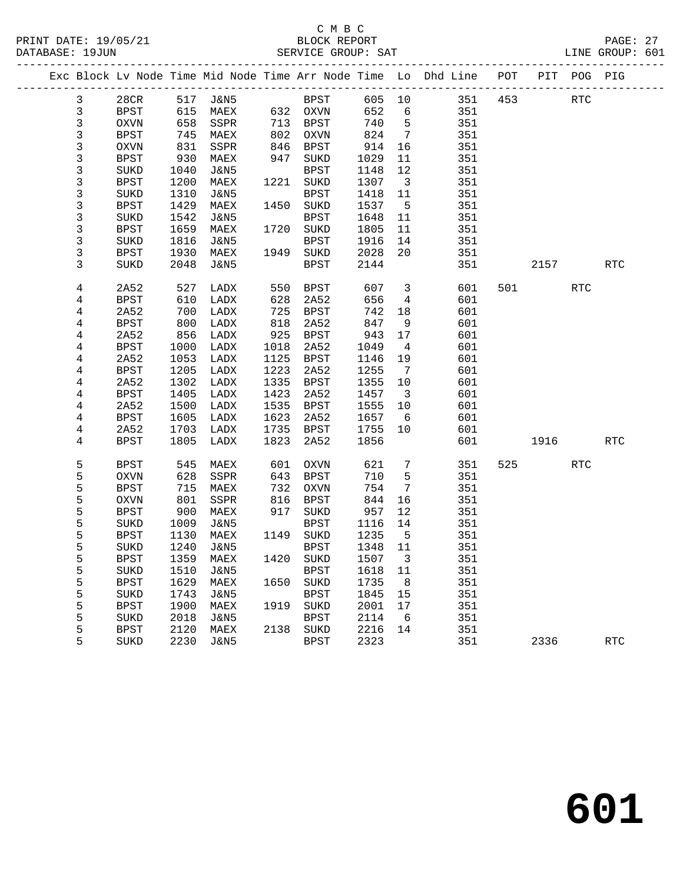#### C M B C<br>BLOCK REPORT PRINT DATE: 19/05/21 BLOCK REPORT PAGE: 27 SERVICE GROUP: SAT

|                |             |      |                 |      |                  |         |                              | Exc Block Lv Node Time Mid Node Time Arr Node Time Lo Dhd Line POT |     |         | PIT POG PIG |            |
|----------------|-------------|------|-----------------|------|------------------|---------|------------------------------|--------------------------------------------------------------------|-----|---------|-------------|------------|
| $\mathbf{3}$   | 28CR        |      | 517 J&N5        |      | BPST             | 605 10  |                              | 351                                                                | 453 |         | RTC         |            |
| $\mathfrak{Z}$ | BPST        | 615  | MAEX            |      | 632 OXVN         | 652     | 6                            | 351                                                                |     |         |             |            |
| $\mathsf 3$    | OXVN        | 658  | SSPR            | 713  | BPST             | 740     | $5^{\circ}$                  | 351                                                                |     |         |             |            |
| 3              | <b>BPST</b> | 745  | MAEX            | 802  | OXVN             | 824     | $\overline{7}$               | 351                                                                |     |         |             |            |
| 3              | <b>OXVN</b> | 831  | SSPR            | 846  | BPST             | 914     | 16                           | 351                                                                |     |         |             |            |
| 3              | <b>BPST</b> | 930  | MAEX            | 947  | SUKD             | 1029    | 11                           | 351                                                                |     |         |             |            |
| 3              | SUKD        | 1040 | J&N5            |      | BPST             | 1148    | 12                           | 351                                                                |     |         |             |            |
| 3              | <b>BPST</b> | 1200 | MAEX            | 1221 | SUKD             | 1307    | $\overline{\mathbf{3}}$      | 351                                                                |     |         |             |            |
| 3              | SUKD        | 1310 | J&N5            |      | <b>BPST</b>      | 1418    | 11                           | 351                                                                |     |         |             |            |
| 3              | <b>BPST</b> | 1429 | MAEX            | 1450 | SUKD             | 1537    | $5^{\circ}$                  | 351                                                                |     |         |             |            |
| 3              | SUKD        | 1542 | J&N5            |      | BPST             | 1648    | 11                           | 351                                                                |     |         |             |            |
| 3              | <b>BPST</b> | 1659 | MAEX            | 1720 | SUKD             | 1805    | 11                           | 351                                                                |     |         |             |            |
| 3              | SUKD        | 1816 | J&N5            |      | <b>BPST</b>      | 1916    | 14                           | 351                                                                |     |         |             |            |
| 3              | <b>BPST</b> | 1930 | MAEX            | 1949 | SUKD             | 2028    | 20                           | 351                                                                |     |         |             |            |
| 3              | <b>SUKD</b> | 2048 | J&N5            |      | <b>BPST</b>      | 2144    |                              | 351                                                                |     | 2157    |             | <b>RTC</b> |
| 4              | 2A52        | 527  | LADX            | 550  | BPST             | 607     | $\mathbf{3}$                 | 601                                                                |     | 501 700 | <b>RTC</b>  |            |
| 4              | <b>BPST</b> | 610  | LADX            | 628  | 2A52             | 656     | $4\overline{ }$              | 601                                                                |     |         |             |            |
| 4              | 2A52        | 700  | LADX            | 725  | BPST             | 742     | 18                           | 601                                                                |     |         |             |            |
| 4              | <b>BPST</b> | 800  | LADX            | 818  | 2A52             | 847     | 9                            | 601                                                                |     |         |             |            |
| 4              | 2A52        | 856  | LADX            | 925  | <b>BPST</b>      | 943     | 17                           | 601                                                                |     |         |             |            |
| 4              | <b>BPST</b> | 1000 | LADX            | 1018 | 2A52             | 1049    | $\overline{4}$               | 601                                                                |     |         |             |            |
| 4              | 2A52        | 1053 | LADX            | 1125 | <b>BPST</b>      | 1146    | 19                           | 601                                                                |     |         |             |            |
| 4              | <b>BPST</b> | 1205 | LADX            | 1223 | 2A52             | 1255    | $7\phantom{.0}\phantom{.0}7$ | 601                                                                |     |         |             |            |
| 4              | 2A52        | 1302 | LADX            | 1335 | <b>BPST</b>      | 1355    | 10                           | 601                                                                |     |         |             |            |
| 4              | <b>BPST</b> | 1405 | LADX            | 1423 | 2A52             | 1457    | $\overline{\mathbf{3}}$      | 601                                                                |     |         |             |            |
| 4              | 2A52        | 1500 | LADX            | 1535 | BPST             | 1555    | 10                           | 601                                                                |     |         |             |            |
| 4              | BPST        | 1605 | LADX            | 1623 | 2A52             | 1657    | 6                            | 601                                                                |     |         |             |            |
| 4              | 2A52        | 1703 | LADX            | 1735 | <b>BPST</b>      | 1755    | 10                           | 601                                                                |     |         |             |            |
| 4              | <b>BPST</b> | 1805 | LADX            | 1823 | 2A52             | 1856    |                              | 601                                                                |     | 1916    |             | <b>RTC</b> |
| 5              | BPST        | 545  | MAEX            | 601  | OXVN             | 621     | $7\phantom{.0}$              | 351                                                                | 525 |         | RTC         |            |
| 5              | <b>OXVN</b> | 628  | SSPR            | 643  | BPST             | 710     | 5                            | 351                                                                |     |         |             |            |
| 5              | <b>BPST</b> | 715  | MAEX            | 732  | <b>OXVN</b>      | 754     | 7                            | 351                                                                |     |         |             |            |
| 5              | <b>OXVN</b> | 801  | SSPR            | 816  | BPST             | 844     | 16                           | 351                                                                |     |         |             |            |
| 5              | <b>BPST</b> | 900  | MAEX            | 917  | SUKD             | 957     | 12                           | 351                                                                |     |         |             |            |
| 5              | SUKD        | 1009 | J&N5            |      | BPST             | 1116    | 14                           | 351                                                                |     |         |             |            |
| 5              | <b>BPST</b> | 1130 | MAEX            |      | 1149 SUKD        | 1235    | $5^{\circ}$                  | 351                                                                |     |         |             |            |
| 5              | SUKD        | 1240 | J&N5            |      | <b>BPST</b>      | 1348 11 |                              | 351                                                                |     |         |             |            |
| 5              | <b>BPST</b> |      | 1359 MAEX       |      | 1420 SUKD 1507 3 |         |                              | 351                                                                |     |         |             |            |
| 5              | SUKD        | 1510 | J&N5            |      | <b>BPST</b>      | 1618    | 11                           | 351                                                                |     |         |             |            |
| 5              | <b>BPST</b> | 1629 | MAEX            | 1650 | $\rm SUKD$       | 1735    | 8                            | 351                                                                |     |         |             |            |
| 5              | SUKD        | 1743 | <b>J&amp;N5</b> |      | <b>BPST</b>      | 1845    | 15                           | 351                                                                |     |         |             |            |
| 5              | <b>BPST</b> | 1900 | MAEX            | 1919 | SUKD             | 2001    | 17                           | 351                                                                |     |         |             |            |
| 5              | SUKD        | 2018 | <b>J&amp;N5</b> |      | <b>BPST</b>      | 2114    | 6                            | 351                                                                |     |         |             |            |
| 5              | <b>BPST</b> | 2120 | MAEX            | 2138 | $\rm SUKD$       | 2216    | 14                           | 351                                                                |     |         |             |            |
| 5              | SUKD        | 2230 | <b>J&amp;N5</b> |      | <b>BPST</b>      | 2323    |                              | 351                                                                |     | 2336    |             | <b>RTC</b> |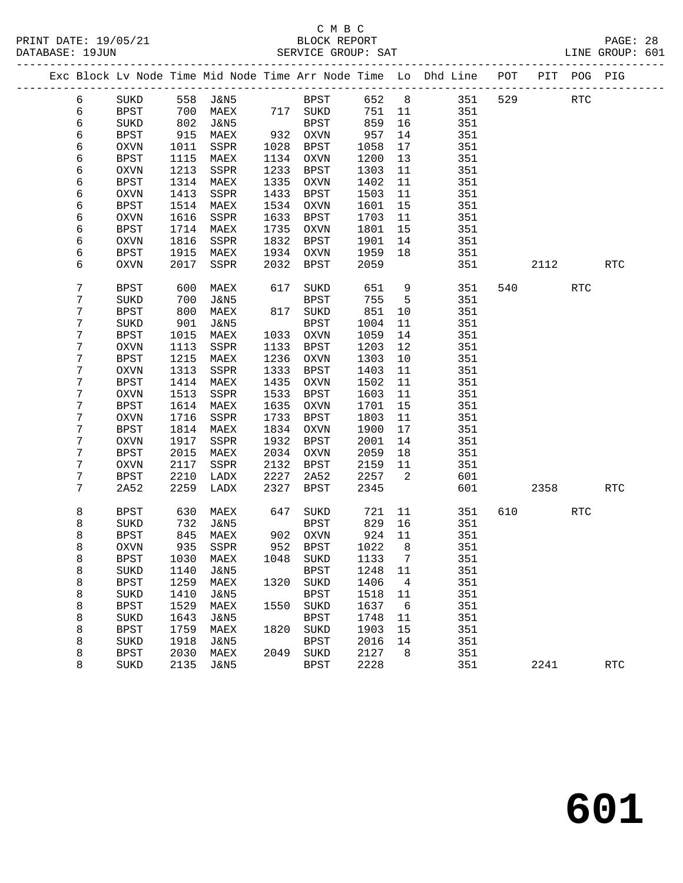|  |                  |             |      |                            |      |             |         |                          | Exc Block Lv Node Time Mid Node Time Arr Node Time Lo Dhd Line POT PIT POG PIG |        |            |            |
|--|------------------|-------------|------|----------------------------|------|-------------|---------|--------------------------|--------------------------------------------------------------------------------|--------|------------|------------|
|  | 6                | SUKD        |      | 558 J&N5                   |      | <b>BPST</b> | 652 8   |                          | 351                                                                            | 529 32 | <b>RTC</b> |            |
|  | 6                | BPST        | 700  | MAEX 717 SUKD              |      |             | 751 11  |                          | 351                                                                            |        |            |            |
|  | 6                | SUKD        | 802  | J&N5                       |      | BPST        | 859     | 16                       | 351                                                                            |        |            |            |
|  | 6                | BPST        | 915  | MAEX                       |      | 932 OXVN    | 957     | 14                       | 351                                                                            |        |            |            |
|  | 6                | OXVN        | 1011 | SSPR                       | 1028 | BPST        | 1058    | 17                       | 351                                                                            |        |            |            |
|  | 6                | BPST        | 1115 | MAEX                       |      | 1134 OXVN   | 1200    | 13                       | 351                                                                            |        |            |            |
|  | 6                | OXVN        | 1213 | SSPR                       | 1233 | BPST        | 1303    | 11                       | 351                                                                            |        |            |            |
|  | 6                | BPST        | 1314 | MAEX                       |      | 1335 OXVN   | 1402    | 11                       | 351                                                                            |        |            |            |
|  | 6                | OXVN        | 1413 | SSPR                       | 1433 | BPST        | 1503    | 11                       | 351                                                                            |        |            |            |
|  | 6                | BPST        | 1514 | MAEX                       |      | 1534 OXVN   | 1601    | 15                       | 351                                                                            |        |            |            |
|  | 6                | OXVN        | 1616 | SSPR                       | 1633 | BPST        | 1703    | 11                       | 351                                                                            |        |            |            |
|  | 6                | BPST        | 1714 | MAEX                       | 1735 | OXVN        | 1801    | 15                       | 351                                                                            |        |            |            |
|  | 6                | OXVN        | 1816 | SSPR                       | 1832 | BPST        | 1901    | 14                       | 351                                                                            |        |            |            |
|  | 6                | BPST        | 1915 | MAEX                       |      | 1934 OXVN   | 1959    | 18                       | 351                                                                            |        |            |            |
|  | 6                | OXVN        | 2017 | SSPR                       | 2032 | BPST        | 2059    |                          | 351                                                                            | 2112   |            | <b>RTC</b> |
|  |                  |             |      |                            |      |             |         |                          |                                                                                |        |            |            |
|  | $\sqrt{ }$       | BPST        | 600  | MAEX                       | 617  | SUKD        | 651     | 9                        | 351                                                                            | 540    | <b>RTC</b> |            |
|  | $7\phantom{.}$   | SUKD        | 700  | J&N5                       |      | BPST        | 755     | $5^{\circ}$              | 351                                                                            |        |            |            |
|  | $7\phantom{.}$   | BPST        | 800  | MAEX                       |      | 817 SUKD    | 851     | 10                       | 351                                                                            |        |            |            |
|  | $7\phantom{.}$   | SUKD        | 901  | J&N5                       |      | BPST        | 1004    | 11                       | 351                                                                            |        |            |            |
|  | 7                | <b>BPST</b> | 1015 | MAEX                       |      | 1033 OXVN   | 1059    | 14                       | 351                                                                            |        |            |            |
|  | $\boldsymbol{7}$ | OXVN        | 1113 | SSPR                       |      | 1133 BPST   | 1203    | 12                       | 351                                                                            |        |            |            |
|  | 7                | BPST        | 1215 | MAEX                       | 1236 | OXVN        | 1303    | 10                       | 351                                                                            |        |            |            |
|  | $\boldsymbol{7}$ | OXVN        | 1313 | SSPR                       | 1333 | BPST        | 1403    | 11                       | 351                                                                            |        |            |            |
|  | 7                | BPST        | 1414 | MAEX                       | 1435 | OXVN        | 1502    | 11                       | 351                                                                            |        |            |            |
|  | $\boldsymbol{7}$ | OXVN        | 1513 | SSPR                       | 1533 | BPST        | 1603    | 11                       | 351                                                                            |        |            |            |
|  | 7                | BPST        | 1614 | MAEX                       | 1635 | OXVN        | 1701    | 15                       | 351                                                                            |        |            |            |
|  | $7\phantom{.}$   | OXVN        | 1716 | SSPR                       | 1733 | BPST        | 1803    | 11                       | 351                                                                            |        |            |            |
|  | 7                | BPST        | 1814 | MAEX                       | 1834 | OXVN        | 1900    | 17                       | 351                                                                            |        |            |            |
|  | 7                | OXVN        | 1917 | SSPR                       | 1932 | BPST        | 2001    | 14                       | 351                                                                            |        |            |            |
|  | 7                | BPST        | 2015 | MAEX                       |      | 2034 OXVN   | 2059    | 18                       | 351                                                                            |        |            |            |
|  | $\sqrt{ }$       | OXVN        | 2117 | SSPR                       |      | 2132 BPST   | 2159 11 |                          | 351                                                                            |        |            |            |
|  | 7                | BPST        | 2210 | LADX                       | 2227 | 2A52        | 2257    | $\overline{\phantom{a}}$ | 601                                                                            |        |            |            |
|  | $7\phantom{.}$   | 2A52        | 2259 | LADX                       | 2327 | BPST        | 2345    |                          | 601                                                                            | 2358   |            | <b>RTC</b> |
|  | 8                | BPST        | 630  | MAEX                       | 647  | SUKD        |         |                          | 721 11<br>351                                                                  | 610 72 | RTC        |            |
|  | 8                | SUKD        | 732  | J&N5                       |      | BPST        | 829     | 16                       | 351                                                                            |        |            |            |
|  | 8                | BPST        | 845  | MAEX                       |      | 902 OXVN    | 924     | 11                       | 351                                                                            |        |            |            |
|  | 8                | <b>OXVN</b> |      | 935 SSPR                   |      | 952 BPST    | 1022    | 8 <sup>8</sup>           | 351                                                                            |        |            |            |
|  | 8                | BPST        |      | 1030 MAEX 1048 SUKD 1133 7 |      |             |         |                          | 351                                                                            |        |            |            |
|  | 8                | SUKD        | 1140 | J&N5                       |      | BPST        | 1248    | 11                       | 351                                                                            |        |            |            |
|  | 8                | <b>BPST</b> | 1259 | MAEX                       | 1320 | SUKD        | 1406    | $\overline{4}$           | 351                                                                            |        |            |            |
|  | 8                | SUKD        | 1410 | <b>J&amp;N5</b>            |      | <b>BPST</b> | 1518    | 11                       | 351                                                                            |        |            |            |
|  | 8                | <b>BPST</b> | 1529 | MAEX                       | 1550 | SUKD        | 1637    | $6\overline{6}$          | 351                                                                            |        |            |            |
|  | 8                | SUKD        | 1643 | <b>J&amp;N5</b>            |      | <b>BPST</b> | 1748    | 11                       | 351                                                                            |        |            |            |
|  | 8                | <b>BPST</b> | 1759 | MAEX                       | 1820 | SUKD        | 1903    | 15                       | 351                                                                            |        |            |            |
|  | 8                | SUKD        | 1918 | <b>J&amp;N5</b>            |      | <b>BPST</b> | 2016    | 14                       | 351                                                                            |        |            |            |
|  | 8                | <b>BPST</b> | 2030 | MAEX                       | 2049 | SUKD        | 2127    | 8                        | 351                                                                            |        |            |            |
|  | 8                | SUKD        | 2135 | <b>J&amp;N5</b>            |      | BPST        | 2228    |                          | 351                                                                            | 2241   |            | <b>RTC</b> |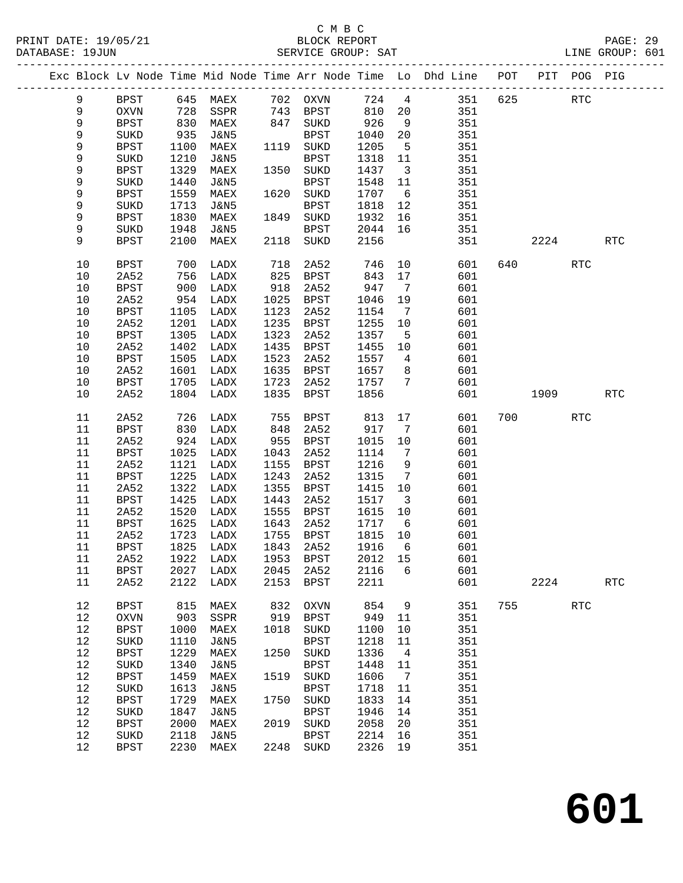#### C M B C PRINT DATE: 19/05/21 BLOCK REPORT<br>DATABASE: 19JUN SERVICE GROUP: SAT

**601**

| PRINT DATE: 19/05/21<br>DATABASE: 19JUN |             |            |                 |      | 21 BLOCK REPORT<br>SERVICE GROUP: SAT |         |                         | EAJE - 22<br>LINE GROUP: 601<br>-----------------------                             |     |           |                                                                                                            |     |  |
|-----------------------------------------|-------------|------------|-----------------|------|---------------------------------------|---------|-------------------------|-------------------------------------------------------------------------------------|-----|-----------|------------------------------------------------------------------------------------------------------------|-----|--|
|                                         |             |            |                 |      |                                       |         |                         | Exc Block Lv Node Time Mid Node Time Arr Node Time Lo Dhd Line POT PIT POG PIG      |     |           |                                                                                                            |     |  |
| 9                                       | BPST        |            |                 |      |                                       |         |                         | 645 MAEX 702 OXVN 724 4 351 625                                                     |     |           | $\operatorname{RTC}$                                                                                       |     |  |
| 9                                       | OXVN        |            |                 |      |                                       |         |                         | 810 20 351                                                                          |     |           |                                                                                                            |     |  |
| 9                                       | <b>BPST</b> | 728<br>830 |                 |      |                                       | 926     | 9                       | 351                                                                                 |     |           |                                                                                                            |     |  |
| 9                                       | SUKD        | 935        |                 |      |                                       |         |                         | 1040 20 351                                                                         |     |           |                                                                                                            |     |  |
| 9                                       | BPST        | 1100       | MAEX            |      | 1119 SUKD                             | 1205    |                         | 5 351                                                                               |     |           |                                                                                                            |     |  |
| 9                                       | SUKD        | 1210       | J&N5            |      | BPST                                  |         |                         | 1318 11 351                                                                         |     |           |                                                                                                            |     |  |
| 9                                       | <b>BPST</b> | 1329       | MAEX            |      | 1350 SUKD                             | 1437    | $\overline{\mathbf{3}}$ | 351                                                                                 |     |           |                                                                                                            |     |  |
| 9                                       | SUKD        | 1440       | <b>J&amp;N5</b> |      | BPST                                  | 1548    | 11                      | 351                                                                                 |     |           |                                                                                                            |     |  |
| 9                                       | <b>BPST</b> | 1559       | MAEX            |      | 1620 SUKD                             | 1707    |                         | 6 351                                                                               |     |           |                                                                                                            |     |  |
| 9                                       | SUKD        | 1713       | J&N5            |      | BPST                                  | 1818    |                         | 12 351                                                                              |     |           |                                                                                                            |     |  |
| 9                                       | <b>BPST</b> | 1830       | MAEX            |      | 1849 SUKD                             | 1932    | 16                      | $\frac{351}{25}$                                                                    |     |           |                                                                                                            |     |  |
| 9                                       | SUKD        | 1948       | J&N5            |      | BPST                                  | 2044 16 |                         | 351                                                                                 |     |           |                                                                                                            |     |  |
| 9                                       | BPST        | 2100       | MAEX            |      | 2118 SUKD                             | 2156    |                         | 351                                                                                 |     |           | 2224 RTC                                                                                                   |     |  |
|                                         |             |            |                 |      |                                       |         |                         |                                                                                     |     |           |                                                                                                            |     |  |
| 10                                      | BPST        | 700        | LADX            |      | 718 2A52<br>825 BPST                  |         |                         | 746 10<br>843 17<br>601<br>17                                                       |     |           | RTC                                                                                                        |     |  |
| 10                                      | 2A52        | 756        | LADX            |      | 825 BPST                              | 843     |                         | 601                                                                                 |     |           |                                                                                                            |     |  |
| 10                                      | BPST        | 900        | LADX            | 918  | 2A52                                  | 947 7   |                         | 601                                                                                 |     |           |                                                                                                            |     |  |
| 10                                      | 2A52        | 954        | LADX            | 1025 | BPST                                  | 1046    | 19                      | 601                                                                                 |     |           |                                                                                                            |     |  |
| 10                                      | BPST        | 1105       | LADX            | 1123 | 2A52                                  | 1154    | $7\overline{ }$         | 601                                                                                 |     |           |                                                                                                            |     |  |
| 10                                      | 2A52        | 1201       | LADX            | 1235 | BPST                                  | 1255    | 10                      | 601                                                                                 |     |           |                                                                                                            |     |  |
| $10$                                    | BPST        | 1305       | LADX            | 1323 | 2A52                                  | 1357    | 5 <sub>5</sub>          | 601                                                                                 |     |           |                                                                                                            |     |  |
| 10                                      | 2A52        | 1402       | LADX            | 1435 | BPST                                  |         |                         | 1455 10 601                                                                         |     |           |                                                                                                            |     |  |
| 10                                      | <b>BPST</b> | 1505       | LADX            | 1523 | 2A52                                  | 1557    |                         | $\begin{array}{ccc} 4 & \phantom{000} & 601 \\ 8 & \phantom{000} & 601 \end{array}$ |     |           |                                                                                                            |     |  |
| 10                                      | 2A52        | 1601       | LADX            | 1635 | BPST                                  | 1657 8  |                         |                                                                                     |     |           |                                                                                                            |     |  |
| 10                                      | BPST        | 1705       | LADX            | 1723 | 2A52                                  | 1757 7  |                         | 601                                                                                 |     |           |                                                                                                            |     |  |
| 10                                      | 2A52        | 1804       | LADX            | 1835 | BPST                                  | 1856    |                         | 601                                                                                 |     |           | 1909 — 1909 — 1909 — 1909 — 1909 — 1909 — 1909 — 1909 — 1909 — 1909 — 1909 — 1909 — 1909 — 1909 — 1909 — 1 | RTC |  |
| 11                                      | 2A52        | 726        | LADX            |      | 755 BPST<br>848 אבל                   | 813     |                         | 17<br>601                                                                           |     | 700 — 200 | RTC                                                                                                        |     |  |
| 11                                      | BPST        | 830        | LADX            | 848  | 2A52                                  | 917 7   |                         | 601                                                                                 |     |           |                                                                                                            |     |  |
| 11                                      | 2A52        | 924        | LADX            | 955  | BPST                                  | 1015    | 10                      | 601                                                                                 |     |           |                                                                                                            |     |  |
| 11                                      | <b>BPST</b> | 1025       | LADX            | 1043 | 2A52                                  | 1114    | $\overline{7}$          | 601                                                                                 |     |           |                                                                                                            |     |  |
| 11                                      | 2A52        | 1121       | LADX            | 1155 | BPST                                  | 1216    | 9                       | 601                                                                                 |     |           |                                                                                                            |     |  |
| 11                                      | <b>BPST</b> | 1225       | LADX            | 1243 | 2A52                                  | 1315    | $\overline{7}$          | 601                                                                                 |     |           |                                                                                                            |     |  |
| 11                                      | 2A52        | 1322       | LADX            | 1355 | BPST                                  | 1415    |                         | 10 601                                                                              |     |           |                                                                                                            |     |  |
| 11                                      | <b>BPST</b> | 1425       | LADX            | 1443 | 2A52                                  | 1517    |                         | 3 601                                                                               |     |           |                                                                                                            |     |  |
| 11                                      | 2A52        | 1520       | LADX            | 1555 | BPST                                  | 1615    | 10                      |                                                                                     |     |           |                                                                                                            |     |  |
| 11                                      | BPST        |            | 1625 LADX       | 1643 | 2A52                                  | 1717    | $6\overline{6}$         | 601<br>601                                                                          |     |           |                                                                                                            |     |  |
| $11\,$                                  | 2A52        | 1723       | ${\rm LADX}$    | 1755 | <b>BPST</b>                           | 1815    | 10                      | 601                                                                                 |     |           |                                                                                                            |     |  |
| 11                                      | <b>BPST</b> | 1825       | LADX            | 1843 | 2A52                                  | 1916    | 6                       | 601                                                                                 |     |           |                                                                                                            |     |  |
| 11                                      | 2A52        | 1922       | LADX            | 1953 | <b>BPST</b>                           | 2012    | 15                      | 601                                                                                 |     |           |                                                                                                            |     |  |
| 11                                      | BPST        | 2027       | LADX            | 2045 | 2A52                                  | 2116    | 6                       | 601                                                                                 |     |           |                                                                                                            |     |  |
| 11                                      | 2A52        | 2122       | LADX            | 2153 | <b>BPST</b>                           | 2211    |                         | 601                                                                                 |     | 2224      |                                                                                                            | RTC |  |
| 12                                      | <b>BPST</b> | 815        | MAEX            | 832  | <b>OXVN</b>                           | 854     | 9                       | 351                                                                                 | 755 |           | <b>RTC</b>                                                                                                 |     |  |
| 12                                      | OXVN        | 903        | SSPR            | 919  | <b>BPST</b>                           | 949     | 11                      | 351                                                                                 |     |           |                                                                                                            |     |  |
| 12                                      | <b>BPST</b> | 1000       | MAEX            | 1018 | SUKD                                  | 1100    | 10                      | 351                                                                                 |     |           |                                                                                                            |     |  |
| 12                                      | SUKD        | 1110       | <b>J&amp;N5</b> |      | <b>BPST</b>                           | 1218    | 11                      | 351                                                                                 |     |           |                                                                                                            |     |  |
| 12                                      | <b>BPST</b> | 1229       | MAEX            | 1250 | SUKD                                  | 1336    | 4                       | 351                                                                                 |     |           |                                                                                                            |     |  |
| 12                                      | SUKD        | 1340       | <b>J&amp;N5</b> |      | <b>BPST</b>                           | 1448    | 11                      | 351                                                                                 |     |           |                                                                                                            |     |  |
| 12                                      |             |            |                 |      |                                       | 1606    |                         | 351                                                                                 |     |           |                                                                                                            |     |  |
|                                         | <b>BPST</b> | 1459       | MAEX            | 1519 | SUKD                                  |         | 7                       |                                                                                     |     |           |                                                                                                            |     |  |
| 12                                      | $\rm SUKD$  | 1613       | <b>J&amp;N5</b> |      | <b>BPST</b>                           | 1718    | 11                      | 351                                                                                 |     |           |                                                                                                            |     |  |
| 12                                      | <b>BPST</b> | 1729       | MAEX            | 1750 | SUKD                                  | 1833    | 14                      | 351                                                                                 |     |           |                                                                                                            |     |  |
| 12                                      | SUKD        | 1847       | <b>J&amp;N5</b> |      | <b>BPST</b>                           | 1946    | 14                      | 351                                                                                 |     |           |                                                                                                            |     |  |
| 12                                      | <b>BPST</b> | 2000       | MAEX            | 2019 | SUKD                                  | 2058    | 20                      | 351                                                                                 |     |           |                                                                                                            |     |  |
| 12                                      | SUKD        | 2118       | <b>J&amp;N5</b> |      | <b>BPST</b>                           | 2214    | 16                      | 351                                                                                 |     |           |                                                                                                            |     |  |
| 12                                      | <b>BPST</b> | 2230       | $\mathtt{MAEX}$ | 2248 | SUKD                                  | 2326    | 19                      | 351                                                                                 |     |           |                                                                                                            |     |  |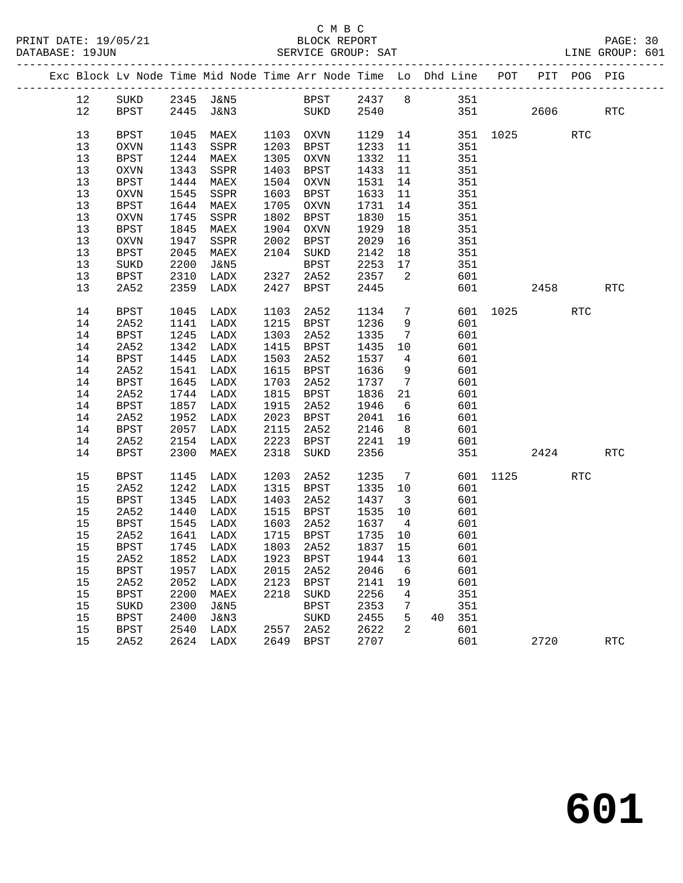|  |    |             |      | Exc Block Lv Node Time Mid Node Time Arr Node Time Lo Dhd Line POT PIT POG PIG |      |             |         |                         |                 |     |                  |      |            |            |
|--|----|-------------|------|--------------------------------------------------------------------------------|------|-------------|---------|-------------------------|-----------------|-----|------------------|------|------------|------------|
|  | 12 |             |      | SUKD 2345 J&N5 BPST 2437 8 351                                                 |      |             |         |                         |                 |     |                  |      |            |            |
|  | 12 | BPST        |      | 2445 J&N3 SUKD 2540                                                            |      |             |         |                         |                 |     | 351              | 2606 |            | RTC        |
|  |    |             |      |                                                                                |      |             |         |                         |                 |     |                  |      |            |            |
|  | 13 | BPST        | 1045 | MAEX                                                                           |      | 1103 OXVN   |         |                         |                 |     | 1129 14 351 1025 |      | RTC        |            |
|  | 13 | OXVN        | 1143 | SSPR                                                                           |      | 1203 BPST   | 1233 11 |                         |                 | 351 |                  |      |            |            |
|  | 13 | BPST        | 1244 | MAEX                                                                           |      | 1305 OXVN   | 1332    | 11                      |                 | 351 |                  |      |            |            |
|  | 13 | OXVN        | 1343 | SSPR                                                                           |      | 1403 BPST   | 1433    | 11                      |                 | 351 |                  |      |            |            |
|  | 13 | BPST        | 1444 | MAEX                                                                           |      | 1504 OXVN   | 1531 14 |                         |                 | 351 |                  |      |            |            |
|  | 13 | OXVN        | 1545 | SSPR                                                                           |      | 1603 BPST   | 1633    | 11                      |                 | 351 |                  |      |            |            |
|  | 13 | BPST        |      | 1644 MAEX                                                                      |      | 1705 OXVN   | 1731 14 |                         |                 | 351 |                  |      |            |            |
|  | 13 | OXVN        | 1745 | SSPR                                                                           |      | 1802 BPST   | 1830 15 |                         |                 | 351 |                  |      |            |            |
|  | 13 | BPST        | 1845 | MAEX                                                                           |      | 1904 OXVN   | 1929    | 18                      |                 | 351 |                  |      |            |            |
|  | 13 | OXVN        | 1947 | SSPR                                                                           |      | 2002 BPST   | 2029    | 16                      |                 | 351 |                  |      |            |            |
|  | 13 | <b>BPST</b> | 2045 | MAEX                                                                           |      | 2104 SUKD   | 2142    | 18                      |                 | 351 |                  |      |            |            |
|  | 13 | SUKD        | 2200 | J&N5                                                                           |      | BPST        | 2253    | 17                      |                 | 351 |                  |      |            |            |
|  | 13 | BPST        | 2310 | LADX                                                                           | 2327 | 2A52        | 2357    | $\overline{\mathbf{c}}$ |                 | 601 |                  |      |            |            |
|  | 13 | 2A52        | 2359 | LADX                                                                           | 2427 | BPST        | 2445    |                         |                 |     | 601 000          | 2458 |            | RTC        |
|  |    |             |      |                                                                                |      |             |         |                         |                 |     |                  |      |            |            |
|  | 14 | BPST        |      | 1045 LADX                                                                      | 1103 | 2A52        | 1134    |                         | $7\overline{ }$ |     | 601 1025         |      | RTC        |            |
|  | 14 | 2A52        | 1141 | LADX                                                                           |      | 1215 BPST   | 1236    | 9                       |                 | 601 |                  |      |            |            |
|  | 14 | <b>BPST</b> | 1245 | LADX                                                                           |      | 1303 2A52   | 1335    | $\overline{7}$          |                 | 601 |                  |      |            |            |
|  | 14 | 2A52        | 1342 | LADX                                                                           |      | 1415 BPST   | 1435    | 10                      |                 | 601 |                  |      |            |            |
|  | 14 | <b>BPST</b> | 1445 | LADX                                                                           |      | 1503 2A52   | 1537    | $\overline{4}$          |                 | 601 |                  |      |            |            |
|  | 14 | 2A52        | 1541 | LADX                                                                           |      | 1615 BPST   | 1636    | 9                       |                 | 601 |                  |      |            |            |
|  | 14 | <b>BPST</b> | 1645 | LADX                                                                           |      | 1703 2A52   | 1737    | $7\overline{ }$         |                 | 601 |                  |      |            |            |
|  | 14 | 2A52        | 1744 | LADX                                                                           |      | 1815 BPST   | 1836 21 |                         |                 | 601 |                  |      |            |            |
|  | 14 | BPST        | 1857 | LADX                                                                           |      | 1915 2A52   | 1946    | 6                       |                 | 601 |                  |      |            |            |
|  | 14 | 2A52        | 1952 | LADX                                                                           |      | 2023 BPST   | 2041 16 |                         |                 | 601 |                  |      |            |            |
|  | 14 | BPST        | 2057 | LADX                                                                           | 2115 | 2A52        | 2146    | 8 <sup>8</sup>          |                 | 601 |                  |      |            |            |
|  | 14 | 2A52        | 2154 | LADX                                                                           |      | 2223 BPST   | 2241 19 |                         |                 | 601 |                  |      |            |            |
|  | 14 | BPST        | 2300 | MAEX                                                                           | 2318 | SUKD        | 2356    |                         |                 |     |                  | 2424 |            | <b>RTC</b> |
|  | 15 | BPST        | 1145 | LADX                                                                           | 1203 | 2A52        | 1235    | $\overline{7}$          |                 |     | 601 1125         |      | <b>RTC</b> |            |
|  | 15 | 2A52        | 1242 | LADX                                                                           |      | 1315 BPST   | 1335 10 |                         |                 | 601 |                  |      |            |            |
|  | 15 | BPST        | 1345 | LADX                                                                           | 1403 | 2A52        | 1437 3  |                         |                 | 601 |                  |      |            |            |
|  | 15 | 2A52        | 1440 | LADX                                                                           |      | 1515 BPST   | 1535 10 |                         |                 | 601 |                  |      |            |            |
|  | 15 | BPST        | 1545 | LADX                                                                           | 1603 | 2A52        | 1637    | $\overline{4}$          |                 | 601 |                  |      |            |            |
|  | 15 | 2A52        | 1641 | LADX                                                                           |      | 1715 BPST   |         |                         |                 | 601 |                  |      |            |            |
|  | 15 | BPST        |      | 1745 LADX                                                                      |      | 1803 2A52   |         |                         |                 | 601 |                  |      |            |            |
|  |    |             |      | 15  2A52  1852  LADX  1923  BPST  1944  13  601                                |      |             |         |                         |                 |     |                  |      |            |            |
|  | 15 | BPST        | 1957 | LADX                                                                           | 2015 | 2A52        | 2046    | 6                       |                 | 601 |                  |      |            |            |
|  | 15 | 2A52        | 2052 | LADX                                                                           | 2123 | <b>BPST</b> | 2141    | 19                      |                 | 601 |                  |      |            |            |
|  | 15 | <b>BPST</b> | 2200 | MAEX                                                                           | 2218 | SUKD        | 2256    | 4                       |                 | 351 |                  |      |            |            |
|  | 15 | SUKD        | 2300 | J&N5                                                                           |      | BPST        | 2353    | 7                       |                 | 351 |                  |      |            |            |
|  | 15 | <b>BPST</b> | 2400 | J&N3                                                                           |      | SUKD        | 2455    | 5                       | 40              | 351 |                  |      |            |            |
|  | 15 | <b>BPST</b> | 2540 | LADX                                                                           | 2557 | 2A52        | 2622    | 2                       |                 | 601 |                  |      |            |            |
|  | 15 | 2A52        | 2624 | LADX                                                                           | 2649 | BPST        | 2707    |                         |                 | 601 |                  | 2720 |            | <b>RTC</b> |
|  |    |             |      |                                                                                |      |             |         |                         |                 |     |                  |      |            |            |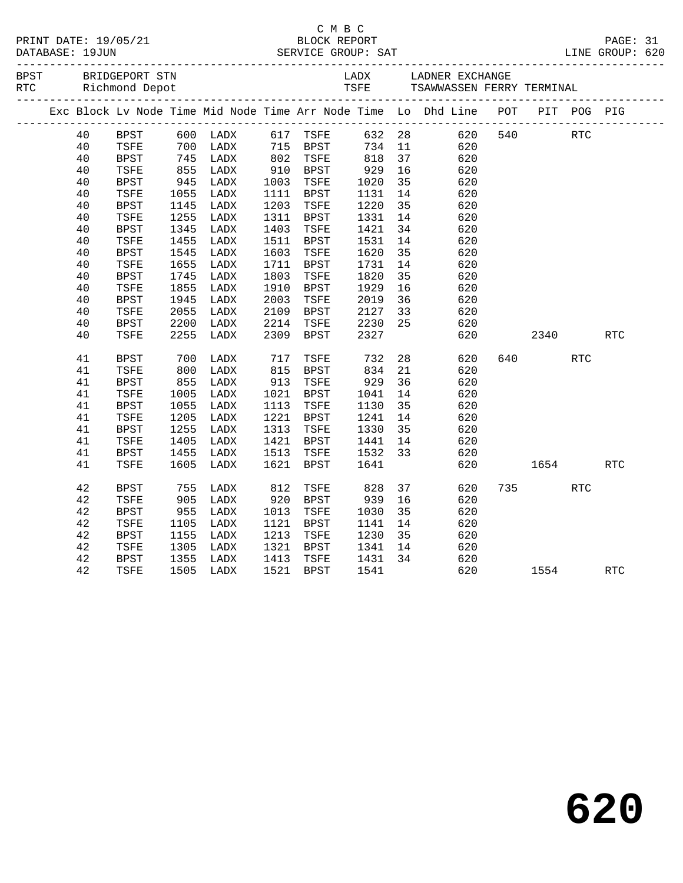| PRINT DATE: 19/05/21<br>DATABASE: 19JUN |    |                                      |            |      |      | C M B C              |                    |    | $\begin{tabular}{l l l l} \hline 19/05/21 & \multicolumn{3}{c}{\text{BLOCK REPORT}} & \multicolumn{3}{c}{\text{PAGE: 31}} \\ \hline \multicolumn{3}{c}{\text{SERVICE GROUP: SAT}} & \multicolumn{3}{c}{\text{LINE GROUP: 620}} \\ \multicolumn{3}{c}{\text{JUNE GROUP: 620}} & \multicolumn{3}{c}{\text{SERVICE GROUP: 620}} \\ \hline \end{tabular}$ |     |             |            |            |  |
|-----------------------------------------|----|--------------------------------------|------------|------|------|----------------------|--------------------|----|-------------------------------------------------------------------------------------------------------------------------------------------------------------------------------------------------------------------------------------------------------------------------------------------------------------------------------------------------------|-----|-------------|------------|------------|--|
| BPST                                    |    | BRIDGEPORT STN<br>RTC Richmond Depot |            |      |      |                      |                    |    | LADX LADNER EXCHANGE<br>TSFE     TSAWWASSEN FERRY TERMINAL                                                                                                                                                                                                                                                                                            |     |             |            |            |  |
|                                         |    |                                      |            |      |      |                      |                    |    | Exc Block Lv Node Time Mid Node Time Arr Node Time Lo Dhd Line POT PIT POG PIG                                                                                                                                                                                                                                                                        |     |             |            |            |  |
|                                         | 40 | BPST                                 |            |      |      |                      |                    |    | 632 28<br>734 11                                                                                                                                                                                                                                                                                                                                      |     | 620 540 RTC |            |            |  |
|                                         | 40 | TSFE                                 |            |      |      |                      |                    |    | 620                                                                                                                                                                                                                                                                                                                                                   |     |             |            |            |  |
|                                         | 40 | BPST                                 | 745<br>855 | LADX |      | 802 TSFE<br>910 BPST | 818                | 37 | 620                                                                                                                                                                                                                                                                                                                                                   |     |             |            |            |  |
|                                         | 40 | TSFE                                 |            | LADX |      |                      | 929<br>1020        | 16 | 620                                                                                                                                                                                                                                                                                                                                                   |     |             |            |            |  |
|                                         | 40 | BPST                                 | 945        | LADX |      | 1003 TSFE            |                    | 35 | 620                                                                                                                                                                                                                                                                                                                                                   |     |             |            |            |  |
|                                         | 40 | TSFE                                 | 1055       | LADX |      | 1111 BPST            | 1131<br>1220       | 14 | 620                                                                                                                                                                                                                                                                                                                                                   |     |             |            |            |  |
|                                         | 40 | BPST                                 | 1145       | LADX |      | 1203 TSFE            |                    | 35 | 620                                                                                                                                                                                                                                                                                                                                                   |     |             |            |            |  |
|                                         | 40 | TSFE                                 | 1255       | LADX |      | 1311 BPST            | 1331               | 14 | 620                                                                                                                                                                                                                                                                                                                                                   |     |             |            |            |  |
|                                         | 40 | BPST                                 | 1345       | LADX |      | 1403 TSFE            | 1421               | 34 | 620                                                                                                                                                                                                                                                                                                                                                   |     |             |            |            |  |
|                                         | 40 | TSFE                                 | 1455       | LADX |      | 1511 BPST            | 1531               | 14 | 620                                                                                                                                                                                                                                                                                                                                                   |     |             |            |            |  |
|                                         | 40 | BPST                                 | 1545       | LADX | 1603 | TSFE                 | 1620               | 35 | 620                                                                                                                                                                                                                                                                                                                                                   |     |             |            |            |  |
|                                         | 40 | TSFE                                 | 1655       | LADX |      | 1711 BPST            | 1731               | 14 | 620                                                                                                                                                                                                                                                                                                                                                   |     |             |            |            |  |
|                                         | 40 | <b>BPST</b>                          | 1745       | LADX | 1803 | TSFE                 |                    | 35 | 620                                                                                                                                                                                                                                                                                                                                                   |     |             |            |            |  |
|                                         | 40 | TSFE                                 | 1855       | LADX | 1910 | BPST                 | 1820<br>1929       | 16 | 620                                                                                                                                                                                                                                                                                                                                                   |     |             |            |            |  |
|                                         | 40 | BPST                                 | 1945       | LADX | 2003 | TSFE                 | 2019               | 36 | 620                                                                                                                                                                                                                                                                                                                                                   |     |             |            |            |  |
|                                         | 40 | TSFE                                 | 2055       | LADX |      | 2109 BPST            | 2127               | 33 | 620                                                                                                                                                                                                                                                                                                                                                   |     |             |            |            |  |
|                                         | 40 | BPST                                 | 2200       | LADX |      | 2214 TSFE            | 2230               | 25 | 620                                                                                                                                                                                                                                                                                                                                                   |     |             |            |            |  |
|                                         | 40 | TSFE                                 | 2255       | LADX | 2309 | BPST                 | 2327               |    | 620                                                                                                                                                                                                                                                                                                                                                   |     | 2340        |            | RTC        |  |
|                                         |    |                                      |            |      |      |                      |                    |    |                                                                                                                                                                                                                                                                                                                                                       |     |             |            |            |  |
|                                         | 41 | <b>BPST</b>                          | 700<br>800 | LADX |      |                      |                    |    | 28<br>620                                                                                                                                                                                                                                                                                                                                             | 640 |             | <b>RTC</b> |            |  |
|                                         | 41 | TSFE                                 |            | LADX |      | 717 TSFE<br>815 BPST | 732<br>834         | 21 | 620                                                                                                                                                                                                                                                                                                                                                   |     |             |            |            |  |
|                                         | 41 | BPST                                 | 855        | LADX | 913  | TSFE                 | 929                | 36 | 620                                                                                                                                                                                                                                                                                                                                                   |     |             |            |            |  |
|                                         | 41 | TSFE                                 | 1005       | LADX |      | 1021 BPST            | 1041               | 14 | 620                                                                                                                                                                                                                                                                                                                                                   |     |             |            |            |  |
|                                         | 41 | BPST                                 | 1055       | LADX |      | 1113 TSFE            | 1130               | 35 | 620                                                                                                                                                                                                                                                                                                                                                   |     |             |            |            |  |
|                                         | 41 | TSFE                                 | 1205       | LADX |      | 1221 BPST            | 1241               | 14 | 620                                                                                                                                                                                                                                                                                                                                                   |     |             |            |            |  |
|                                         | 41 | <b>BPST</b>                          | 1255       | LADX |      | 1313 TSFE            | 1330               | 35 | 620                                                                                                                                                                                                                                                                                                                                                   |     |             |            |            |  |
|                                         | 41 | TSFE                                 | 1405       | LADX |      | 1421 BPST            |                    |    | 620                                                                                                                                                                                                                                                                                                                                                   |     |             |            |            |  |
|                                         | 41 | BPST                                 | 1455       | LADX | 1513 | TSFE                 | 1441 14<br>1532 33 |    | 620                                                                                                                                                                                                                                                                                                                                                   |     |             |            |            |  |
|                                         | 41 | TSFE                                 | 1605       | LADX | 1621 | BPST                 | 1641               |    | 620                                                                                                                                                                                                                                                                                                                                                   |     |             | 1654       | <b>RTC</b> |  |
|                                         |    |                                      |            |      |      |                      |                    |    |                                                                                                                                                                                                                                                                                                                                                       |     |             |            |            |  |
|                                         | 42 | <b>BPST</b>                          | 755        | LADX | 812  | TSFE                 | 828                | 37 | 620                                                                                                                                                                                                                                                                                                                                                   |     | 735 — 13    | RTC        |            |  |
|                                         | 42 | TSFE                                 | 905        | LADX | 920  | BPST                 | 939                | 16 | 620                                                                                                                                                                                                                                                                                                                                                   |     |             |            |            |  |
|                                         | 42 | <b>BPST</b>                          | 955        | LADX | 1013 | TSFE                 | 1030               | 35 | 620                                                                                                                                                                                                                                                                                                                                                   |     |             |            |            |  |
|                                         | 42 | TSFE                                 | 1105       | LADX | 1121 | BPST                 | 1141               | 14 | 620                                                                                                                                                                                                                                                                                                                                                   |     |             |            |            |  |
|                                         | 42 | <b>BPST</b>                          | 1155       | LADX | 1213 | TSFE                 | 1230               | 35 | 620                                                                                                                                                                                                                                                                                                                                                   |     |             |            |            |  |
|                                         | 42 | TSFE                                 | 1305       | LADX |      | 1321 BPST            | 1341               | 14 | 620                                                                                                                                                                                                                                                                                                                                                   |     |             |            |            |  |
|                                         | 42 | <b>BPST</b>                          | 1355       | LADX | 1413 | TSFE                 | 1431 34            |    | 620                                                                                                                                                                                                                                                                                                                                                   |     |             |            |            |  |
|                                         | 42 | TSFE                                 | 1505       | LADX |      | 1521 BPST            | 1541               |    | 620                                                                                                                                                                                                                                                                                                                                                   |     |             | 1554       | RTC        |  |
|                                         |    |                                      |            |      |      |                      |                    |    |                                                                                                                                                                                                                                                                                                                                                       |     |             |            |            |  |

**620**